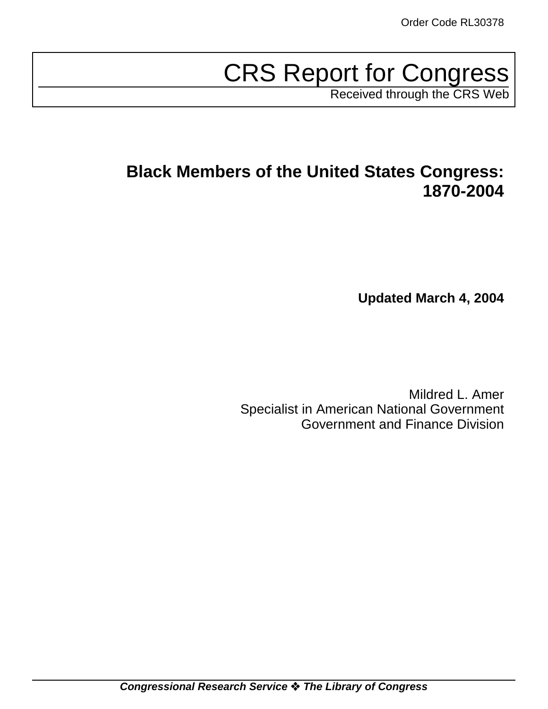# CRS Report for Congress

Received through the CRS Web

# **Black Members of the United States Congress: 1870-2004**

**Updated March 4, 2004**

Mildred L. Amer Specialist in American National Government Government and Finance Division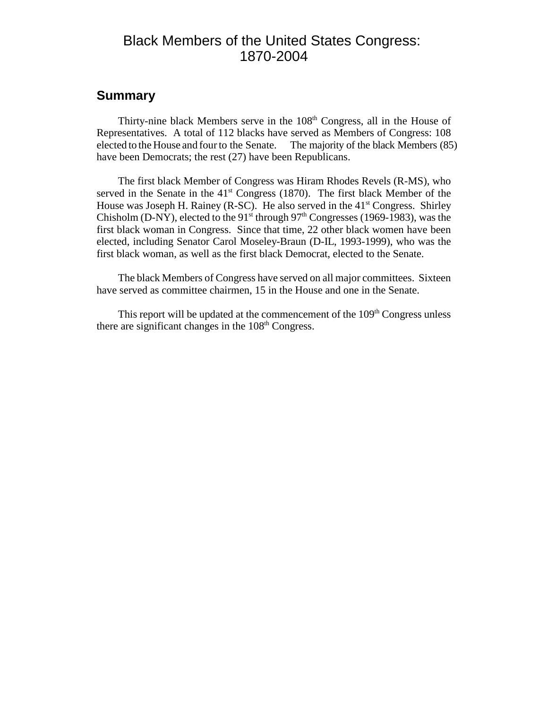# Black Members of the United States Congress: 1870-2004

### **Summary**

Thirty-nine black Members serve in the  $108<sup>th</sup>$  Congress, all in the House of Representatives. A total of 112 blacks have served as Members of Congress: 108 elected to the House and four to the Senate. The majority of the black Members (85) have been Democrats; the rest (27) have been Republicans.

The first black Member of Congress was Hiram Rhodes Revels (R-MS), who served in the Senate in the  $41<sup>st</sup>$  Congress (1870). The first black Member of the House was Joseph H. Rainey (R-SC). He also served in the  $41<sup>st</sup>$  Congress. Shirley Chisholm (D-NY), elected to the 91<sup>st</sup> through 97<sup>th</sup> Congresses (1969-1983), was the first black woman in Congress. Since that time, 22 other black women have been elected, including Senator Carol Moseley-Braun (D-IL, 1993-1999), who was the first black woman, as well as the first black Democrat, elected to the Senate.

The black Members of Congress have served on all major committees. Sixteen have served as committee chairmen, 15 in the House and one in the Senate.

This report will be updated at the commencement of the  $109<sup>th</sup>$  Congress unless there are significant changes in the  $108<sup>th</sup>$  Congress.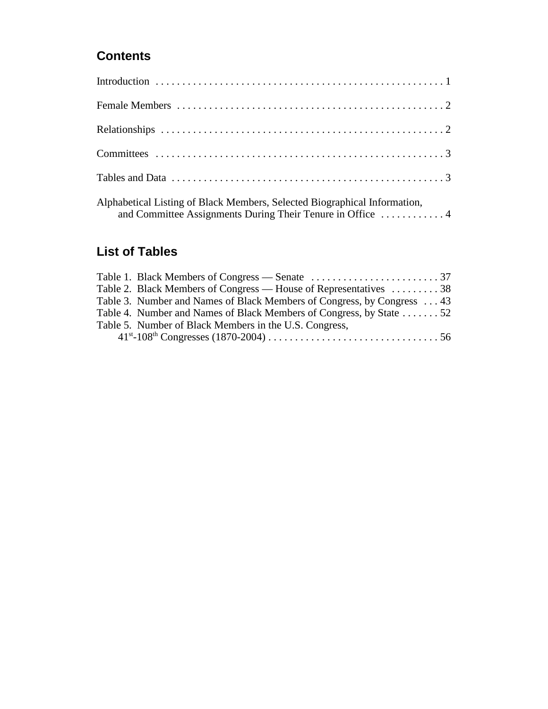# **Contents**

| Alphabetical Listing of Black Members, Selected Biographical Information,<br>and Committee Assignments During Their Tenure in Office  4 |
|-----------------------------------------------------------------------------------------------------------------------------------------|

# **List of Tables**

| Table 2. Black Members of Congress — House of Representatives 38       |  |
|------------------------------------------------------------------------|--|
| Table 3. Number and Names of Black Members of Congress, by Congress 43 |  |
| Table 4. Number and Names of Black Members of Congress, by State 52    |  |
| Table 5. Number of Black Members in the U.S. Congress,                 |  |
|                                                                        |  |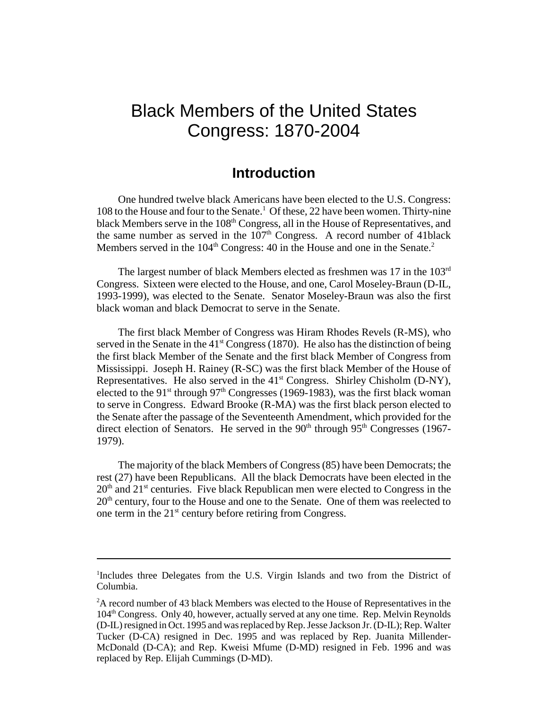# Black Members of the United States Congress: 1870-2004

## **Introduction**

One hundred twelve black Americans have been elected to the U.S. Congress: 108 to the House and four to the Senate.<sup>1</sup> Of these, 22 have been women. Thirty-nine black Members serve in the 108<sup>th</sup> Congress, all in the House of Representatives, and the same number as served in the  $107<sup>th</sup>$  Congress. A record number of 41black Members served in the  $104<sup>th</sup>$  Congress: 40 in the House and one in the Senate.<sup>2</sup>

The largest number of black Members elected as freshmen was 17 in the 103<sup>rd</sup> Congress. Sixteen were elected to the House, and one, Carol Moseley-Braun (D-IL, 1993-1999), was elected to the Senate. Senator Moseley-Braun was also the first black woman and black Democrat to serve in the Senate.

The first black Member of Congress was Hiram Rhodes Revels (R-MS), who served in the Senate in the  $41<sup>st</sup> Congress (1870)$ . He also has the distinction of being the first black Member of the Senate and the first black Member of Congress from Mississippi. Joseph H. Rainey (R-SC) was the first black Member of the House of Representatives. He also served in the  $41<sup>st</sup>$  Congress. Shirley Chisholm (D-NY), elected to the 91<sup>st</sup> through 97<sup>th</sup> Congresses (1969-1983), was the first black woman to serve in Congress. Edward Brooke (R-MA) was the first black person elected to the Senate after the passage of the Seventeenth Amendment, which provided for the direct election of Senators. He served in the  $90<sup>th</sup>$  through  $95<sup>th</sup>$  Congresses (1967-1979).

The majority of the black Members of Congress (85) have been Democrats; the rest (27) have been Republicans. All the black Democrats have been elected in the  $20<sup>th</sup>$  and  $21<sup>st</sup>$  centuries. Five black Republican men were elected to Congress in the  $20<sup>th</sup>$  century, four to the House and one to the Senate. One of them was reelected to one term in the  $21<sup>st</sup>$  century before retiring from Congress.

<sup>&</sup>lt;sup>1</sup>Includes three Delegates from the U.S. Virgin Islands and two from the District of Columbia.

 $2A$  record number of 43 black Members was elected to the House of Representatives in the  $104<sup>th</sup> Congress. Only 40, however, actually served at any one time. Rep. Melvin Reynolds$ (D-IL) resigned in Oct. 1995 and was replaced by Rep. Jesse Jackson Jr. (D-IL); Rep. Walter Tucker (D-CA) resigned in Dec. 1995 and was replaced by Rep. Juanita Millender-McDonald (D-CA); and Rep. Kweisi Mfume (D-MD) resigned in Feb. 1996 and was replaced by Rep. Elijah Cummings (D-MD).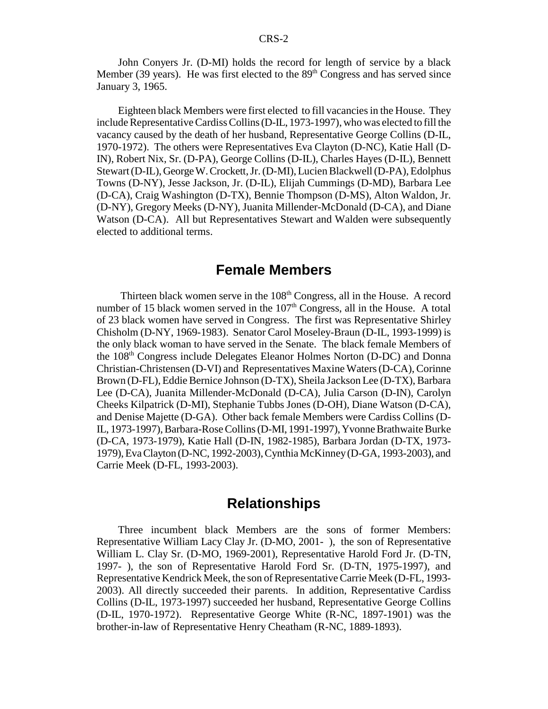John Conyers Jr. (D-MI) holds the record for length of service by a black Member (39 years). He was first elected to the  $89<sup>th</sup>$  Congress and has served since January 3, 1965.

Eighteen black Members were first elected to fill vacancies in the House. They include Representative Cardiss Collins (D-IL, 1973-1997), who was elected to fill the vacancy caused by the death of her husband, Representative George Collins (D-IL, 1970-1972). The others were Representatives Eva Clayton (D-NC), Katie Hall (D-IN), Robert Nix, Sr. (D-PA), George Collins (D-IL), Charles Hayes (D-IL), Bennett Stewart (D-IL), George W. Crockett, Jr. (D-MI), Lucien Blackwell (D-PA), Edolphus Towns (D-NY), Jesse Jackson, Jr. (D-IL), Elijah Cummings (D-MD), Barbara Lee (D-CA), Craig Washington (D-TX), Bennie Thompson (D-MS), Alton Waldon, Jr. (D-NY), Gregory Meeks (D-NY), Juanita Millender-McDonald (D-CA), and Diane Watson (D-CA). All but Representatives Stewart and Walden were subsequently elected to additional terms.

# **Female Members**

Thirteen black women serve in the 108<sup>th</sup> Congress, all in the House. A record number of 15 black women served in the  $107<sup>th</sup>$  Congress, all in the House. A total of 23 black women have served in Congress. The first was Representative Shirley Chisholm (D-NY, 1969-1983). Senator Carol Moseley-Braun (D-IL, 1993-1999) is the only black woman to have served in the Senate. The black female Members of the 108th Congress include Delegates Eleanor Holmes Norton (D-DC) and Donna Christian-Christensen (D-VI) and Representatives Maxine Waters (D-CA), Corinne Brown (D-FL), Eddie Bernice Johnson (D-TX), Sheila Jackson Lee (D-TX), Barbara Lee (D-CA), Juanita Millender-McDonald (D-CA), Julia Carson (D-IN), Carolyn Cheeks Kilpatrick (D-MI), Stephanie Tubbs Jones (D-OH), Diane Watson (D-CA), and Denise Majette (D-GA). Other back female Members were Cardiss Collins (D-IL, 1973-1997), Barbara-Rose Collins (D-MI, 1991-1997), Yvonne Brathwaite Burke (D-CA, 1973-1979), Katie Hall (D-IN, 1982-1985), Barbara Jordan (D-TX, 1973- 1979), Eva Clayton (D-NC, 1992-2003), Cynthia McKinney (D-GA, 1993-2003), and Carrie Meek (D-FL, 1993-2003).

# **Relationships**

Three incumbent black Members are the sons of former Members: Representative William Lacy Clay Jr. (D-MO, 2001- ), the son of Representative William L. Clay Sr. (D-MO, 1969-2001), Representative Harold Ford Jr. (D-TN, 1997- ), the son of Representative Harold Ford Sr. (D-TN, 1975-1997), and Representative Kendrick Meek, the son of Representative Carrie Meek (D-FL, 1993- 2003). All directly succeeded their parents. In addition, Representative Cardiss Collins (D-IL, 1973-1997) succeeded her husband, Representative George Collins (D-IL, 1970-1972). Representative George White (R-NC, 1897-1901) was the brother-in-law of Representative Henry Cheatham (R-NC, 1889-1893).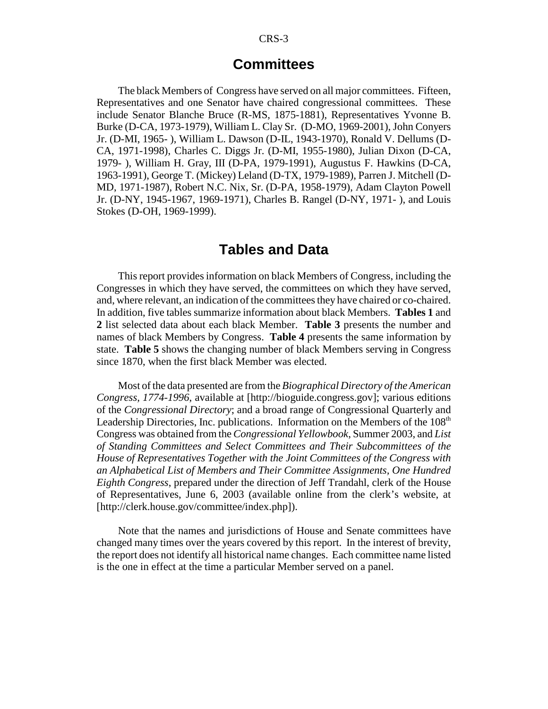### **Committees**

The black Members of Congress have served on all major committees. Fifteen, Representatives and one Senator have chaired congressional committees. These include Senator Blanche Bruce (R-MS, 1875-1881), Representatives Yvonne B. Burke (D-CA, 1973-1979), William L. Clay Sr. (D-MO, 1969-2001), John Conyers Jr. (D-MI, 1965- ), William L. Dawson (D-IL, 1943-1970), Ronald V. Dellums (D-CA, 1971-1998), Charles C. Diggs Jr. (D-MI, 1955-1980), Julian Dixon (D-CA, 1979- ), William H. Gray, III (D-PA, 1979-1991), Augustus F. Hawkins (D-CA, 1963-1991), George T. (Mickey) Leland (D-TX, 1979-1989), Parren J. Mitchell (D-MD, 1971-1987), Robert N.C. Nix, Sr. (D-PA, 1958-1979), Adam Clayton Powell Jr. (D-NY, 1945-1967, 1969-1971), Charles B. Rangel (D-NY, 1971- ), and Louis Stokes (D-OH, 1969-1999).

### **Tables and Data**

This report provides information on black Members of Congress, including the Congresses in which they have served, the committees on which they have served, and, where relevant, an indication of the committees they have chaired or co-chaired. In addition, five tables summarize information about black Members. **Tables 1** and **2** list selected data about each black Member. **Table 3** presents the number and names of black Members by Congress. **Table 4** presents the same information by state. **Table 5** shows the changing number of black Members serving in Congress since 1870, when the first black Member was elected.

Most of the data presented are from the *Biographical Directory of the American Congress, 1774-1996*, available at [http://bioguide.congress.gov]; various editions of the *Congressional Directory*; and a broad range of Congressional Quarterly and Leadership Directories, Inc. publications. Information on the Members of the 108<sup>th</sup> Congress was obtained from the *Congressional Yellowbook*, Summer 2003, and *List of Standing Committees and Select Committees and Their Subcommittees of the House of Representatives Together with the Joint Committees of the Congress with an Alphabetical List of Members and Their Committee Assignments, One Hundred Eighth Congress*, prepared under the direction of Jeff Trandahl, clerk of the House of Representatives, June 6, 2003 (available online from the clerk's website, at [http://clerk.house.gov/committee/index.php]).

Note that the names and jurisdictions of House and Senate committees have changed many times over the years covered by this report. In the interest of brevity, the report does not identify all historical name changes. Each committee name listed is the one in effect at the time a particular Member served on a panel.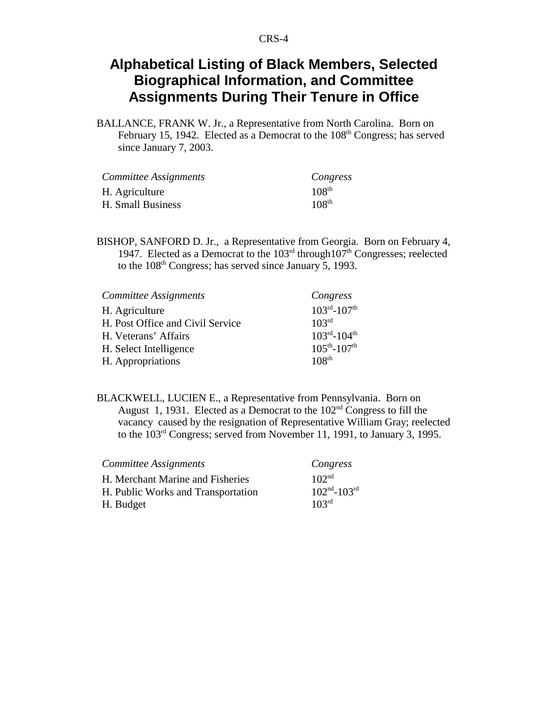# **Alphabetical Listing of Black Members, Selected Biographical Information, and Committee Assignments During Their Tenure in Office**

BALLANCE, FRANK W. Jr., a Representative from North Carolina. Born on February 15, 1942. Elected as a Democrat to the 108<sup>th</sup> Congress; has served since January 7, 2003.

| Committee Assignments | Congress          |
|-----------------------|-------------------|
| H. Agriculture        | 108 <sup>th</sup> |
| H. Small Business     | 108 <sup>th</sup> |

BISHOP, SANFORD D. Jr., a Representative from Georgia. Born on February 4, 1947. Elected as a Democrat to the  $103<sup>rd</sup>$  through  $107<sup>th</sup>$  Congresses; reelected to the 108<sup>th</sup> Congress; has served since January 5, 1993.

| Committee Assignments            | Congress              |
|----------------------------------|-----------------------|
| H. Agriculture                   | $103^{rd} - 107^{th}$ |
| H. Post Office and Civil Service | 103 <sup>rd</sup>     |
| H. Veterans' Affairs             | $103^{rd} - 104^{th}$ |
| H. Select Intelligence           | $105^{th} - 107^{th}$ |
| H. Appropriations                | 108 <sup>th</sup>     |

BLACKWELL, LUCIEN E., a Representative from Pennsylvania. Born on August 1, 1931. Elected as a Democrat to the  $102<sup>nd</sup>$  Congress to fill the vacancy caused by the resignation of Representative William Gray; reelected to the 103rd Congress; served from November 11, 1991, to January 3, 1995.

| Committee Assignments              | Congress          |
|------------------------------------|-------------------|
| H. Merchant Marine and Fisheries   | 102 <sup>nd</sup> |
| H. Public Works and Transportation | $102nd - 103rd$   |
| H. Budget                          | 10 <sup>3rd</sup> |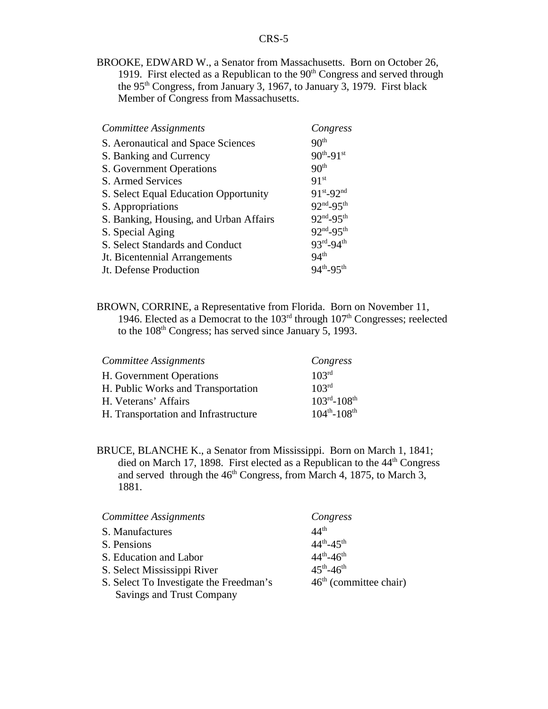BROOKE, EDWARD W., a Senator from Massachusetts. Born on October 26, 1919. First elected as a Republican to the  $90<sup>th</sup>$  Congress and served through the 95<sup>th</sup> Congress, from January 3, 1967, to January 3, 1979. First black Member of Congress from Massachusetts.

| Committee Assignments                  | Congress            |
|----------------------------------------|---------------------|
| S. Aeronautical and Space Sciences     | 90 <sup>th</sup>    |
| S. Banking and Currency                | $90^{th} - 91^{st}$ |
| S. Government Operations               | 90 <sup>th</sup>    |
| S. Armed Services                      | 91 <sup>st</sup>    |
| S. Select Equal Education Opportunity  | $91^{st} - 92^{nd}$ |
| S. Appropriations                      | $92^{nd} - 95^{th}$ |
| S. Banking, Housing, and Urban Affairs | $92nd-95th$         |
| S. Special Aging                       | $92^{nd} - 95^{th}$ |
| S. Select Standards and Conduct        | 93rd_94th           |
| Jt. Bicentennial Arrangements          | 94 <sup>th</sup>    |
| Jt. Defense Production                 | $94^{th} - 95^{th}$ |

BROWN, CORRINE, a Representative from Florida. Born on November 11, 1946. Elected as a Democrat to the  $103<sup>rd</sup>$  through  $107<sup>th</sup>$  Congresses; reelected to the  $108<sup>th</sup>$  Congress; has served since January 5, 1993.

| Committee Assignments                | Congress              |
|--------------------------------------|-----------------------|
| H. Government Operations             | 103 <sup>rd</sup>     |
| H. Public Works and Transportation   | 103 <sup>rd</sup>     |
| H. Veterans' Affairs                 | $103^{rd} - 108^{th}$ |
| H. Transportation and Infrastructure | $104^{th} - 108^{th}$ |

BRUCE, BLANCHE K., a Senator from Mississippi. Born on March 1, 1841; died on March 17, 1898. First elected as a Republican to the  $44<sup>th</sup>$  Congress and served through the  $46<sup>th</sup>$  Congress, from March 4, 1875, to March 3, 1881.

| Committee Assignments                   | Congress                 |
|-----------------------------------------|--------------------------|
| S. Manufactures                         | $44^{\text{th}}$         |
| S. Pensions                             | $44^{th} - 45^{th}$      |
| S. Education and Labor                  | $44^{th} - 46^{th}$      |
| S. Select Mississippi River             | $45^{th} - 46^{th}$      |
| S. Select To Investigate the Freedman's | $46th$ (committee chair) |
| <b>Savings and Trust Company</b>        |                          |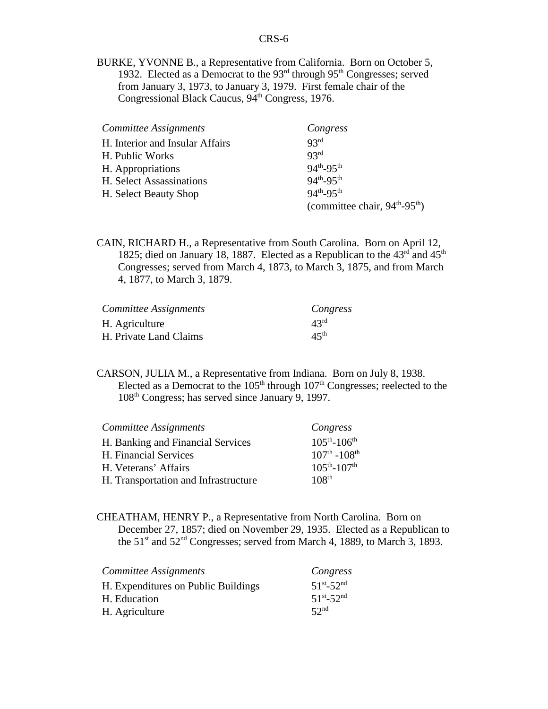BURKE, YVONNE B., a Representative from California. Born on October 5, 1932. Elected as a Democrat to the  $93<sup>rd</sup>$  through  $95<sup>th</sup>$  Congresses; served from January 3, 1973, to January 3, 1979. First female chair of the Congressional Black Caucus, 94<sup>th</sup> Congress, 1976.

| Committee Assignments           | Congress                                              |
|---------------------------------|-------------------------------------------------------|
| H. Interior and Insular Affairs | 93 <sup>rd</sup>                                      |
| H. Public Works                 | 93 <sup>rd</sup>                                      |
| H. Appropriations               | $94^{th} - 95^{th}$                                   |
| H. Select Assassinations        | $94^{th} - 95^{th}$                                   |
| H. Select Beauty Shop           | $94^{th} - 95^{th}$                                   |
|                                 | (committee chair, $94^{\text{th}} - 95^{\text{th}}$ ) |

CAIN, RICHARD H., a Representative from South Carolina. Born on April 12, 1825; died on January 18, 1887. Elected as a Republican to the  $43<sup>rd</sup>$  and  $45<sup>th</sup>$ Congresses; served from March 4, 1873, to March 3, 1875, and from March 4, 1877, to March 3, 1879.

| Committee Assignments  | Congress         |
|------------------------|------------------|
| H. Agriculture         | 43 <sup>rd</sup> |
| H. Private Land Claims | 45 <sup>th</sup> |

CARSON, JULIA M., a Representative from Indiana. Born on July 8, 1938. Elected as a Democrat to the  $105<sup>th</sup>$  through  $107<sup>th</sup>$  Congresses; reelected to the 108th Congress; has served since January 9, 1997.

| Committee Assignments                | Congress                            |
|--------------------------------------|-------------------------------------|
| H. Banking and Financial Services    | $105^{th} - 106^{th}$               |
| H. Financial Services                | $107^{\text{th}} - 108^{\text{th}}$ |
| H. Veterans' Affairs                 | $105^{th} - 107^{th}$               |
| H. Transportation and Infrastructure | 108 <sup>th</sup>                   |

CHEATHAM, HENRY P., a Representative from North Carolina. Born on December 27, 1857; died on November 29, 1935. Elected as a Republican to the 51<sup>st</sup> and 52<sup>nd</sup> Congresses; served from March 4, 1889, to March 3, 1893.

| Committee Assignments               | Congress            |
|-------------------------------------|---------------------|
| H. Expenditures on Public Buildings | $51^{st} - 52^{nd}$ |
| H. Education                        | $51^{st} - 52^{nd}$ |
| H. Agriculture                      | 52 <sup>nd</sup>    |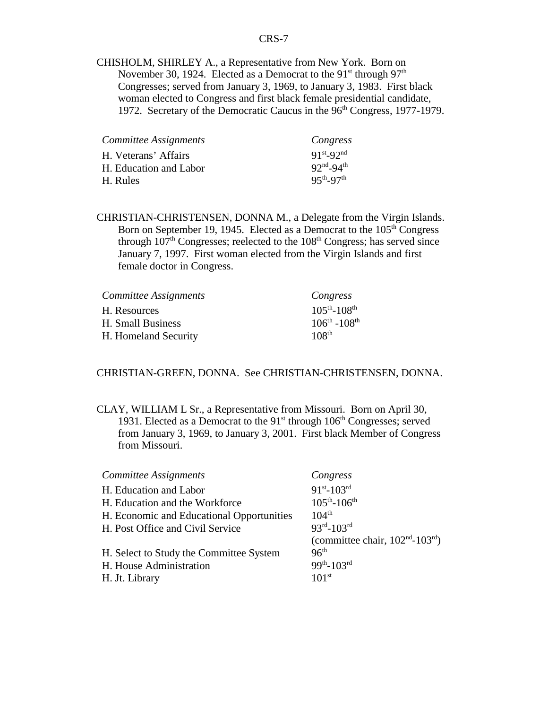CHISHOLM, SHIRLEY A., a Representative from New York. Born on November 30, 1924. Elected as a Democrat to the  $91<sup>st</sup>$  through  $97<sup>th</sup>$ Congresses; served from January 3, 1969, to January 3, 1983. First black woman elected to Congress and first black female presidential candidate, 1972. Secretary of the Democratic Caucus in the 96<sup>th</sup> Congress, 1977-1979.

| Committee Assignments  | Congress                          |
|------------------------|-----------------------------------|
| H. Veterans' Affairs   | $91^{st} - 92^{nd}$               |
| H. Education and Labor | $92^{\text{nd}} - 94^{\text{th}}$ |
| H. Rules               | $95^{th} - 97^{th}$               |

CHRISTIAN-CHRISTENSEN, DONNA M., a Delegate from the Virgin Islands. Born on September 19, 1945. Elected as a Democrat to the  $105<sup>th</sup>$  Congress through  $107<sup>th</sup>$  Congresses; reelected to the  $108<sup>th</sup>$  Congress; has served since January 7, 1997. First woman elected from the Virgin Islands and first female doctor in Congress.

| Committee Assignments | Congress              |
|-----------------------|-----------------------|
| H. Resources          | $105^{th} - 108^{th}$ |
| H. Small Business     | $106^{th} - 108^{th}$ |
| H. Homeland Security  | 108 <sup>th</sup>     |

#### CHRISTIAN-GREEN, DONNA. See CHRISTIAN-CHRISTENSEN, DONNA.

CLAY, WILLIAM L Sr., a Representative from Missouri. Born on April 30, 1931. Elected as a Democrat to the 91<sup>st</sup> through 106<sup>th</sup> Congresses; served from January 3, 1969, to January 3, 2001. First black Member of Congress from Missouri.

| Committee Assignments                     | Congress                                       |
|-------------------------------------------|------------------------------------------------|
| H. Education and Labor                    | $91^{st} - 103^{rd}$                           |
| H. Education and the Workforce            | $105^{th} - 106^{th}$                          |
| H. Economic and Educational Opportunities | $104^{th}$                                     |
| H. Post Office and Civil Service          | $93^{rd} - 103^{rd}$                           |
|                                           | (committee chair, $102nd$ -103 <sup>rd</sup> ) |
| H. Select to Study the Committee System   | 96 <sup>th</sup>                               |
| H. House Administration                   | $99^{th} - 103^{rd}$                           |
| H. Jt. Library                            | 101 <sup>st</sup>                              |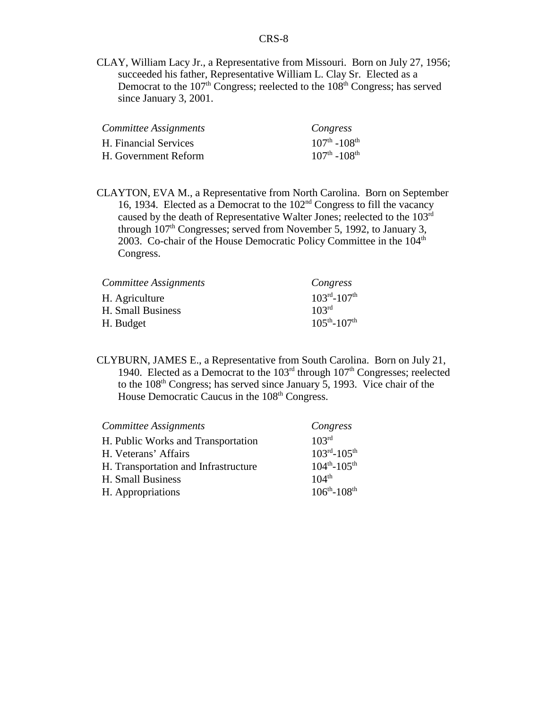CLAY, William Lacy Jr., a Representative from Missouri. Born on July 27, 1956; succeeded his father, Representative William L. Clay Sr. Elected as a Democrat to the  $107<sup>th</sup>$  Congress; reelected to the  $108<sup>th</sup>$  Congress; has served since January 3, 2001.

| Committee Assignments | Congress                            |
|-----------------------|-------------------------------------|
| H. Financial Services | $107^{\text{th}} - 108^{\text{th}}$ |
| H. Government Reform  | $107^{\text{th}} - 108^{\text{th}}$ |

CLAYTON, EVA M., a Representative from North Carolina. Born on September 16, 1934. Elected as a Democrat to the  $102<sup>nd</sup>$  Congress to fill the vacancy caused by the death of Representative Walter Jones; reelected to the 103rd through  $107<sup>th</sup>$  Congresses; served from November 5, 1992, to January 3, 2003. Co-chair of the House Democratic Policy Committee in the  $104<sup>th</sup>$ Congress.

| Committee Assignments | Congress                            |
|-----------------------|-------------------------------------|
| H. Agriculture        | $103^{\text{rd}} - 107^{\text{th}}$ |
| H. Small Business     | 103 <sup>rd</sup>                   |
| H. Budget             | $105^{th} - 107^{th}$               |

CLYBURN, JAMES E., a Representative from South Carolina. Born on July 21, 1940. Elected as a Democrat to the  $103<sup>rd</sup>$  through  $107<sup>th</sup>$  Congresses; reelected to the 108<sup>th</sup> Congress; has served since January 5, 1993. Vice chair of the House Democratic Caucus in the 108<sup>th</sup> Congress.

| Committee Assignments                | Congress                            |
|--------------------------------------|-------------------------------------|
| H. Public Works and Transportation   | 103 <sup>rd</sup>                   |
| H. Veterans' Affairs                 | $103^{\text{rd}} - 105^{\text{th}}$ |
| H. Transportation and Infrastructure | $104^{th} - 105^{th}$               |
| H. Small Business                    | $104^{th}$                          |
| H. Appropriations                    | $106^{th} - 108^{th}$               |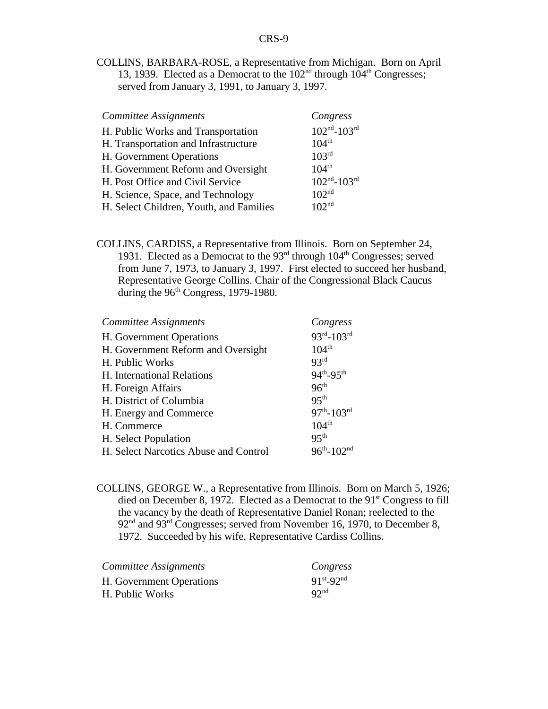COLLINS, BARBARA-ROSE, a Representative from Michigan. Born on April 13, 1939. Elected as a Democrat to the  $102<sup>nd</sup>$  through  $104<sup>th</sup>$  Congresses; served from January 3, 1991, to January 3, 1997.

| <b>Committee Assignments</b>            | Congress          |
|-----------------------------------------|-------------------|
| H. Public Works and Transportation      | $102nd - 103rd$   |
| H. Transportation and Infrastructure    | $104^{th}$        |
| H. Government Operations                | 103 <sup>rd</sup> |
| H. Government Reform and Oversight      | $104^{th}$        |
| H. Post Office and Civil Service        | $102nd - 103rd$   |
| H. Science, Space, and Technology       | 102 <sup>nd</sup> |
| H. Select Children, Youth, and Families | 102 <sup>nd</sup> |

COLLINS, CARDISS, a Representative from Illinois. Born on September 24, 1931. Elected as a Democrat to the  $93<sup>rd</sup>$  through  $104<sup>th</sup>$  Congresses; served from June 7, 1973, to January 3, 1997. First elected to succeed her husband, Representative George Collins. Chair of the Congressional Black Caucus during the  $96<sup>th</sup> Congress$ , 1979-1980.

| Committee Assignments                 | Congress              |
|---------------------------------------|-----------------------|
| H. Government Operations              | $93^{rd} - 103^{rd}$  |
| H. Government Reform and Oversight    | $104^{th}$            |
| H. Public Works                       | 93 <sup>rd</sup>      |
| H. International Relations            | 94th <sub>-95th</sub> |
| H. Foreign Affairs                    | 96 <sup>th</sup>      |
| H. District of Columbia               | 95 <sup>th</sup>      |
| H. Energy and Commerce                | $97th - 103rd$        |
| H. Commerce                           | 104 <sup>th</sup>     |
| H. Select Population                  | 95 <sup>th</sup>      |
| H. Select Narcotics Abuse and Control | $96^{th} - 102^{nd}$  |

COLLINS, GEORGE W., a Representative from Illinois. Born on March 5, 1926; died on December 8, 1972. Elected as a Democrat to the 91st Congress to fill the vacancy by the death of Representative Daniel Ronan; reelected to the  $92<sup>nd</sup>$  and  $93<sup>rd</sup>$  Congresses; served from November 16, 1970, to December 8, 1972. Succeeded by his wife, Representative Cardiss Collins.

| Committee Assignments    | Congress            |
|--------------------------|---------------------|
| H. Government Operations | $91^{st} - 92^{nd}$ |
| H. Public Works          | 92 <sup>nd</sup>    |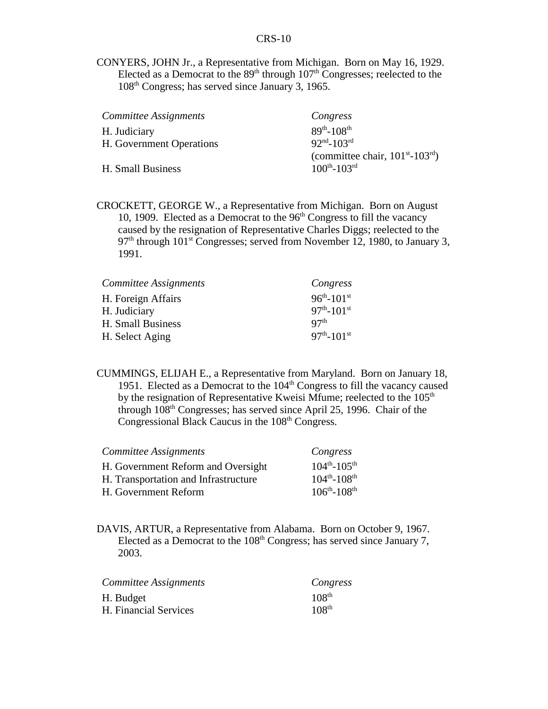CONYERS, JOHN Jr., a Representative from Michigan. Born on May 16, 1929. Elected as a Democrat to the  $89<sup>th</sup>$  through  $107<sup>th</sup>$  Congresses; reelected to the 108th Congress; has served since January 3, 1965.

| Committee Assignments    | Congress                                    |
|--------------------------|---------------------------------------------|
| H. Judiciary             | $89^{th} - 108^{th}$                        |
| H. Government Operations | $92nd - 103rd$                              |
|                          | (committee chair, $101^{st}$ - $103^{rd}$ ) |
| H. Small Business        | $100^{th} - 103^{rd}$                       |

CROCKETT, GEORGE W., a Representative from Michigan. Born on August 10, 1909. Elected as a Democrat to the  $96<sup>th</sup>$  Congress to fill the vacancy caused by the resignation of Representative Charles Diggs; reelected to the  $97<sup>th</sup>$  through 101<sup>st</sup> Congresses; served from November 12, 1980, to January 3, 1991.

| Congress                     |
|------------------------------|
| $96^{th} - 101^{st}$         |
| $97^{th}$ -101st             |
| Q7 <sup>th</sup>             |
| $97^{th}$ -101 <sup>st</sup> |
|                              |

CUMMINGS, ELIJAH E., a Representative from Maryland. Born on January 18, 1951. Elected as a Democrat to the  $104<sup>th</sup>$  Congress to fill the vacancy caused by the resignation of Representative Kweisi Mfume; reelected to the  $105<sup>th</sup>$ through  $108<sup>th</sup>$  Congresses; has served since April 25, 1996. Chair of the Congressional Black Caucus in the 108<sup>th</sup> Congress.

| Committee Assignments                | Congress              |
|--------------------------------------|-----------------------|
| H. Government Reform and Oversight   | $104^{th} - 105^{th}$ |
| H. Transportation and Infrastructure | $104^{th} - 108^{th}$ |
| H. Government Reform                 | $106^{th} - 108^{th}$ |

DAVIS, ARTUR, a Representative from Alabama. Born on October 9, 1967. Elected as a Democrat to the  $108<sup>th</sup>$  Congress; has served since January 7, 2003.

| Committee Assignments | Congress          |
|-----------------------|-------------------|
| H. Budget             | $108^{th}$        |
| H. Financial Services | 108 <sup>th</sup> |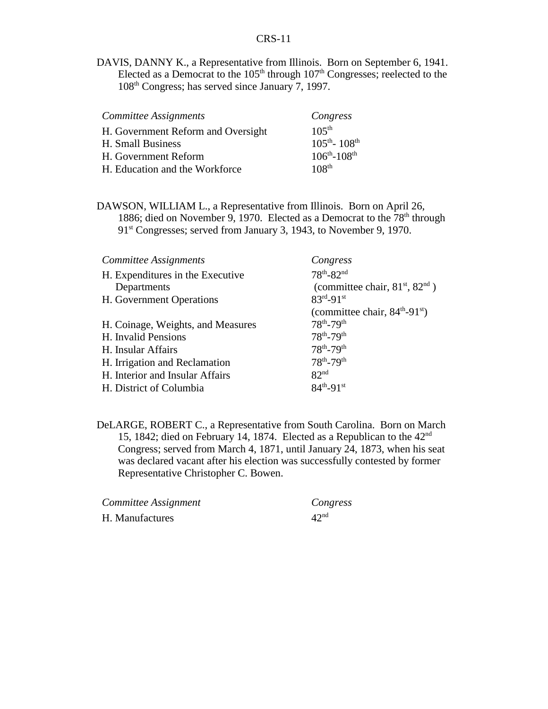DAVIS, DANNY K., a Representative from Illinois. Born on September 6, 1941. Elected as a Democrat to the  $105<sup>th</sup>$  through  $107<sup>th</sup>$  Congresses; reelected to the 108th Congress; has served since January 7, 1997.

| Committee Assignments              | Congress                              |
|------------------------------------|---------------------------------------|
| H. Government Reform and Oversight | $105^{th}$                            |
| H. Small Business                  | $105^{\text{th}}$ - 108 <sup>th</sup> |
| H. Government Reform               | $106^{th} - 108^{th}$                 |
| H. Education and the Workforce     | 108 <sup>th</sup>                     |

DAWSON, WILLIAM L., a Representative from Illinois. Born on April 26, 1886; died on November 9, 1970. Elected as a Democrat to the  $78<sup>th</sup>$  through 91<sup>st</sup> Congresses; served from January 3, 1943, to November 9, 1970.

| Congress                                            |
|-----------------------------------------------------|
| $78^{th} - 82^{nd}$                                 |
| (committee chair, $81st$ , $82nd$ )                 |
| $83^{rd} - 91^{st}$                                 |
| (committee chair, $84^{\text{th}}-91^{\text{st}}$ ) |
| $78^{th} - 79^{th}$                                 |
| $78^{th} - 79^{th}$                                 |
| $78^{th} - 79^{th}$                                 |
| $78^{th} - 79^{th}$                                 |
| 82 <sup>nd</sup>                                    |
| $84^{th} - 91^{st}$                                 |
|                                                     |

DeLARGE, ROBERT C., a Representative from South Carolina. Born on March 15, 1842; died on February 14, 1874. Elected as a Republican to the  $42<sup>nd</sup>$ Congress; served from March 4, 1871, until January 24, 1873, when his seat was declared vacant after his election was successfully contested by former Representative Christopher C. Bowen.

| Committee Assignment | Congress         |
|----------------------|------------------|
| H. Manufactures      | 42 <sup>nd</sup> |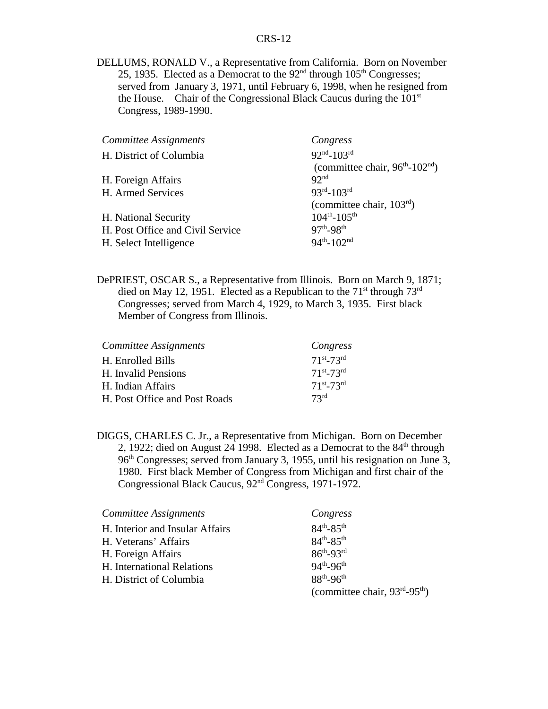DELLUMS, RONALD V., a Representative from California. Born on November 25, 1935. Elected as a Democrat to the  $92<sup>nd</sup>$  through  $105<sup>th</sup>$  Congresses; served from January 3, 1971, until February 6, 1998, when he resigned from the House. Chair of the Congressional Black Caucus during the  $101<sup>st</sup>$ Congress, 1989-1990.

| Committee Assignments            | Congress                                               |
|----------------------------------|--------------------------------------------------------|
| H. District of Columbia          | $92nd - 103rd$                                         |
|                                  | (committee chair, $96^{\text{th}} - 102^{\text{nd}}$ ) |
| H. Foreign Affairs               | 92 <sup>nd</sup>                                       |
| H. Armed Services                | $93^{rd} - 103^{rd}$                                   |
|                                  | (committee chair, $103rd$ )                            |
| H. National Security             | $104^{th} - 105^{th}$                                  |
| H. Post Office and Civil Service | $97^{th} - 98^{th}$                                    |
| H. Select Intelligence           | $94^{th} - 102^{nd}$                                   |

DePRIEST, OSCAR S., a Representative from Illinois. Born on March 9, 1871; died on May 12, 1951. Elected as a Republican to the  $71<sup>st</sup>$  through  $73<sup>rd</sup>$ Congresses; served from March 4, 1929, to March 3, 1935. First black Member of Congress from Illinois.

| Committee Assignments         | Congress            |
|-------------------------------|---------------------|
| H. Enrolled Bills             | $71^{st} - 73^{rd}$ |
| H. Invalid Pensions           | $71^{st} - 73^{rd}$ |
| H. Indian Affairs             | $71^{st} - 73^{rd}$ |
| H. Post Office and Post Roads | 73 <sup>rd</sup>    |

DIGGS, CHARLES C. Jr., a Representative from Michigan. Born on December 2, 1922; died on August 24 1998. Elected as a Democrat to the  $84<sup>th</sup>$  through 96th Congresses; served from January 3, 1955, until his resignation on June 3, 1980. First black Member of Congress from Michigan and first chair of the Congressional Black Caucus, 92nd Congress, 1971-1972.

| Committee Assignments           | Congress                                              |
|---------------------------------|-------------------------------------------------------|
| H. Interior and Insular Affairs | $84^{th} - 85^{th}$                                   |
| H. Veterans' Affairs            | $84^{th} - 85^{th}$                                   |
| H. Foreign Affairs              | $86^{th} - 93^{rd}$                                   |
| H. International Relations      | $94^{th} - 96^{th}$                                   |
| H. District of Columbia         | $88^{th} - 96^{th}$                                   |
|                                 | (committee chair, $93^{\text{rd}} - 95^{\text{th}}$ ) |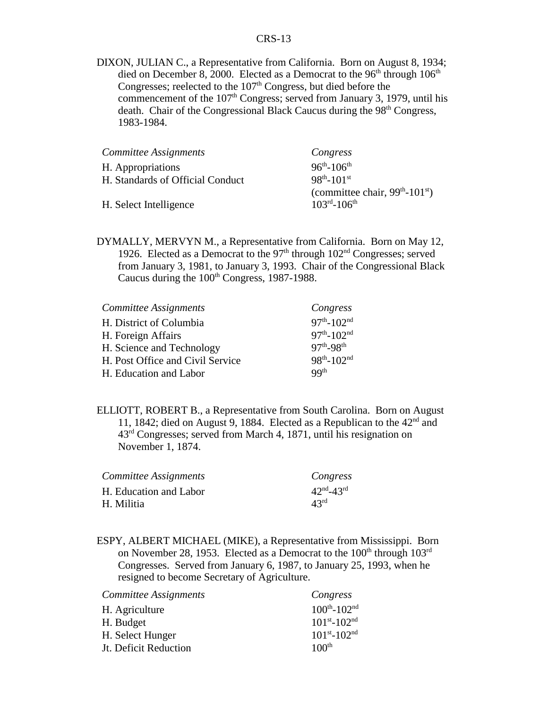DIXON, JULIAN C., a Representative from California. Born on August 8, 1934; died on December 8, 2000. Elected as a Democrat to the  $96<sup>th</sup>$  through  $106<sup>th</sup>$ Congresses; reelected to the  $107<sup>th</sup>$  Congress, but died before the commencement of the  $107<sup>th</sup>$  Congress; served from January 3, 1979, until his death. Chair of the Congressional Black Caucus during the  $98<sup>th</sup>$  Congress, 1983-1984.

| Committee Assignments            | Congress                                      |
|----------------------------------|-----------------------------------------------|
| H. Appropriations                | $96^{th} - 106^{th}$                          |
| H. Standards of Official Conduct | $98^{th} - 101^{st}$                          |
|                                  | (committee chair, $99th$ -101 <sup>st</sup> ) |
| H. Select Intelligence           | $103^{\text{rd}} - 106^{\text{th}}$           |

DYMALLY, MERVYN M., a Representative from California. Born on May 12, 1926. Elected as a Democrat to the  $97<sup>th</sup>$  through  $102<sup>nd</sup>$  Congresses; served from January 3, 1981, to January 3, 1993. Chair of the Congressional Black Caucus during the  $100<sup>th</sup>$  Congress, 1987-1988.

| Committee Assignments            | Congress                     |
|----------------------------------|------------------------------|
| H. District of Columbia          | $97^{th}$ -102 <sup>nd</sup> |
| H. Foreign Affairs               | $97^{th}$ -102 <sup>nd</sup> |
| H. Science and Technology        | $97^{th} - 98^{th}$          |
| H. Post Office and Civil Service | $98^{th} - 102^{nd}$         |
| H. Education and Labor           | QQ <sup>th</sup>             |

ELLIOTT, ROBERT B., a Representative from South Carolina. Born on August 11, 1842; died on August 9, 1884. Elected as a Republican to the  $42<sup>nd</sup>$  and 43rd Congresses; served from March 4, 1871, until his resignation on November 1, 1874.

| Committee Assignments  | Congress                          |
|------------------------|-----------------------------------|
| H. Education and Labor | $42^{\text{nd}} - 43^{\text{rd}}$ |
| H. Militia             | 43 <sup>rd</sup>                  |

ESPY, ALBERT MICHAEL (MIKE), a Representative from Mississippi. Born on November 28, 1953. Elected as a Democrat to the  $100<sup>th</sup>$  through  $103<sup>rd</sup>$ Congresses. Served from January 6, 1987, to January 25, 1993, when he resigned to become Secretary of Agriculture.

| Committee Assignments | Congress                      |
|-----------------------|-------------------------------|
| H. Agriculture        | $100^{th} - 102^{nd}$         |
| H. Budget             | $101^{st} - 102^{nd}$         |
| H. Select Hunger      | $101^{st}$ -102 <sup>nd</sup> |
| Jt. Deficit Reduction | 100 <sup>th</sup>             |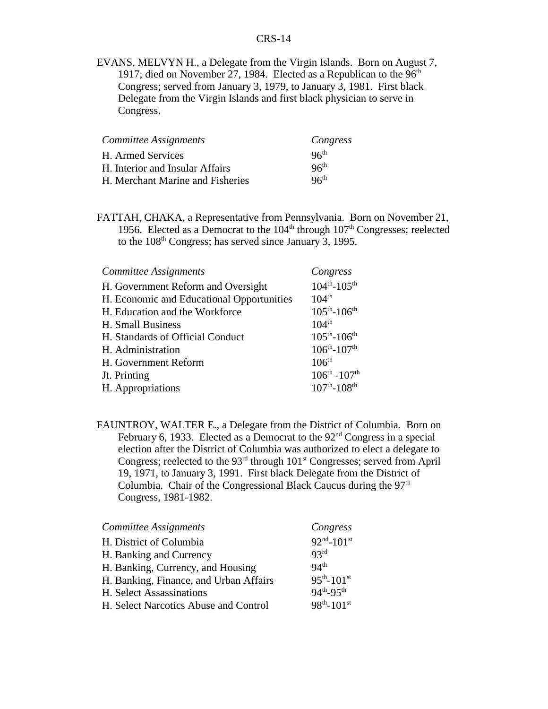EVANS, MELVYN H., a Delegate from the Virgin Islands. Born on August 7, 1917; died on November 27, 1984. Elected as a Republican to the  $96<sup>th</sup>$ Congress; served from January 3, 1979, to January 3, 1981. First black Delegate from the Virgin Islands and first black physician to serve in Congress.

| Committee Assignments            | Congress         |
|----------------------------------|------------------|
| H. Armed Services                | 96 <sup>th</sup> |
| H. Interior and Insular Affairs  | 96 <sup>th</sup> |
| H. Merchant Marine and Fisheries | 96 <sup>th</sup> |

FATTAH, CHAKA, a Representative from Pennsylvania. Born on November 21, 1956. Elected as a Democrat to the  $104<sup>th</sup>$  through  $107<sup>th</sup>$  Congresses; reelected to the 108th Congress; has served since January 3, 1995.

| Committee Assignments                     | Congress                            |
|-------------------------------------------|-------------------------------------|
| H. Government Reform and Oversight        | $104^{th} - 105^{th}$               |
| H. Economic and Educational Opportunities | $104^{th}$                          |
| H. Education and the Workforce            | $105^{th} - 106^{th}$               |
| H. Small Business                         | $104^{th}$                          |
| H. Standards of Official Conduct          | $105^{th} - 106^{th}$               |
| H. Administration                         | $106^{th} - 107^{th}$               |
| H. Government Reform                      | 106 <sup>th</sup>                   |
| Jt. Printing                              | $106^{\text{th}} - 107^{\text{th}}$ |
| H. Appropriations                         | $107^{th}$ -108 <sup>th</sup>       |

FAUNTROY, WALTER E., a Delegate from the District of Columbia. Born on February 6, 1933. Elected as a Democrat to the  $92<sup>nd</sup>$  Congress in a special election after the District of Columbia was authorized to elect a delegate to Congress; reelected to the  $93<sup>rd</sup>$  through  $101<sup>st</sup>$  Congresses; served from April 19, 1971, to January 3, 1991. First black Delegate from the District of Columbia. Chair of the Congressional Black Caucus during the 97<sup>th</sup> Congress, 1981-1982.

| Committee Assignments                  | Congress             |
|----------------------------------------|----------------------|
| H. District of Columbia                | $92nd - 101st$       |
| H. Banking and Currency                | 93rd                 |
| H. Banking, Currency, and Housing      | 94 <sup>th</sup>     |
| H. Banking, Finance, and Urban Affairs | $95^{th} - 101^{st}$ |
| H. Select Assassinations               | $94^{th} - 95^{th}$  |
| H. Select Narcotics Abuse and Control  | $98^{th} - 101^{st}$ |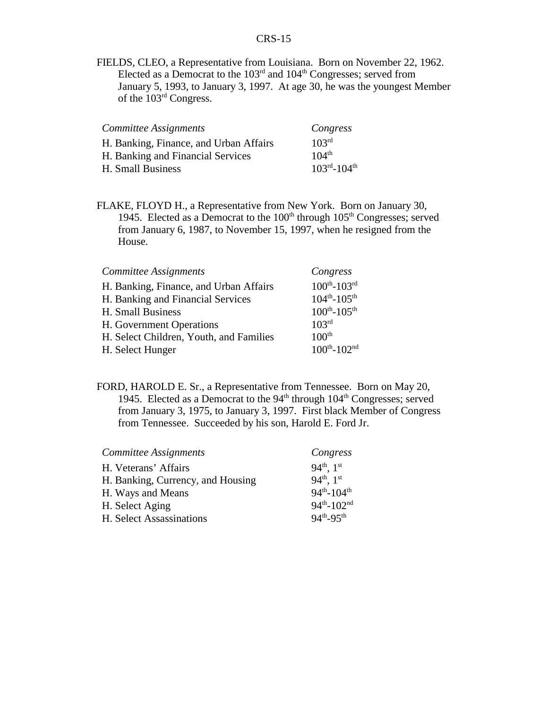FIELDS, CLEO, a Representative from Louisiana. Born on November 22, 1962. Elected as a Democrat to the  $103<sup>rd</sup>$  and  $104<sup>th</sup>$  Congresses; served from January 5, 1993, to January 3, 1997. At age 30, he was the youngest Member of the 103rd Congress.

| Committee Assignments                  | Congress                            |
|----------------------------------------|-------------------------------------|
| H. Banking, Finance, and Urban Affairs | 103 <sup>rd</sup>                   |
| H. Banking and Financial Services      | $104^{th}$                          |
| H. Small Business                      | $103^{\text{rd}} - 104^{\text{th}}$ |

FLAKE, FLOYD H., a Representative from New York. Born on January 30, 1945. Elected as a Democrat to the  $100<sup>th</sup>$  through  $105<sup>th</sup>$  Congresses; served from January 6, 1987, to November 15, 1997, when he resigned from the House.

| Committee Assignments                   | Congress                      |
|-----------------------------------------|-------------------------------|
| H. Banking, Finance, and Urban Affairs  | $100^{th}$ - $103^{rd}$       |
| H. Banking and Financial Services       | $104^{th} - 105^{th}$         |
| H. Small Business                       | $100^{th} - 105^{th}$         |
| H. Government Operations                | 103 <sup>rd</sup>             |
| H. Select Children, Youth, and Families | 100 <sup>th</sup>             |
| H. Select Hunger                        | $100^{th}$ -102 <sup>nd</sup> |

FORD, HAROLD E. Sr., a Representative from Tennessee. Born on May 20, 1945. Elected as a Democrat to the  $94<sup>th</sup>$  through  $104<sup>th</sup>$  Congresses; served from January 3, 1975, to January 3, 1997. First black Member of Congress from Tennessee. Succeeded by his son, Harold E. Ford Jr.

| Congress             |
|----------------------|
| $94^{th}$ , $1^{st}$ |
| $94^{th}$ , $1^{st}$ |
| $94^{th} - 104^{th}$ |
| $94^{th} - 102^{nd}$ |
| $94^{th} - 95^{th}$  |
|                      |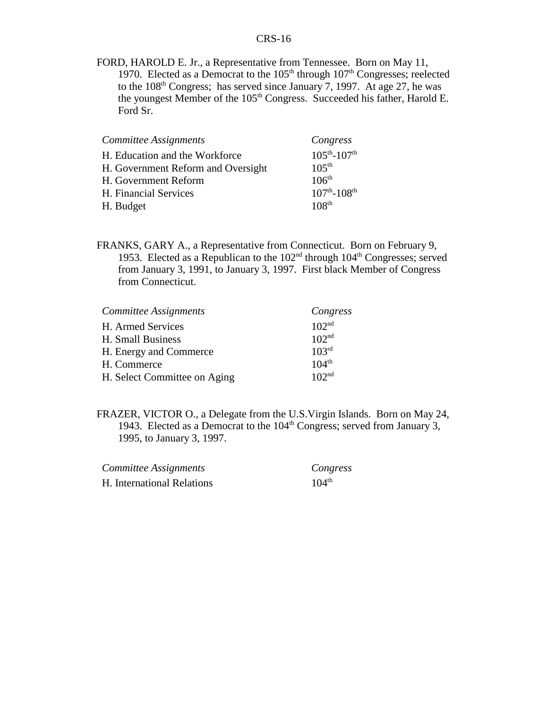FORD, HAROLD E. Jr., a Representative from Tennessee. Born on May 11, 1970. Elected as a Democrat to the  $105<sup>th</sup>$  through  $107<sup>th</sup>$  Congresses; reelected to the  $108<sup>th</sup>$  Congress; has served since January 7, 1997. At age 27, he was the youngest Member of the 105<sup>th</sup> Congress. Succeeded his father, Harold E. Ford Sr.

| Committee Assignments              | Congress                      |
|------------------------------------|-------------------------------|
| H. Education and the Workforce     | $105^{th} - 107^{th}$         |
| H. Government Reform and Oversight | $10.5^{\text{th}}$            |
| H. Government Reform               | 106 <sup>th</sup>             |
| H. Financial Services              | $107^{th}$ -108 <sup>th</sup> |
| H. Budget                          | 108 <sup>th</sup>             |

FRANKS, GARY A., a Representative from Connecticut. Born on February 9, 1953. Elected as a Republican to the  $102<sup>nd</sup>$  through  $104<sup>th</sup>$  Congresses; served from January 3, 1991, to January 3, 1997. First black Member of Congress from Connecticut.

| Committee Assignments        | Congress          |
|------------------------------|-------------------|
| H. Armed Services            | 102 <sup>nd</sup> |
| H. Small Business            | 102 <sup>nd</sup> |
| H. Energy and Commerce       | 103 <sup>rd</sup> |
| H. Commerce                  | $104^{th}$        |
| H. Select Committee on Aging | 102 <sup>nd</sup> |

FRAZER, VICTOR O., a Delegate from the U.S.Virgin Islands. Born on May 24, 1943. Elected as a Democrat to the 104<sup>th</sup> Congress; served from January 3, 1995, to January 3, 1997.

| Committee Assignments      | Congress          |
|----------------------------|-------------------|
| H. International Relations | $104^{\text{th}}$ |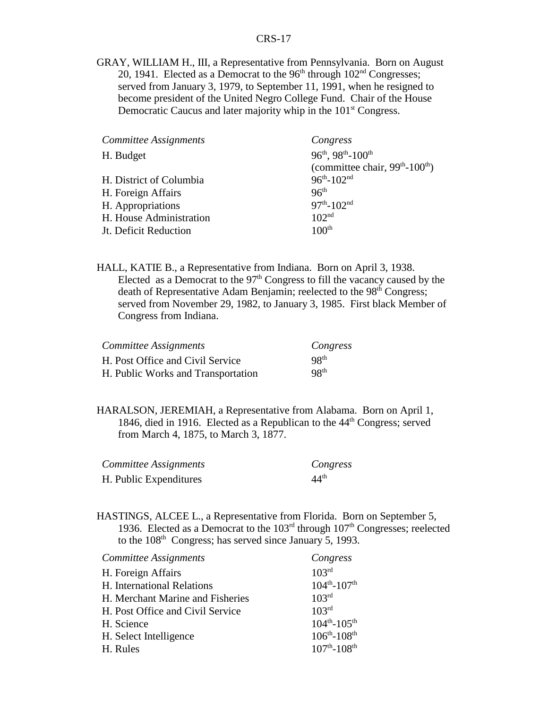GRAY, WILLIAM H., III, a Representative from Pennsylvania. Born on August 20, 1941. Elected as a Democrat to the  $96<sup>th</sup>$  through  $102<sup>nd</sup>$  Congresses; served from January 3, 1979, to September 11, 1991, when he resigned to become president of the United Negro College Fund. Chair of the House Democratic Caucus and later majority whip in the 101<sup>st</sup> Congress.

| Committee Assignments   | Congress                                      |
|-------------------------|-----------------------------------------------|
| H. Budget               | $96^{th}$ , $98^{th}$ - $100^{th}$            |
|                         | (committee chair, $99th$ -100 <sup>th</sup> ) |
| H. District of Columbia | $96^{th} - 102^{nd}$                          |
| H. Foreign Affairs      | 96 <sup>th</sup>                              |
| H. Appropriations       | $97th - 102nd$                                |
| H. House Administration | 102 <sup>nd</sup>                             |
| Jt. Deficit Reduction   | 100 <sup>th</sup>                             |

HALL, KATIE B., a Representative from Indiana. Born on April 3, 1938. Elected as a Democrat to the  $97<sup>th</sup>$  Congress to fill the vacancy caused by the death of Representative Adam Benjamin; reelected to the 98<sup>th</sup> Congress; served from November 29, 1982, to January 3, 1985. First black Member of Congress from Indiana.

| Committee Assignments              | Congress         |
|------------------------------------|------------------|
| H. Post Office and Civil Service   | 98 <sup>th</sup> |
| H. Public Works and Transportation | 98 <sup>th</sup> |

HARALSON, JEREMIAH, a Representative from Alabama. Born on April 1, 1846, died in 1916. Elected as a Republican to the 44<sup>th</sup> Congress; served from March 4, 1875, to March 3, 1877.

| Committee Assignments  | Congress         |
|------------------------|------------------|
| H. Public Expenditures | $44^{\text{th}}$ |

HASTINGS, ALCEE L., a Representative from Florida. Born on September 5, 1936. Elected as a Democrat to the  $103<sup>rd</sup>$  through  $107<sup>th</sup>$  Congresses; reelected to the 108<sup>th</sup> Congress; has served since January 5, 1993.

| <b>Committee Assignments</b>     | Congress                      |
|----------------------------------|-------------------------------|
| H. Foreign Affairs               | 103 <sup>rd</sup>             |
| H. International Relations       | $104^{th} - 107^{th}$         |
| H. Merchant Marine and Fisheries | 103 <sup>rd</sup>             |
| H. Post Office and Civil Service | 103 <sup>rd</sup>             |
| H. Science                       | $104^{th} - 105^{th}$         |
| H. Select Intelligence           | $106^{th} - 108^{th}$         |
| H. Rules                         | $107^{th}$ -108 <sup>th</sup> |
|                                  |                               |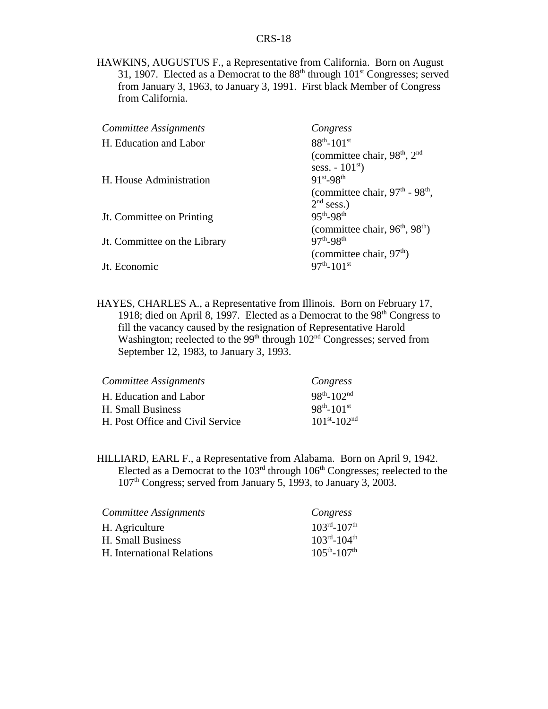HAWKINS, AUGUSTUS F., a Representative from California. Born on August 31, 1907. Elected as a Democrat to the  $88<sup>th</sup>$  through  $101<sup>st</sup>$  Congresses; served from January 3, 1963, to January 3, 1991. First black Member of Congress from California.

| Committee Assignments        | Congress                                             |
|------------------------------|------------------------------------------------------|
| H. Education and Labor       | $88^{th} - 101^{st}$                                 |
|                              | (committee chair, 98 <sup>th</sup> , 2 <sup>nd</sup> |
|                              | sess. $-101^{st}$ )                                  |
| H. House Administration      | $91^{st} - 98^{th}$                                  |
|                              | (committee chair, $97th$ - $98th$ ,                  |
|                              | $2nd$ sess.)                                         |
| Jt. Committee on Printing    | $95^{th} - 98^{th}$                                  |
|                              | (committee chair, $96th$ , $98th$ )                  |
| Jt. Committee on the Library | $97^{th} - 98^{th}$                                  |
|                              | (committee chair, $97th$ )                           |
| Jt. Economic                 | $97^{th} - 101^{st}$                                 |
|                              |                                                      |

HAYES, CHARLES A., a Representative from Illinois. Born on February 17, 1918; died on April 8, 1997. Elected as a Democrat to the  $98<sup>th</sup>$  Congress to fill the vacancy caused by the resignation of Representative Harold Washington; reelected to the 99<sup>th</sup> through  $102<sup>nd</sup>$  Congresses; served from September 12, 1983, to January 3, 1993.

| Committee Assignments            | Congress              |
|----------------------------------|-----------------------|
| H. Education and Labor           | $98^{th} - 102^{nd}$  |
| H. Small Business                | $98^{th} - 101^{st}$  |
| H. Post Office and Civil Service | $101^{st} - 102^{nd}$ |

HILLIARD, EARL F., a Representative from Alabama. Born on April 9, 1942. Elected as a Democrat to the  $103<sup>rd</sup>$  through  $106<sup>th</sup>$  Congresses; reelected to the 107th Congress; served from January 5, 1993, to January 3, 2003.

| Committee Assignments      | Congress                            |
|----------------------------|-------------------------------------|
| H. Agriculture             | $103^{\text{rd}} - 107^{\text{th}}$ |
| H. Small Business          | $103^{\text{rd}} - 104^{\text{th}}$ |
| H. International Relations | $105^{th} - 107^{th}$               |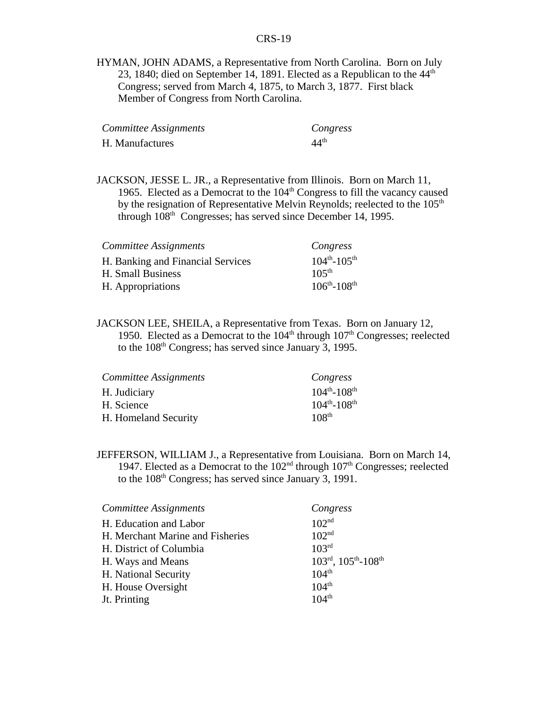HYMAN, JOHN ADAMS, a Representative from North Carolina. Born on July 23, 1840; died on September 14, 1891. Elected as a Republican to the  $44<sup>th</sup>$ Congress; served from March 4, 1875, to March 3, 1877. First black Member of Congress from North Carolina.

| Committee Assignments | Congress         |
|-----------------------|------------------|
| H. Manufactures       | 44 <sup>th</sup> |

JACKSON, JESSE L. JR., a Representative from Illinois. Born on March 11, 1965. Elected as a Democrat to the  $104<sup>th</sup>$  Congress to fill the vacancy caused by the resignation of Representative Melvin Reynolds; reelected to the  $105<sup>th</sup>$ through  $108<sup>th</sup>$  Congresses; has served since December 14, 1995.

| Committee Assignments             | Congress              |
|-----------------------------------|-----------------------|
| H. Banking and Financial Services | $104^{th} - 105^{th}$ |
| H. Small Business                 | 105 <sup>th</sup>     |
| H. Appropriations                 | $106^{th} - 108^{th}$ |

JACKSON LEE, SHEILA, a Representative from Texas. Born on January 12, 1950. Elected as a Democrat to the  $104<sup>th</sup>$  through  $107<sup>th</sup>$  Congresses; reelected to the  $108<sup>th</sup>$  Congress; has served since January 3, 1995.

| Committee Assignments | Congress                      |
|-----------------------|-------------------------------|
| H. Judiciary          | $104^{th} - 108^{th}$         |
| H. Science            | $104^{th}$ -108 <sup>th</sup> |
| H. Homeland Security  | 108 <sup>th</sup>             |

JEFFERSON, WILLIAM J., a Representative from Louisiana. Born on March 14, 1947. Elected as a Democrat to the  $102<sup>nd</sup>$  through  $107<sup>th</sup>$  Congresses; reelected to the 108th Congress; has served since January 3, 1991.

| Committee Assignments            | Congress                                                  |
|----------------------------------|-----------------------------------------------------------|
| H. Education and Labor           | 102 <sup>nd</sup>                                         |
| H. Merchant Marine and Fisheries | 102 <sup>nd</sup>                                         |
| H. District of Columbia          | 103 <sup>rd</sup>                                         |
| H. Ways and Means                | $103^{\text{rd}}$ , $105^{\text{th}}$ - $108^{\text{th}}$ |
| H. National Security             | $104^{th}$                                                |
| H. House Oversight               | $104^{th}$                                                |
| Jt. Printing                     | $104^{th}$                                                |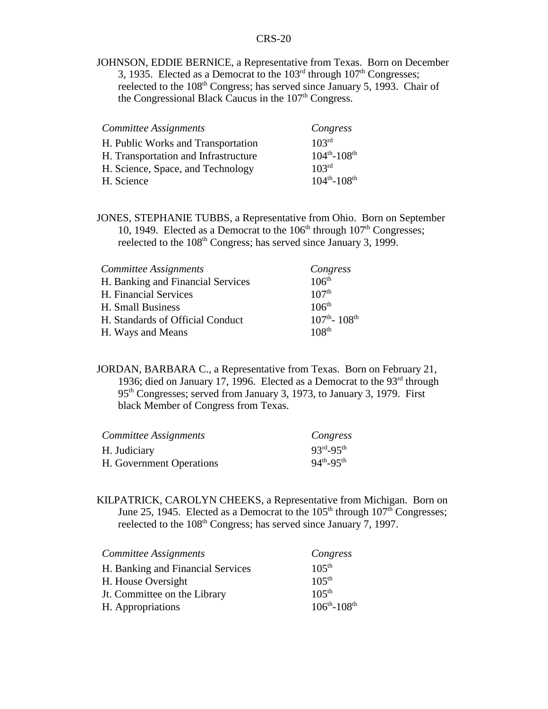JOHNSON, EDDIE BERNICE, a Representative from Texas. Born on December 3, 1935. Elected as a Democrat to the  $103<sup>rd</sup>$  through  $107<sup>th</sup>$  Congresses; reelected to the 108<sup>th</sup> Congress; has served since January 5, 1993. Chair of the Congressional Black Caucus in the  $107<sup>th</sup>$  Congress.

| Committee Assignments                | Congress              |
|--------------------------------------|-----------------------|
| H. Public Works and Transportation   | 103 <sup>rd</sup>     |
| H. Transportation and Infrastructure | $104^{th} - 108^{th}$ |
| H. Science, Space, and Technology    | 103 <sup>rd</sup>     |
| H. Science                           | $104^{th} - 108^{th}$ |

JONES, STEPHANIE TUBBS, a Representative from Ohio. Born on September 10, 1949. Elected as a Democrat to the  $106<sup>th</sup>$  through  $107<sup>th</sup>$  Congresses; reelected to the 108<sup>th</sup> Congress; has served since January 3, 1999.

| Committee Assignments             | Congress                              |
|-----------------------------------|---------------------------------------|
| H. Banking and Financial Services | 106 <sup>th</sup>                     |
| H. Financial Services             | 107 <sup>th</sup>                     |
| H. Small Business                 | 106 <sup>th</sup>                     |
| H. Standards of Official Conduct  | $107^{\text{th}}$ - $108^{\text{th}}$ |
| H. Ways and Means                 | 108 <sup>th</sup>                     |

JORDAN, BARBARA C., a Representative from Texas. Born on February 21, 1936; died on January 17, 1996. Elected as a Democrat to the 93<sup>rd</sup> through 95th Congresses; served from January 3, 1973, to January 3, 1979. First black Member of Congress from Texas.

| Committee Assignments    | Congress            |
|--------------------------|---------------------|
| H. Judiciary             | $93^{rd} - 95^{th}$ |
| H. Government Operations | $94^{th} - 95^{th}$ |

KILPATRICK, CAROLYN CHEEKS, a Representative from Michigan. Born on June 25, 1945. Elected as a Democrat to the  $105<sup>th</sup>$  through  $107<sup>th</sup>$  Congresses; reelected to the 108<sup>th</sup> Congress; has served since January 7, 1997.

| Committee Assignments             | Congress              |
|-----------------------------------|-----------------------|
| H. Banking and Financial Services | $105^{th}$            |
| H. House Oversight                | $105^{th}$            |
| Jt. Committee on the Library      | 105 <sup>th</sup>     |
| H. Appropriations                 | $106^{th} - 108^{th}$ |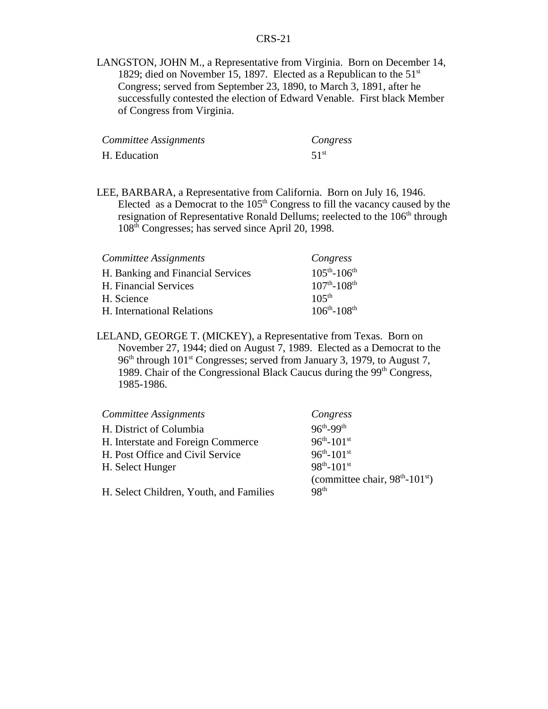LANGSTON, JOHN M., a Representative from Virginia. Born on December 14, 1829; died on November 15, 1897. Elected as a Republican to the  $51<sup>st</sup>$ Congress; served from September 23, 1890, to March 3, 1891, after he successfully contested the election of Edward Venable. First black Member of Congress from Virginia.

| Committee Assignments | Congress         |
|-----------------------|------------------|
| H. Education          | 51 <sup>st</sup> |

LEE, BARBARA, a Representative from California. Born on July 16, 1946. Elected as a Democrat to the  $105<sup>th</sup>$  Congress to fill the vacancy caused by the resignation of Representative Ronald Dellums; reelected to the  $106<sup>th</sup>$  through 108th Congresses; has served since April 20, 1998.

| Committee Assignments             | Congress                      |
|-----------------------------------|-------------------------------|
| H. Banking and Financial Services | $105^{th} - 106^{th}$         |
| H. Financial Services             | $107^{th}$ -108 <sup>th</sup> |
| H. Science                        | $105^{th}$                    |
| H. International Relations        | $106^{th} - 108^{th}$         |

LELAND, GEORGE T. (MICKEY), a Representative from Texas. Born on November 27, 1944; died on August 7, 1989. Elected as a Democrat to the 96<sup>th</sup> through 101<sup>st</sup> Congresses; served from January 3, 1979, to August 7, 1989. Chair of the Congressional Black Caucus during the  $99<sup>th</sup> Congress$ , 1985-1986.

| Committee Assignments                   | Congress                                               |
|-----------------------------------------|--------------------------------------------------------|
| H. District of Columbia                 | $96^{\text{th}} - 99^{\text{th}}$                      |
| H. Interstate and Foreign Commerce      | $96^{th} - 101^{st}$                                   |
| H. Post Office and Civil Service        | $96^{th} - 101^{st}$                                   |
| H. Select Hunger                        | $98^{th} - 101^{st}$                                   |
|                                         | (committee chair, $98^{\text{th}} - 101^{\text{st}}$ ) |
| H. Select Children, Youth, and Families | 98 <sup>th</sup>                                       |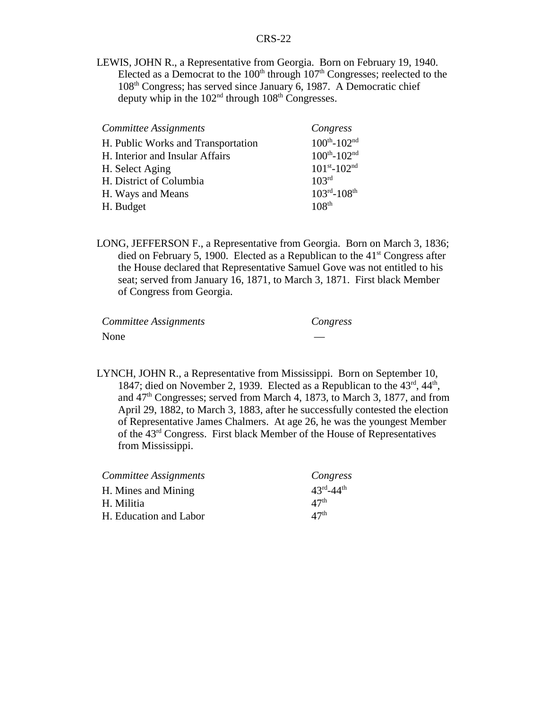LEWIS, JOHN R., a Representative from Georgia. Born on February 19, 1940. Elected as a Democrat to the  $100<sup>th</sup>$  through  $107<sup>th</sup>$  Congresses; reelected to the 108<sup>th</sup> Congress; has served since January 6, 1987. A Democratic chief deputy whip in the  $102<sup>nd</sup>$  through  $108<sup>th</sup>$  Congresses.

| Committee Assignments              | Congress                            |
|------------------------------------|-------------------------------------|
| H. Public Works and Transportation | $100^{th} - 102^{nd}$               |
| H. Interior and Insular Affairs    | $100^{th} - 102^{nd}$               |
| H. Select Aging                    | $101^{st} - 102^{nd}$               |
| H. District of Columbia            | 103 <sup>rd</sup>                   |
| H. Ways and Means                  | $103^{\text{rd}} - 108^{\text{th}}$ |
| H. Budget                          | 108 <sup>th</sup>                   |

LONG, JEFFERSON F., a Representative from Georgia. Born on March 3, 1836; died on February 5, 1900. Elected as a Republican to the  $41<sup>st</sup>$  Congress after the House declared that Representative Samuel Gove was not entitled to his seat; served from January 16, 1871, to March 3, 1871. First black Member of Congress from Georgia.

| Committee Assignments | Congress |
|-----------------------|----------|
| None                  |          |

LYNCH, JOHN R., a Representative from Mississippi. Born on September 10, 1847; died on November 2, 1939. Elected as a Republican to the  $43^{\text{rd}}$ ,  $44^{\text{th}}$ , and  $47<sup>th</sup> Congresses$ ; served from March 4, 1873, to March 3, 1877, and from April 29, 1882, to March 3, 1883, after he successfully contested the election of Representative James Chalmers. At age 26, he was the youngest Member of the 43rd Congress. First black Member of the House of Representatives from Mississippi.

| Committee Assignments  | Congress                          |
|------------------------|-----------------------------------|
| H. Mines and Mining    | $43^{\text{rd}} - 44^{\text{th}}$ |
| H. Militia             | 47 <sup>th</sup>                  |
| H. Education and Labor | 47 <sup>th</sup>                  |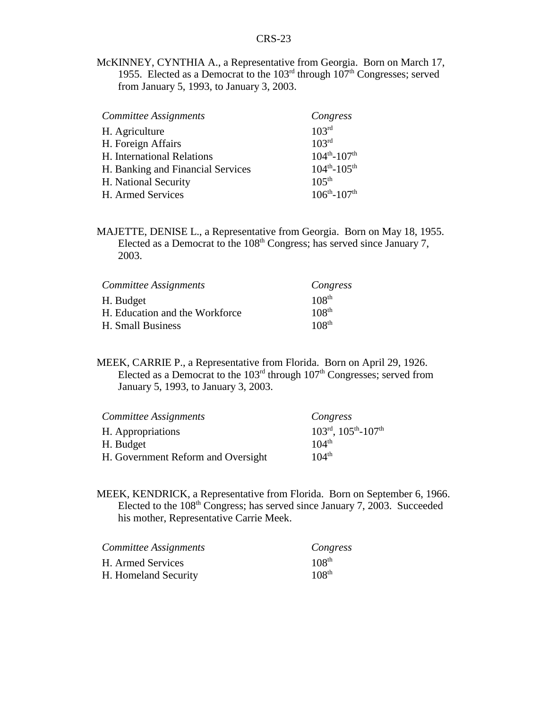McKINNEY, CYNTHIA A., a Representative from Georgia. Born on March 17, 1955. Elected as a Democrat to the  $103<sup>rd</sup>$  through  $107<sup>th</sup>$  Congresses; served from January 5, 1993, to January 3, 2003.

| Committee Assignments             | Congress              |
|-----------------------------------|-----------------------|
| H. Agriculture                    | 103 <sup>rd</sup>     |
| H. Foreign Affairs                | 103 <sup>rd</sup>     |
| H. International Relations        | $104^{th} - 107^{th}$ |
| H. Banking and Financial Services | $104^{th} - 105^{th}$ |
| H. National Security              | $105^{th}$            |
| H. Armed Services                 | $106^{th} - 107^{th}$ |

MAJETTE, DENISE L., a Representative from Georgia. Born on May 18, 1955. Elected as a Democrat to the 108<sup>th</sup> Congress; has served since January 7, 2003.

| Committee Assignments          | Congress          |
|--------------------------------|-------------------|
| H. Budget                      | 108 <sup>th</sup> |
| H. Education and the Workforce | 108 <sup>th</sup> |
| H. Small Business              | 108 <sup>th</sup> |

MEEK, CARRIE P., a Representative from Florida. Born on April 29, 1926. Elected as a Democrat to the  $103<sup>rd</sup>$  through  $107<sup>th</sup>$  Congresses; served from January 5, 1993, to January 3, 2003.

| Committee Assignments              | Congress                                                  |
|------------------------------------|-----------------------------------------------------------|
| H. Appropriations                  | $103^{\text{rd}}$ , $105^{\text{th}}$ - $107^{\text{th}}$ |
| H. Budget                          | $104^{\text{th}}$                                         |
| H. Government Reform and Oversight | $104^{th}$                                                |

MEEK, KENDRICK, a Representative from Florida. Born on September 6, 1966. Elected to the  $108<sup>th</sup> Congress$ ; has served since January 7, 2003. Succeeded his mother, Representative Carrie Meek.

| Committee Assignments | Congress          |
|-----------------------|-------------------|
| H. Armed Services     | 108 <sup>th</sup> |
| H. Homeland Security  | 108 <sup>th</sup> |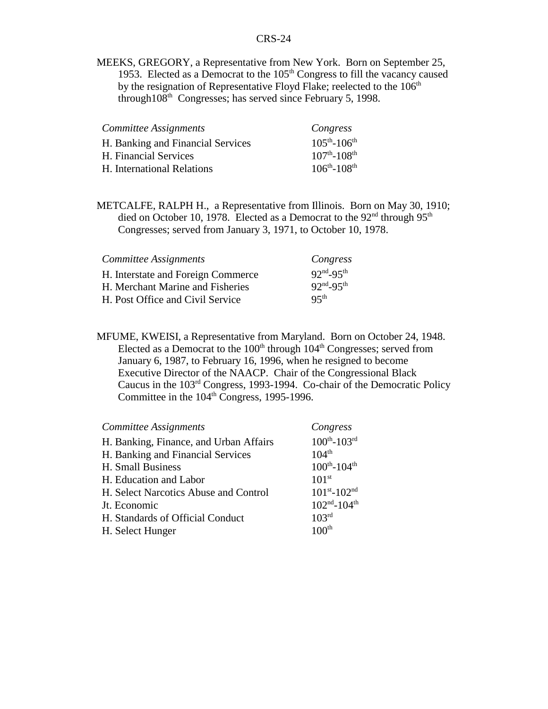MEEKS, GREGORY, a Representative from New York. Born on September 25, 1953. Elected as a Democrat to the  $105<sup>th</sup>$  Congress to fill the vacancy caused by the resignation of Representative Floyd Flake; reelected to the  $106<sup>th</sup>$ through108<sup>th</sup> Congresses; has served since February 5, 1998.

| Committee Assignments             | Congress                      |
|-----------------------------------|-------------------------------|
| H. Banking and Financial Services | $105^{th} - 106^{th}$         |
| H. Financial Services             | $107^{th}$ -108 <sup>th</sup> |
| H. International Relations        | $106^{th} - 108^{th}$         |

METCALFE, RALPH H., a Representative from Illinois. Born on May 30, 1910; died on October 10, 1978. Elected as a Democrat to the 92<sup>nd</sup> through 95<sup>th</sup> Congresses; served from January 3, 1971, to October 10, 1978.

| Committee Assignments              | Congress            |
|------------------------------------|---------------------|
| H. Interstate and Foreign Commerce | $92^{nd} - 95^{th}$ |
| H. Merchant Marine and Fisheries   | $92^{nd} - 95^{th}$ |
| H. Post Office and Civil Service   | 95 <sup>th</sup>    |

MFUME, KWEISI, a Representative from Maryland. Born on October 24, 1948. Elected as a Democrat to the  $100<sup>th</sup>$  through  $104<sup>th</sup>$  Congresses; served from January 6, 1987, to February 16, 1996, when he resigned to become Executive Director of the NAACP. Chair of the Congressional Black Caucus in the 103rd Congress, 1993-1994. Co-chair of the Democratic Policy Committee in the 104<sup>th</sup> Congress, 1995-1996.

| Committee Assignments                  | Congress                            |
|----------------------------------------|-------------------------------------|
| H. Banking, Finance, and Urban Affairs | $100^{th}$ - $103^{rd}$             |
| H. Banking and Financial Services      | $104^{th}$                          |
| H. Small Business                      | $100^{th} - 104^{th}$               |
| H. Education and Labor                 | 101 <sup>st</sup>                   |
| H. Select Narcotics Abuse and Control  | $101^{st} - 102^{nd}$               |
| Jt. Economic                           | $102^{\text{nd}} - 104^{\text{th}}$ |
| H. Standards of Official Conduct       | 103 <sup>rd</sup>                   |
| H. Select Hunger                       | 100 <sup>th</sup>                   |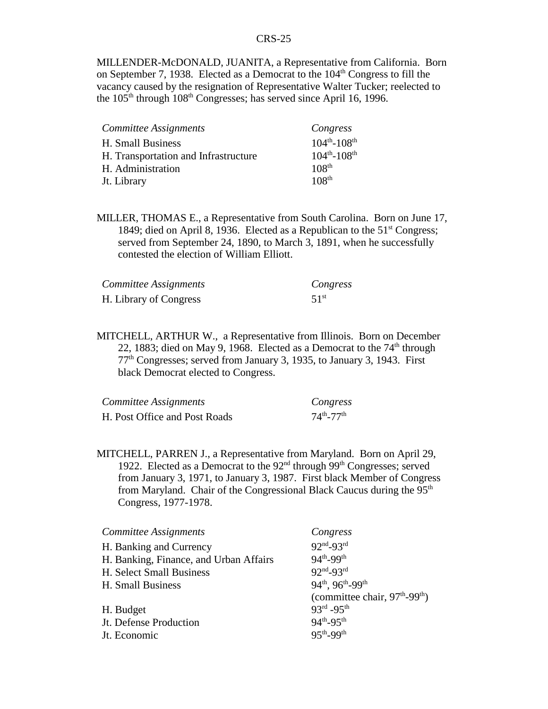MILLENDER-McDONALD, JUANITA, a Representative from California. Born on September 7, 1938. Elected as a Democrat to the  $104<sup>th</sup>$  Congress to fill the vacancy caused by the resignation of Representative Walter Tucker; reelected to the 105<sup>th</sup> through 108<sup>th</sup> Congresses; has served since April 16, 1996.

| Committee Assignments                | Congress              |
|--------------------------------------|-----------------------|
| H. Small Business                    | $104^{th} - 108^{th}$ |
| H. Transportation and Infrastructure | $104^{th} - 108^{th}$ |
| H. Administration                    | 108 <sup>th</sup>     |
| Jt. Library                          | 108 <sup>th</sup>     |

MILLER, THOMAS E., a Representative from South Carolina. Born on June 17, 1849; died on April 8, 1936. Elected as a Republican to the  $51<sup>st</sup> Congress$ ; served from September 24, 1890, to March 3, 1891, when he successfully contested the election of William Elliott.

| Committee Assignments  | Congress         |
|------------------------|------------------|
| H. Library of Congress | 51 <sup>st</sup> |

MITCHELL, ARTHUR W., a Representative from Illinois. Born on December 22, 1883; died on May 9, 1968. Elected as a Democrat to the  $74<sup>th</sup>$  through  $77<sup>th</sup>$  Congresses; served from January 3, 1935, to January 3, 1943. First black Democrat elected to Congress.

| Committee Assignments         | Congress                    |
|-------------------------------|-----------------------------|
| H. Post Office and Post Roads | $74^{th}$ -77 <sup>th</sup> |

MITCHELL, PARREN J., a Representative from Maryland. Born on April 29, 1922. Elected as a Democrat to the  $92<sup>nd</sup>$  through  $99<sup>th</sup>$  Congresses; served from January 3, 1971, to January 3, 1987. First black Member of Congress from Maryland. Chair of the Congressional Black Caucus during the  $95<sup>th</sup>$ Congress, 1977-1978.

| Committee Assignments                  | Congress                           |
|----------------------------------------|------------------------------------|
| H. Banking and Currency                | $92nd-93rd$                        |
| H. Banking, Finance, and Urban Affairs | 94 <sup>th</sup> -99 <sup>th</sup> |
| H. Select Small Business               | $92nd-93rd$                        |
| H. Small Business                      | 94th, 96th-99th                    |
|                                        | (committee chair, $97th-99th$ )    |
| H. Budget                              | $93^{rd} - 95^{th}$                |
| Jt. Defense Production                 | $94^{th} - 95^{th}$                |
| Jt. Economic                           | $95th - 99th$                      |
|                                        |                                    |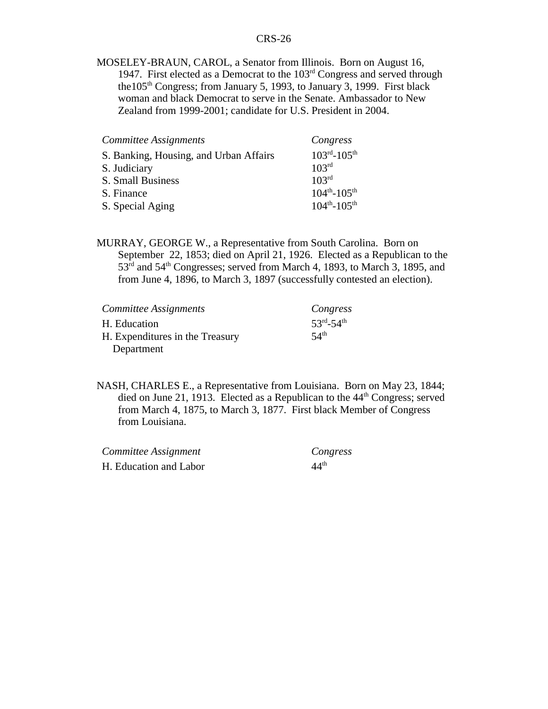MOSELEY-BRAUN, CAROL, a Senator from Illinois. Born on August 16, 1947. First elected as a Democrat to the  $103<sup>rd</sup>$  Congress and served through the  $105<sup>th</sup>$  Congress; from January 5, 1993, to January 3, 1999. First black woman and black Democrat to serve in the Senate. Ambassador to New Zealand from 1999-2001; candidate for U.S. President in 2004.

| Committee Assignments                  | Congress              |
|----------------------------------------|-----------------------|
| S. Banking, Housing, and Urban Affairs | $103^{rd} - 105^{th}$ |
| S. Judiciary                           | 103 <sup>rd</sup>     |
| S. Small Business                      | 103 <sup>rd</sup>     |
| S. Finance                             | $104^{th} - 105^{th}$ |
| S. Special Aging                       | $104^{th} - 105^{th}$ |

MURRAY, GEORGE W., a Representative from South Carolina. Born on September 22, 1853; died on April 21, 1926. Elected as a Republican to the 53rd and 54th Congresses; served from March 4, 1893, to March 3, 1895, and from June 4, 1896, to March 3, 1897 (successfully contested an election).

| Committee Assignments           | Congress            |
|---------------------------------|---------------------|
| H. Education                    | $53^{rd} - 54^{th}$ |
| H. Expenditures in the Treasury | 54 <sup>th</sup>    |
| Department                      |                     |

NASH, CHARLES E., a Representative from Louisiana. Born on May 23, 1844; died on June 21, 1913. Elected as a Republican to the  $44<sup>th</sup>$  Congress; served from March 4, 1875, to March 3, 1877. First black Member of Congress from Louisiana.

| Committee Assignment   | Congress         |
|------------------------|------------------|
| H. Education and Labor | 44 <sup>th</sup> |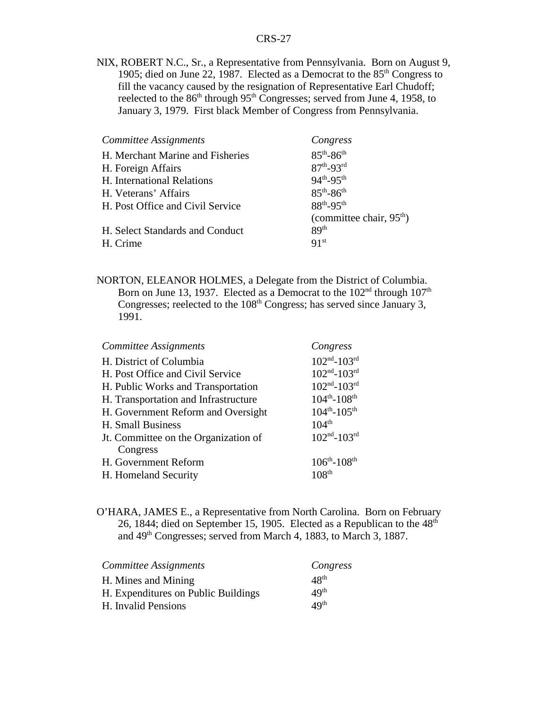NIX, ROBERT N.C., Sr., a Representative from Pennsylvania. Born on August 9, 1905; died on June 22, 1987. Elected as a Democrat to the  $85<sup>th</sup>$  Congress to fill the vacancy caused by the resignation of Representative Earl Chudoff; reelected to the  $86<sup>th</sup>$  through  $95<sup>th</sup>$  Congresses; served from June 4, 1958, to January 3, 1979. First black Member of Congress from Pennsylvania.

| Committee Assignments            | Congress                           |
|----------------------------------|------------------------------------|
| H. Merchant Marine and Fisheries | $85^{th} - 86^{th}$                |
| H. Foreign Affairs               | $87^{th} - 93^{rd}$                |
| H. International Relations       | $94^{th} - 95^{th}$                |
| H. Veterans' Affairs             | $85^{th} - 86^{th}$                |
| H. Post Office and Civil Service | 88 <sup>th</sup> -95 <sup>th</sup> |
|                                  | (committee chair, $95th$ )         |
| H. Select Standards and Conduct  | 89 <sup>th</sup>                   |
| H. Crime                         | 91 <sup>st</sup>                   |

NORTON, ELEANOR HOLMES, a Delegate from the District of Columbia. Born on June 13, 1937. Elected as a Democrat to the  $102<sup>nd</sup>$  through  $107<sup>th</sup>$ Congresses; reelected to the  $108<sup>th</sup>$  Congress; has served since January 3, 1991.

| Committee Assignments                | Congress                            |
|--------------------------------------|-------------------------------------|
| H. District of Columbia              | $102nd - 103rd$                     |
| H. Post Office and Civil Service     | $102^{\text{nd}} - 103^{\text{rd}}$ |
| H. Public Works and Transportation   | $102^{\text{nd}} - 103^{\text{rd}}$ |
| H. Transportation and Infrastructure | $104^{th} - 108^{th}$               |
| H. Government Reform and Oversight   | $104^{th} - 105^{th}$               |
| H. Small Business                    | $104^{th}$                          |
| Jt. Committee on the Organization of | $102nd - 103rd$                     |
| Congress                             |                                     |
| H. Government Reform                 | $106^{th} - 108^{th}$               |
| H. Homeland Security                 | 108 <sup>th</sup>                   |

O'HARA, JAMES E., a Representative from North Carolina. Born on February 26, 1844; died on September 15, 1905. Elected as a Republican to the  $48<sup>th</sup>$ and 49<sup>th</sup> Congresses; served from March 4, 1883, to March 3, 1887.

| Committee Assignments               | Congress         |
|-------------------------------------|------------------|
| H. Mines and Mining                 | 48 <sup>th</sup> |
| H. Expenditures on Public Buildings | 49 <sup>th</sup> |
| H. Invalid Pensions                 | 49 <sup>th</sup> |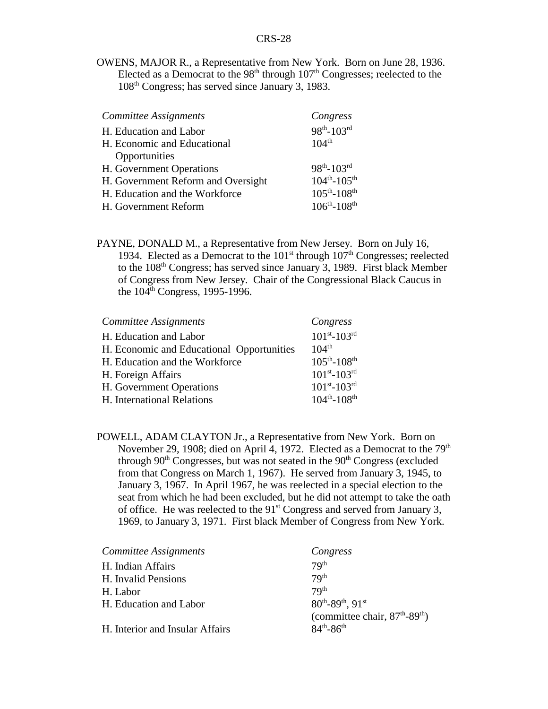OWENS, MAJOR R., a Representative from New York. Born on June 28, 1936. Elected as a Democrat to the  $98<sup>th</sup>$  through  $107<sup>th</sup>$  Congresses; reelected to the 108th Congress; has served since January 3, 1983.

| Committee Assignments              | Congress              |
|------------------------------------|-----------------------|
| H. Education and Labor             | $98^{th} - 103^{rd}$  |
| H. Economic and Educational        | $104^{th}$            |
| Opportunities                      |                       |
| H. Government Operations           | $98^{th} - 103^{rd}$  |
| H. Government Reform and Oversight | $104^{th} - 105^{th}$ |
| H. Education and the Workforce     | $105^{th} - 108^{th}$ |
| H. Government Reform               | $106^{th} - 108^{th}$ |

PAYNE, DONALD M., a Representative from New Jersey. Born on July 16, 1934. Elected as a Democrat to the  $101<sup>st</sup>$  through  $107<sup>th</sup>$  Congresses; reelected to the 108<sup>th</sup> Congress; has served since January 3, 1989. First black Member of Congress from New Jersey. Chair of the Congressional Black Caucus in the  $104^{\text{th}}$  Congress, 1995-1996.

| <b>Committee Assignments</b>              | Congress              |
|-------------------------------------------|-----------------------|
| H. Education and Labor                    | $101^{st} - 103^{rd}$ |
| H. Economic and Educational Opportunities | $104^{th}$            |
| H. Education and the Workforce            | $105^{th} - 108^{th}$ |
| H. Foreign Affairs                        | $101^{st} - 103^{rd}$ |
| H. Government Operations                  | $101^{st} - 103^{rd}$ |
| H. International Relations                | $104^{th} - 108^{th}$ |

POWELL, ADAM CLAYTON Jr., a Representative from New York. Born on November 29, 1908; died on April 4, 1972. Elected as a Democrat to the 79<sup>th</sup> through  $90<sup>th</sup> Congresses$ , but was not seated in the  $90<sup>th</sup> Congress$  (excluded from that Congress on March 1, 1967). He served from January 3, 1945, to January 3, 1967. In April 1967, he was reelected in a special election to the seat from which he had been excluded, but he did not attempt to take the oath of office. He was reelected to the  $91<sup>st</sup>$  Congress and served from January 3, 1969, to January 3, 1971. First black Member of Congress from New York.

| Committee Assignments           | Congress                                       |
|---------------------------------|------------------------------------------------|
| H. Indian Affairs               | 79 <sup>th</sup>                               |
| H. Invalid Pensions             | 79 <sup>th</sup>                               |
| H. Labor                        | 7Q <sup>th</sup>                               |
| H. Education and Labor          | $80^{th}$ -89 <sup>th</sup> , 91 <sup>st</sup> |
|                                 | (committee chair, $87th - 89th$ )              |
| H. Interior and Insular Affairs | $84^{th} - 86^{th}$                            |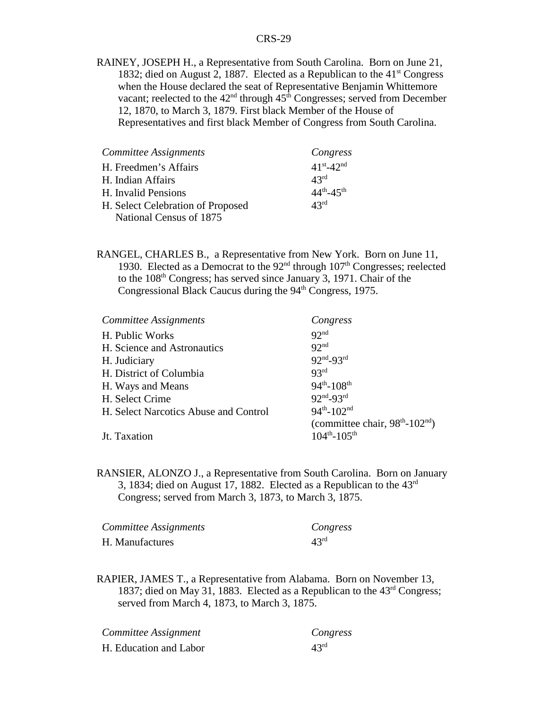RAINEY, JOSEPH H., a Representative from South Carolina. Born on June 21, 1832; died on August 2, 1887. Elected as a Republican to the  $41<sup>st</sup> Congress$ when the House declared the seat of Representative Benjamin Whittemore vacant; reelected to the  $42<sup>nd</sup>$  through  $45<sup>th</sup>$  Congresses; served from December 12, 1870, to March 3, 1879. First black Member of the House of Representatives and first black Member of Congress from South Carolina.

| Committee Assignments             | Congress            |
|-----------------------------------|---------------------|
| H. Freedmen's Affairs             | $41^{st} - 42^{nd}$ |
| H. Indian Affairs                 | $43^{\text{rd}}$    |
| H. Invalid Pensions               | $44^{th} - 45^{th}$ |
| H. Select Celebration of Proposed | 43 <sup>rd</sup>    |
| National Census of 1875           |                     |

RANGEL, CHARLES B., a Representative from New York. Born on June 11, 1930. Elected as a Democrat to the  $92<sup>nd</sup>$  through  $107<sup>th</sup>$  Congresses; reelected to the 108th Congress; has served since January 3, 1971. Chair of the Congressional Black Caucus during the 94<sup>th</sup> Congress, 1975.

| Committee Assignments                 | Congress                           |
|---------------------------------------|------------------------------------|
| H. Public Works                       | 92 <sup>nd</sup>                   |
| H. Science and Astronautics           | Q                                  |
| H. Judiciary                          | $92nd-93rd$                        |
| H. District of Columbia               | 93 <sup>rd</sup>                   |
| H. Ways and Means                     | $94^{th} - 108^{th}$               |
| H. Select Crime                       | $92nd-93rd$                        |
| H. Select Narcotics Abuse and Control | $94^{th} - 102^{nd}$               |
|                                       | (committee chair, $98th - 102nd$ ) |
| Jt. Taxation                          | $104^{th} - 105^{th}$              |

RANSIER, ALONZO J., a Representative from South Carolina. Born on January 3, 1834; died on August 17, 1882. Elected as a Republican to the  $43<sup>rd</sup>$ Congress; served from March 3, 1873, to March 3, 1875.

| Committee Assignments | Congress         |
|-----------------------|------------------|
| H. Manufactures       | 43 <sup>rd</sup> |

RAPIER, JAMES T., a Representative from Alabama. Born on November 13, 1837; died on May 31, 1883. Elected as a Republican to the 43rd Congress; served from March 4, 1873, to March 3, 1875.

| Committee Assignment   | Congress         |
|------------------------|------------------|
| H. Education and Labor | $43^{\text{rd}}$ |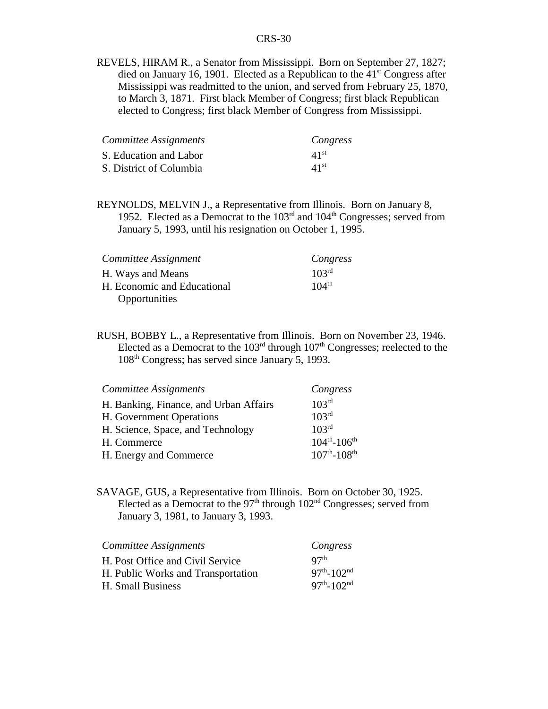REVELS, HIRAM R., a Senator from Mississippi. Born on September 27, 1827; died on January 16, 1901. Elected as a Republican to the  $41<sup>st</sup>$  Congress after Mississippi was readmitted to the union, and served from February 25, 1870, to March 3, 1871. First black Member of Congress; first black Republican elected to Congress; first black Member of Congress from Mississippi.

| Committee Assignments   | Congress         |
|-------------------------|------------------|
| S. Education and Labor  | 41 <sup>st</sup> |
| S. District of Columbia | 41 <sup>st</sup> |

REYNOLDS, MELVIN J., a Representative from Illinois. Born on January 8, 1952. Elected as a Democrat to the  $103<sup>rd</sup>$  and  $104<sup>th</sup>$  Congresses; served from January 5, 1993, until his resignation on October 1, 1995.

| Committee Assignment        | Congress          |
|-----------------------------|-------------------|
| H. Ways and Means           | 10 <sup>3rd</sup> |
| H. Economic and Educational | $104^{th}$        |
| Opportunities               |                   |

RUSH, BOBBY L., a Representative from Illinois. Born on November 23, 1946. Elected as a Democrat to the  $103<sup>rd</sup>$  through  $107<sup>th</sup>$  Congresses; reelected to the 108th Congress; has served since January 5, 1993.

| Committee Assignments                  | Congress                      |
|----------------------------------------|-------------------------------|
| H. Banking, Finance, and Urban Affairs | 103 <sup>rd</sup>             |
| H. Government Operations               | 103 <sup>rd</sup>             |
| H. Science, Space, and Technology      | 103 <sup>rd</sup>             |
| H. Commerce                            | $104^{th} - 106^{th}$         |
| H. Energy and Commerce                 | $107^{th}$ -108 <sup>th</sup> |

SAVAGE, GUS, a Representative from Illinois. Born on October 30, 1925. Elected as a Democrat to the  $97<sup>th</sup>$  through  $102<sup>nd</sup>$  Congresses; served from January 3, 1981, to January 3, 1993.

| Committee Assignments              | Congress                     |
|------------------------------------|------------------------------|
| H. Post Office and Civil Service   | Q7 <sup>th</sup>             |
| H. Public Works and Transportation | $97th - 102nd$               |
| H. Small Business                  | $97^{th}$ -102 <sup>nd</sup> |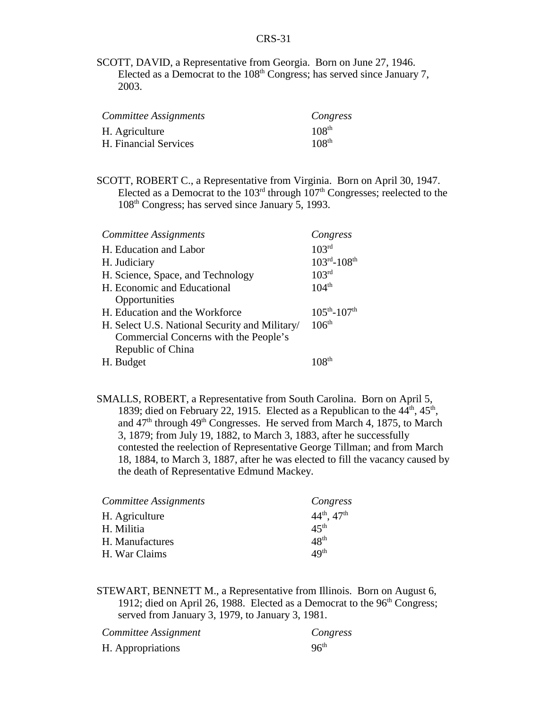SCOTT, DAVID, a Representative from Georgia. Born on June 27, 1946. Elected as a Democrat to the  $108<sup>th</sup>$  Congress; has served since January 7, 2003.

| Committee Assignments | Congress          |
|-----------------------|-------------------|
| H. Agriculture        | $108^{th}$        |
| H. Financial Services | 108 <sup>th</sup> |

SCOTT, ROBERT C., a Representative from Virginia. Born on April 30, 1947. Elected as a Democrat to the  $103<sup>rd</sup>$  through  $107<sup>th</sup>$  Congresses; reelected to the 108th Congress; has served since January 5, 1993.

| Committee Assignments                          | Congress                            |
|------------------------------------------------|-------------------------------------|
| H. Education and Labor                         | 103 <sup>rd</sup>                   |
| H. Judiciary                                   | $103^{\text{rd}} - 108^{\text{th}}$ |
| H. Science, Space, and Technology              | 103 <sup>rd</sup>                   |
| H. Economic and Educational                    | 104 <sup>th</sup>                   |
| Opportunities                                  |                                     |
| H. Education and the Workforce                 | $105^{th} - 107^{th}$               |
| H. Select U.S. National Security and Military/ | 106 <sup>th</sup>                   |
| Commercial Concerns with the People's          |                                     |
| Republic of China                              |                                     |
| H. Budget                                      |                                     |

SMALLS, ROBERT, a Representative from South Carolina. Born on April 5, 1839; died on February 22, 1915. Elected as a Republican to the  $44<sup>th</sup>$ ,  $45<sup>th</sup>$ , and  $47<sup>th</sup>$  through  $49<sup>th</sup>$  Congresses. He served from March 4, 1875, to March 3, 1879; from July 19, 1882, to March 3, 1883, after he successfully contested the reelection of Representative George Tillman; and from March 18, 1884, to March 3, 1887, after he was elected to fill the vacancy caused by the death of Representative Edmund Mackey.

| Committee Assignments | Congress              |
|-----------------------|-----------------------|
| H. Agriculture        | $44^{th}$ , $47^{th}$ |
| H. Militia            | 45 <sup>th</sup>      |
| H. Manufactures       | 48 <sup>th</sup>      |
| H. War Claims         | 49 <sup>th</sup>      |

STEWART, BENNETT M., a Representative from Illinois. Born on August 6, 1912; died on April 26, 1988. Elected as a Democrat to the  $96<sup>th</sup> Congress$ ; served from January 3, 1979, to January 3, 1981.

| Committee Assignment | Congress         |
|----------------------|------------------|
| H. Appropriations    | 96 <sup>th</sup> |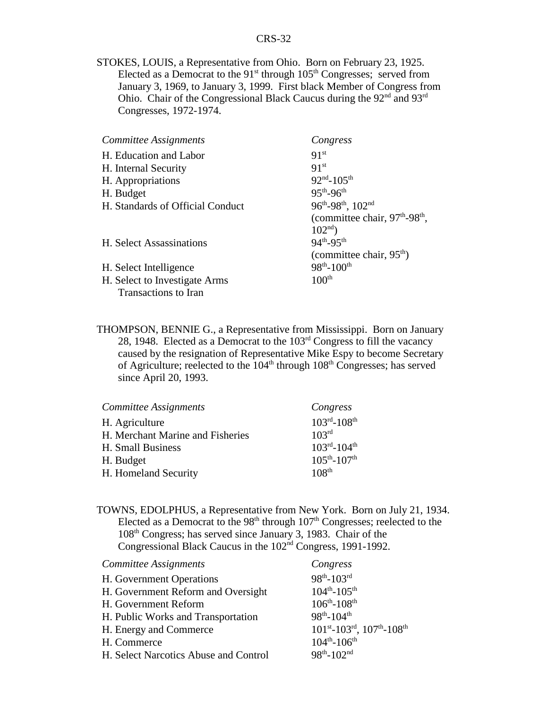STOKES, LOUIS, a Representative from Ohio. Born on February 23, 1925. Elected as a Democrat to the  $91<sup>st</sup>$  through  $105<sup>th</sup>$  Congresses; served from January 3, 1969, to January 3, 1999. First black Member of Congress from Ohio. Chair of the Congressional Black Caucus during the  $92<sup>nd</sup>$  and  $93<sup>rd</sup>$ Congresses, 1972-1974.

| Committee Assignments            | Congress                        |
|----------------------------------|---------------------------------|
| H. Education and Labor           | 91 <sup>st</sup>                |
| H. Internal Security             | 91 <sup>st</sup>                |
| H. Appropriations                | $92nd - 105th$                  |
| H. Budget                        | $95^{th} - 96^{th}$             |
| H. Standards of Official Conduct | 96th-98th, 102nd                |
|                                  | (committee chair, $97th-98th$ , |
|                                  | $102nd$ )                       |
| H. Select Assassinations         | $94^{th} - 95^{th}$             |
|                                  | (committee chair, $95th$ )      |
| H. Select Intelligence           | $98^{th} - 100^{th}$            |
| H. Select to Investigate Arms    | 100 <sup>th</sup>               |
| <b>Transactions to Iran</b>      |                                 |

THOMPSON, BENNIE G., a Representative from Mississippi. Born on January 28, 1948. Elected as a Democrat to the 103rd Congress to fill the vacancy caused by the resignation of Representative Mike Espy to become Secretary of Agriculture; reelected to the  $104<sup>th</sup>$  through  $108<sup>th</sup>$  Congresses; has served since April 20, 1993.

| Committee Assignments            | Congress                            |
|----------------------------------|-------------------------------------|
| H. Agriculture                   | $103^{\text{rd}} - 108^{\text{th}}$ |
| H. Merchant Marine and Fisheries | 103 <sup>rd</sup>                   |
| H. Small Business                | $103^{rd} - 104^{th}$               |
| H. Budget                        | $105^{th} - 107^{th}$               |
| H. Homeland Security             | 108 <sup>th</sup>                   |

TOWNS, EDOLPHUS, a Representative from New York. Born on July 21, 1934. Elected as a Democrat to the  $98<sup>th</sup>$  through  $107<sup>th</sup>$  Congresses; reelected to the 108th Congress; has served since January 3, 1983. Chair of the Congressional Black Caucus in the 102nd Congress, 1991-1992.

| <b>Committee Assignments</b>                               | Congress                                                      |
|------------------------------------------------------------|---------------------------------------------------------------|
| H. Government Operations                                   | $98^{th} - 103^{rd}$                                          |
| H. Government Reform and Oversight                         | $104^{th} - 105^{th}$                                         |
| H. Government Reform                                       | $106^{th} - 108^{th}$                                         |
| $98^{th} - 104^{th}$<br>H. Public Works and Transportation |                                                               |
| H. Energy and Commerce                                     | $101^{st}$ -103 <sup>rd</sup> , $107^{th}$ -108 <sup>th</sup> |
| H. Commerce                                                | $104^{th} - 106^{th}$                                         |
| H. Select Narcotics Abuse and Control                      | $98^{th} - 102^{nd}$                                          |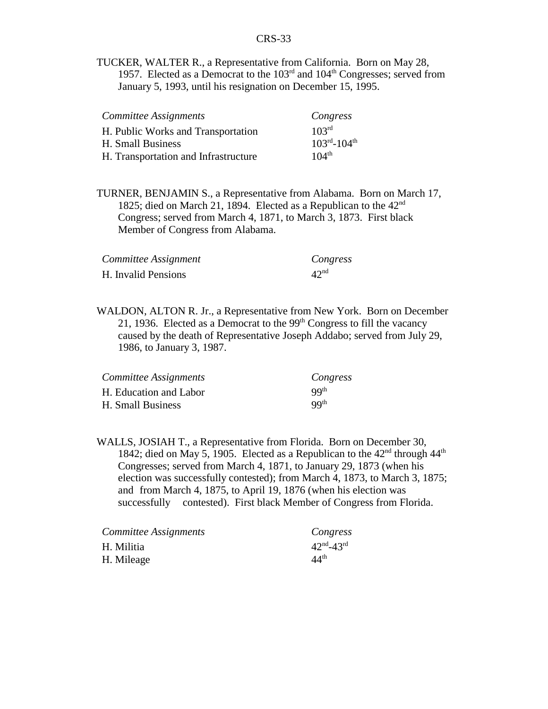TUCKER, WALTER R., a Representative from California. Born on May 28, 1957. Elected as a Democrat to the  $103<sup>rd</sup>$  and  $104<sup>th</sup>$  Congresses; served from January 5, 1993, until his resignation on December 15, 1995.

| Committee Assignments                | Congress              |
|--------------------------------------|-----------------------|
| H. Public Works and Transportation   | 10 <sup>3rd</sup>     |
| H. Small Business                    | $103^{rd} - 104^{th}$ |
| H. Transportation and Infrastructure | $104^{th}$            |

TURNER, BENJAMIN S., a Representative from Alabama. Born on March 17, 1825; died on March 21, 1894. Elected as a Republican to the  $42<sup>nd</sup>$ Congress; served from March 4, 1871, to March 3, 1873. First black Member of Congress from Alabama.

| Committee Assignment | Congress         |
|----------------------|------------------|
| H. Invalid Pensions  | 42 <sup>nd</sup> |

WALDON, ALTON R. Jr., a Representative from New York. Born on December 21, 1936. Elected as a Democrat to the  $99<sup>th</sup>$  Congress to fill the vacancy caused by the death of Representative Joseph Addabo; served from July 29, 1986, to January 3, 1987.

| Committee Assignments  | Congress         |
|------------------------|------------------|
| H. Education and Labor | QQ <sup>th</sup> |
| H. Small Business      | QQ <sup>th</sup> |

WALLS, JOSIAH T., a Representative from Florida. Born on December 30, 1842; died on May 5, 1905. Elected as a Republican to the  $42<sup>nd</sup>$  through  $44<sup>th</sup>$ Congresses; served from March 4, 1871, to January 29, 1873 (when his election was successfully contested); from March 4, 1873, to March 3, 1875; and from March 4, 1875, to April 19, 1876 (when his election was successfully contested). First black Member of Congress from Florida.

| Committee Assignments | Congress                          |
|-----------------------|-----------------------------------|
| H. Militia            | $42^{\text{nd}} - 43^{\text{rd}}$ |
| H. Mileage            | 44 <sup>th</sup>                  |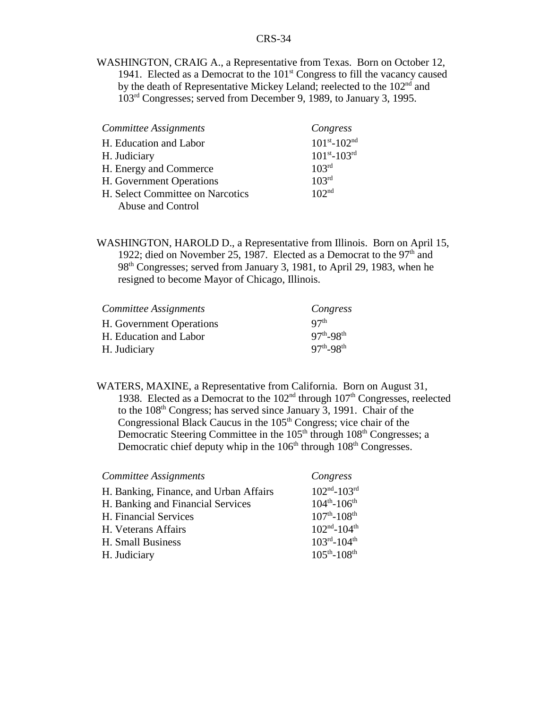WASHINGTON, CRAIG A., a Representative from Texas. Born on October 12, 1941. Elected as a Democrat to the  $101<sup>st</sup>$  Congress to fill the vacancy caused by the death of Representative Mickey Leland; reelected to the 102<sup>nd</sup> and 103rd Congresses; served from December 9, 1989, to January 3, 1995.

| <b>Committee Assignments</b>     | Congress              |
|----------------------------------|-----------------------|
| H. Education and Labor           | $101^{st} - 102^{nd}$ |
| H. Judiciary                     | $101^{st} - 103^{rd}$ |
| H. Energy and Commerce           | 103 <sup>rd</sup>     |
| H. Government Operations         | 103 <sup>rd</sup>     |
| H. Select Committee on Narcotics | 102 <sup>nd</sup>     |
| Abuse and Control                |                       |

WASHINGTON, HAROLD D., a Representative from Illinois. Born on April 15, 1922; died on November 25, 1987. Elected as a Democrat to the  $97<sup>th</sup>$  and 98th Congresses; served from January 3, 1981, to April 29, 1983, when he resigned to become Mayor of Chicago, Illinois.

| Committee Assignments    | Congress            |
|--------------------------|---------------------|
| H. Government Operations | Q7 <sup>th</sup>    |
| H. Education and Labor   | $97^{th} - 98^{th}$ |
| H. Judiciary             | $97^{th} - 98^{th}$ |

WATERS, MAXINE, a Representative from California. Born on August 31, 1938. Elected as a Democrat to the  $102<sup>nd</sup>$  through  $107<sup>th</sup>$  Congresses, reelected to the 108<sup>th</sup> Congress; has served since January 3, 1991. Chair of the Congressional Black Caucus in the  $105<sup>th</sup>$  Congress; vice chair of the Democratic Steering Committee in the  $105<sup>th</sup>$  through  $108<sup>th</sup>$  Congresses; a Democratic chief deputy whip in the  $106<sup>th</sup>$  through  $108<sup>th</sup>$  Congresses.

| Congress                      |
|-------------------------------|
| $102nd - 103rd$               |
| $104^{th} - 106^{th}$         |
| $107^{th}$ -108 <sup>th</sup> |
| $102nd - 104th$               |
| $103^{rd} - 104^{th}$         |
| $105^{th} - 108^{th}$         |
|                               |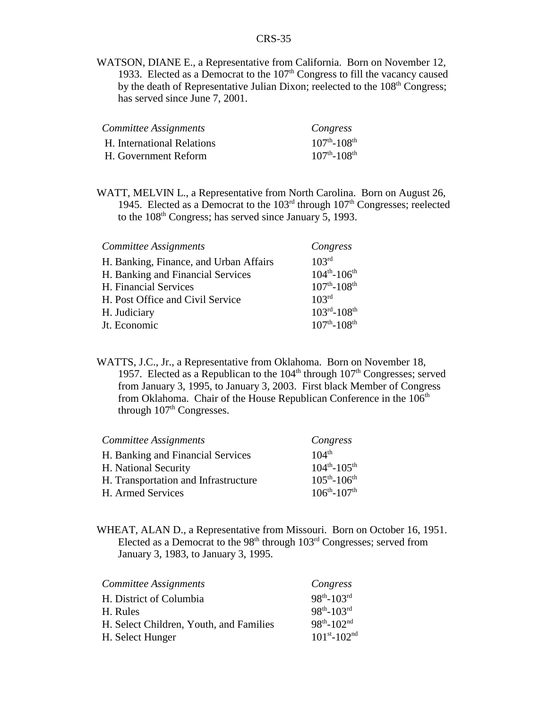WATSON, DIANE E., a Representative from California. Born on November 12, 1933. Elected as a Democrat to the  $107<sup>th</sup>$  Congress to fill the vacancy caused by the death of Representative Julian Dixon; reelected to the  $108<sup>th</sup>$  Congress; has served since June 7, 2001.

| Committee Assignments      | Congress                      |
|----------------------------|-------------------------------|
| H. International Relations | $107^{th}$ -108 <sup>th</sup> |
| H. Government Reform       | $107^{th}$ -108 <sup>th</sup> |

WATT, MELVIN L., a Representative from North Carolina. Born on August 26, 1945. Elected as a Democrat to the  $103<sup>rd</sup>$  through  $107<sup>th</sup>$  Congresses; reelected to the 108<sup>th</sup> Congress; has served since January 5, 1993.

| Committee Assignments                  | Congress                            |
|----------------------------------------|-------------------------------------|
| H. Banking, Finance, and Urban Affairs | 103 <sup>rd</sup>                   |
| H. Banking and Financial Services      | $104^{th} - 106^{th}$               |
| H. Financial Services                  | $107^{th}$ -108 <sup>th</sup>       |
| H. Post Office and Civil Service       | 10 <sup>3rd</sup>                   |
| H. Judiciary                           | $103^{\text{rd}} - 108^{\text{th}}$ |
| Jt. Economic                           | $107^{th}$ -108 <sup>th</sup>       |

WATTS, J.C., Jr., a Representative from Oklahoma. Born on November 18, 1957. Elected as a Republican to the  $104<sup>th</sup>$  through  $107<sup>th</sup>$  Congresses; served from January 3, 1995, to January 3, 2003. First black Member of Congress from Oklahoma. Chair of the House Republican Conference in the 106<sup>th</sup> through  $107<sup>th</sup>$  Congresses.

| Committee Assignments                | Congress              |
|--------------------------------------|-----------------------|
| H. Banking and Financial Services    | $104^{th}$            |
| H. National Security                 | $104^{th} - 105^{th}$ |
| H. Transportation and Infrastructure | $105^{th} - 106^{th}$ |
| H. Armed Services                    | $106^{th} - 107^{th}$ |

WHEAT, ALAN D., a Representative from Missouri. Born on October 16, 1951. Elected as a Democrat to the  $98<sup>th</sup>$  through  $103<sup>rd</sup>$  Congresses; served from January 3, 1983, to January 3, 1995.

| Committee Assignments                   | Congress              |
|-----------------------------------------|-----------------------|
| H. District of Columbia                 | $98^{th} - 103^{rd}$  |
| H. Rules                                | $98^{th} - 103^{rd}$  |
| H. Select Children, Youth, and Families | $98^{th} - 102^{nd}$  |
| H. Select Hunger                        | $101^{st} - 102^{nd}$ |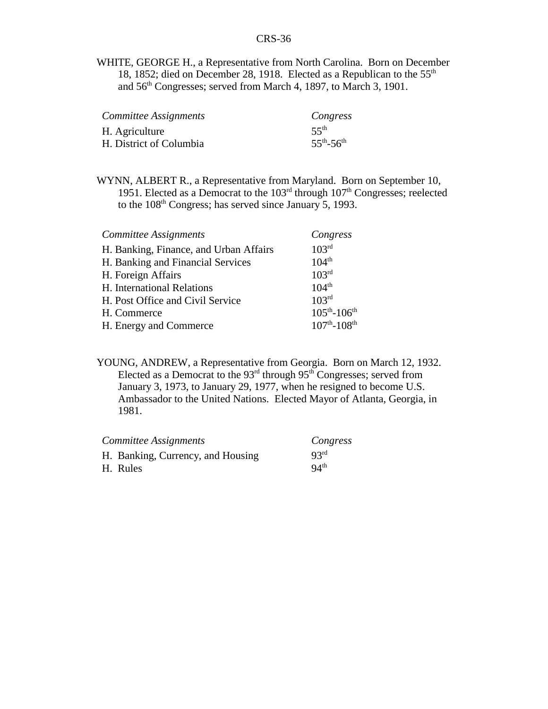WHITE, GEORGE H., a Representative from North Carolina. Born on December 18, 1852; died on December 28, 1918. Elected as a Republican to the 55<sup>th</sup> and 56<sup>th</sup> Congresses; served from March 4, 1897, to March 3, 1901.

| Committee Assignments   | Congress            |
|-------------------------|---------------------|
| H. Agriculture          | $55^{th}$           |
| H. District of Columbia | $55^{th} - 56^{th}$ |

WYNN, ALBERT R., a Representative from Maryland. Born on September 10, 1951. Elected as a Democrat to the  $103<sup>rd</sup>$  through  $107<sup>th</sup>$  Congresses; reelected to the  $108<sup>th</sup>$  Congress; has served since January 5, 1993.

| Committee Assignments                  | Congress                      |
|----------------------------------------|-------------------------------|
| H. Banking, Finance, and Urban Affairs | 103 <sup>rd</sup>             |
| H. Banking and Financial Services      | $104^{th}$                    |
| H. Foreign Affairs                     | 103 <sup>rd</sup>             |
| H. International Relations             | $104^{th}$                    |
| H. Post Office and Civil Service       | 103 <sup>rd</sup>             |
| H. Commerce                            | $105^{th} - 106^{th}$         |
| H. Energy and Commerce                 | $107^{th}$ -108 <sup>th</sup> |

YOUNG, ANDREW, a Representative from Georgia. Born on March 12, 1932. Elected as a Democrat to the  $93<sup>rd</sup>$  through  $95<sup>th</sup>$  Congresses; served from January 3, 1973, to January 29, 1977, when he resigned to become U.S. Ambassador to the United Nations. Elected Mayor of Atlanta, Georgia, in 1981.

| Committee Assignments             | Congress         |
|-----------------------------------|------------------|
| H. Banking, Currency, and Housing | 93 <sup>rd</sup> |
| H. Rules                          | 94 <sup>th</sup> |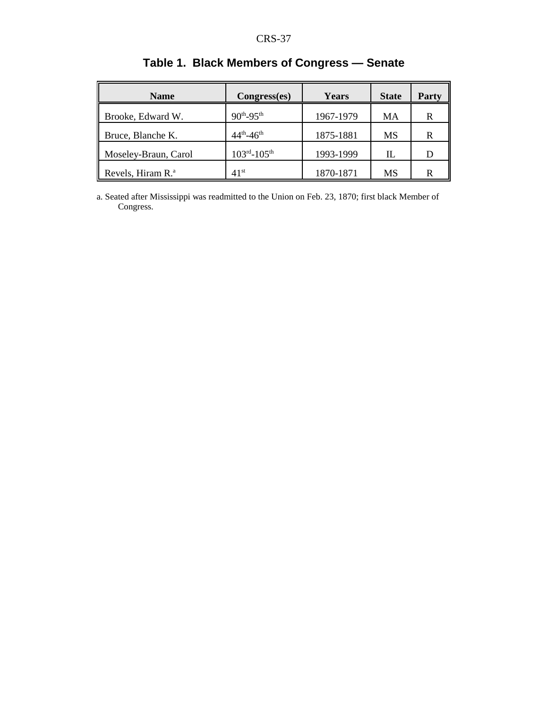| <b>Name</b>                   | Congress(es)                        | <b>Years</b> | <b>State</b> | <b>Party</b> |
|-------------------------------|-------------------------------------|--------------|--------------|--------------|
| Brooke, Edward W.             | $90^{th} - 95^{th}$                 | 1967-1979    | MA           | R            |
| Bruce, Blanche K.             | $44^{th} - 46^{th}$                 | 1875-1881    | MS           | R            |
| Moseley-Braun, Carol          | $103^{\text{rd}} - 105^{\text{th}}$ | 1993-1999    | Ш            | D            |
| Revels, Hiram R. <sup>a</sup> | $41^{\rm st}$                       | 1870-1871    | MS           | R            |

# **Table 1. Black Members of Congress — Senate**

a. Seated after Mississippi was readmitted to the Union on Feb. 23, 1870; first black Member of Congress.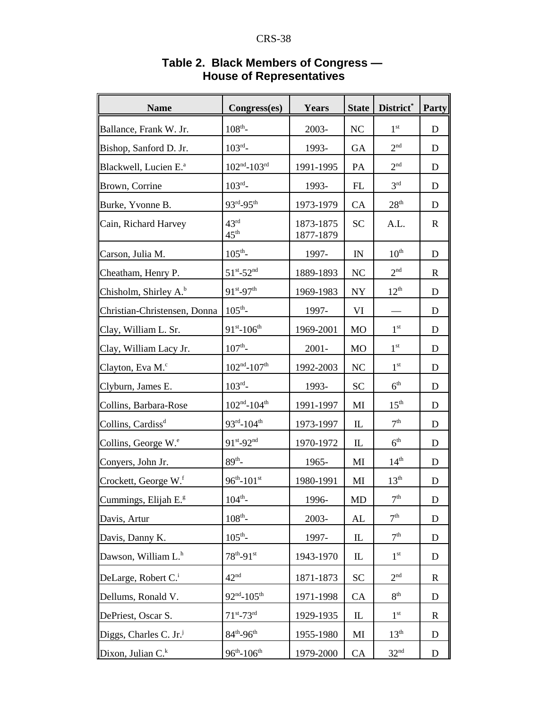| <b>Name</b>                       | Congress(es)                         | Years                  | <b>State</b>  | District*        | Party       |
|-----------------------------------|--------------------------------------|------------------------|---------------|------------------|-------------|
| Ballance, Frank W. Jr.            | $108^{th}$ -                         | 2003-                  | <b>NC</b>     | 1 <sup>st</sup>  | D           |
| Bishop, Sanford D. Jr.            | $103^{rd}$ -                         | 1993-                  | <b>GA</b>     | 2 <sup>nd</sup>  | D           |
| Blackwell, Lucien E. <sup>a</sup> | $102^{\text{nd}} - 103^{\text{rd}}$  | 1991-1995              | PA            | 2 <sup>nd</sup>  | D           |
| Brown, Corrine                    | $103^{rd}$ -                         | 1993-                  | FL            | 3 <sup>rd</sup>  | D           |
| Burke, Yvonne B.                  | 93rd-95th                            | 1973-1979              | CA            | 28 <sup>th</sup> | D           |
| Cain, Richard Harvey              | $43^{\text{rd}}$<br>$45^{\text{th}}$ | 1873-1875<br>1877-1879 | <b>SC</b>     | A.L.             | $\mathbf R$ |
| Carson, Julia M.                  | $105^{\text{th}}$ -                  | 1997-                  | IN            | 10 <sup>th</sup> | D           |
| Cheatham, Henry P.                | $51^{st} - 52^{nd}$                  | 1889-1893              | <b>NC</b>     | 2 <sup>nd</sup>  | R           |
| Chisholm, Shirley A. <sup>b</sup> | 91st-97th                            | 1969-1983              | <b>NY</b>     | $12^{\text{th}}$ | D           |
| Christian-Christensen, Donna      | $105^{\text{th}}$ -                  | 1997-                  | VI            |                  | D           |
| Clay, William L. Sr.              | $91^{st} - 106^{th}$                 | 1969-2001              | <b>MO</b>     | 1 <sup>st</sup>  | D           |
| Clay, William Lacy Jr.            | $107^{\text{th}}$ -                  | $2001 -$               | <b>MO</b>     | 1 <sup>st</sup>  | D           |
| Clayton, Eva M. <sup>c</sup>      | $102^{\rm nd}\textrm{-}107^{\rm th}$ | 1992-2003              | <b>NC</b>     | 1 <sup>st</sup>  | D           |
| Clyburn, James E.                 | $103^{rd}$ -                         | 1993-                  | <b>SC</b>     | 6 <sup>th</sup>  | D           |
| Collins, Barbara-Rose             | $102^{\text{nd}} - 104^{\text{th}}$  | 1991-1997              | MI            | 15 <sup>th</sup> | D           |
| Collins, Cardiss <sup>d</sup>     | 93rd-104th                           | 1973-1997              | $\mathbbm{L}$ | 7 <sup>th</sup>  | D           |
| Collins, George W. <sup>e</sup>   | $91^{st} - 92^{nd}$                  | 1970-1972              | $\mathbbm{L}$ | 6 <sup>th</sup>  | D           |
| Conyers, John Jr.                 | $89^{th}$ -                          | 1965-                  | MI            | 14 <sup>th</sup> | D           |
| Crockett, George W.f              | $96^{th} - 101^{st}$                 | 1980-1991              | MI            | 13 <sup>th</sup> | D           |
| Cummings, Elijah E. <sup>g</sup>  | $104^{\text{th}}$ -                  | 1996-                  | MD            | 7 <sup>th</sup>  | D           |
| Davis, Artur                      | $108^{th}$ -                         | 2003-                  | AL            | 7 <sup>th</sup>  | D           |
| Davis, Danny K.                   | $105^{\text{th}}$ -                  | 1997-                  | $\mathbb L$   | 7 <sup>th</sup>  | $\mathbf D$ |
| Dawson, William L. <sup>h</sup>   | $78^{th} - 91^{st}$                  | 1943-1970              | $\mathbbm{L}$ | 1 <sup>st</sup>  | D           |
| DeLarge, Robert C. <sup>i</sup>   | 42 <sup>nd</sup>                     | 1871-1873              | <b>SC</b>     | 2 <sup>nd</sup>  | $\mathbf R$ |
| Dellums, Ronald V.                | $92nd - 105th$                       | 1971-1998              | CA            | 8 <sup>th</sup>  | D           |
| DePriest, Oscar S.                | $71^{st}$ -73rd                      | 1929-1935              | $\mathbbm{L}$ | $1^{\rm st}$     | $\mathbf R$ |
| Diggs, Charles C. Jr.             | $84^{th} - 96^{th}$                  | 1955-1980              | MI            | 13 <sup>th</sup> | $\mathbf D$ |
| Dixon, Julian C. <sup>k</sup>     | $96^{th} - 106^{th}$                 | 1979-2000              | CA            | 32 <sup>nd</sup> | D           |

### **Table 2. Black Members of Congress — House of Representatives**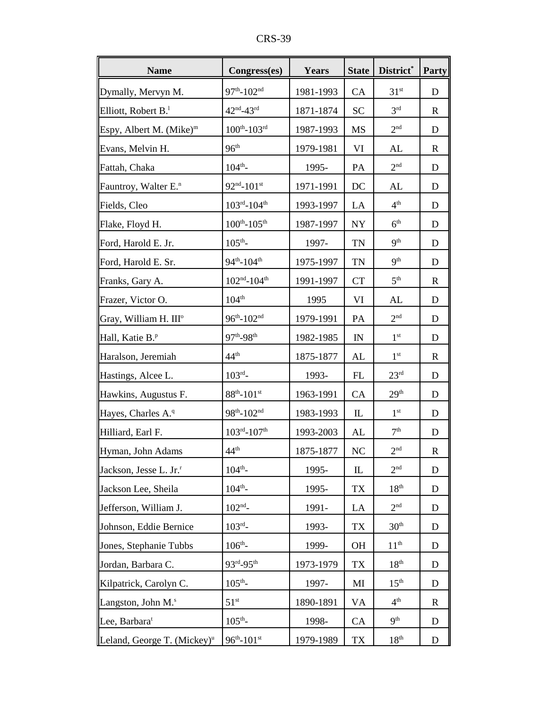| D.<br>v.<br>NО |
|----------------|
|----------------|

| <b>Name</b>                             | Congress(es)                        | Years     | <b>State</b> | District <sup>*</sup> | Party        |
|-----------------------------------------|-------------------------------------|-----------|--------------|-----------------------|--------------|
| Dymally, Mervyn M.                      | $97^{\text{th}} - 102^{\text{nd}}$  | 1981-1993 | <b>CA</b>    | 31 <sup>st</sup>      | D            |
| Elliott, Robert $B^1$ .                 | $42^{\text{nd}} - 43^{\text{rd}}$   | 1871-1874 | <b>SC</b>    | 3 <sup>rd</sup>       | $\mathbf R$  |
| Espy, Albert M. (Mike) <sup>m</sup>     | $100^{th}$ - $103^{rd}$             | 1987-1993 | <b>MS</b>    | 2 <sup>nd</sup>       | D            |
| Evans, Melvin H.                        | 96 <sup>th</sup>                    | 1979-1981 | VI           | AL                    | $\mathbb{R}$ |
| Fattah, Chaka                           | $104^{\text{th}}$ -                 | 1995-     | PA           | 2 <sup>nd</sup>       | D            |
| Fauntroy, Walter E. <sup>n</sup>        | $92^{\text{nd}} - 101^{\text{st}}$  | 1971-1991 | DC           | AL                    | D            |
| Fields, Cleo                            | $103^{rd} - 104^{th}$               | 1993-1997 | LA           | 4 <sup>th</sup>       | D            |
| Flake, Floyd H.                         | $100^{th}$ - $105^{th}$             | 1987-1997 | NY           | 6 <sup>th</sup>       | D            |
| Ford, Harold E. Jr.                     | $105^{\text{th}}$ -                 | 1997-     | <b>TN</b>    | 9 <sup>th</sup>       | D            |
| Ford, Harold E. Sr.                     | $94^{\text{th}} - 104^{\text{th}}$  | 1975-1997 | <b>TN</b>    | 9 <sup>th</sup>       | D            |
| Franks, Gary A.                         | $102^{\rm nd}$ -104 <sup>th</sup>   | 1991-1997 | <b>CT</b>    | 5 <sup>th</sup>       | $\mathbf R$  |
| Frazer, Victor O.                       | 104 <sup>th</sup>                   | 1995      | VI           | AL                    | D            |
| Gray, William H. III <sup>o</sup>       | $96^{th}$ -102 <sup>nd</sup>        | 1979-1991 | PA           | 2 <sup>nd</sup>       | D            |
| Hall, Katie B. <sup>P</sup>             | 97 <sup>th</sup> -98 <sup>th</sup>  | 1982-1985 | IN           | $1^{\rm st}$          | D            |
| Haralson, Jeremiah                      | $44^{\text{th}}$                    | 1875-1877 | AL           | $1^{\rm st}$          | $\mathbf R$  |
| Hastings, Alcee L.                      | $103^{rd}$ -                        | 1993-     | FL           | 23 <sup>rd</sup>      | D            |
| Hawkins, Augustus F.                    | $88^{th}$ -101st                    | 1963-1991 | CA           | 29 <sup>th</sup>      | D            |
| Hayes, Charles A. <sup>q</sup>          | $98^{th}$ -102 <sup>nd</sup>        | 1983-1993 | $\mathbb{L}$ | $1^{\rm st}$          | D            |
| Hilliard, Earl F.                       | $103^{\text{rd}} - 107^{\text{th}}$ | 1993-2003 | AL           | 7 <sup>th</sup>       | D            |
| Hyman, John Adams                       | 44 <sup>th</sup>                    | 1875-1877 | <b>NC</b>    | 2 <sup>nd</sup>       | R            |
| Jackson, Jesse L. Jr. <sup>r</sup>      | $104^{\text{th}}$ -                 | 1995-     | $\mathbb{L}$ | 2 <sup>nd</sup>       | D            |
| Jackson Lee, Sheila                     | $104^{th}$ -                        | 1995-     | <b>TX</b>    | 18 <sup>th</sup>      | D            |
| Jefferson, William J.                   | $102^{\text{nd}}$ -                 | 1991-     | LA           | 2 <sup>nd</sup>       | D            |
| Johnson, Eddie Bernice                  | $103^{rd}$ -                        | 1993-     | <b>TX</b>    | 30 <sup>th</sup>      | D            |
| Jones, Stephanie Tubbs                  | $106^{th}$ -                        | 1999-     | OH           | 11 <sup>th</sup>      | D            |
| Jordan, Barbara C.                      | 93rd-95th                           | 1973-1979 | <b>TX</b>    | 18 <sup>th</sup>      | D            |
| Kilpatrick, Carolyn C.                  | $105^{\text{th}}$ -                 | 1997-     | MI           | 15 <sup>th</sup>      | D            |
| Langston, John M. <sup>s</sup>          | 51 <sup>st</sup>                    | 1890-1891 | VA           | 4 <sup>th</sup>       | R            |
| Lee, Barbara <sup>t</sup>               | $105^{\text{th}}$ -                 | 1998-     | CA           | 9 <sup>th</sup>       | D            |
| Leland, George T. (Mickey) <sup>u</sup> | $96^{th} - 101^{st}$                | 1979-1989 | TX           | 18 <sup>th</sup>      | D            |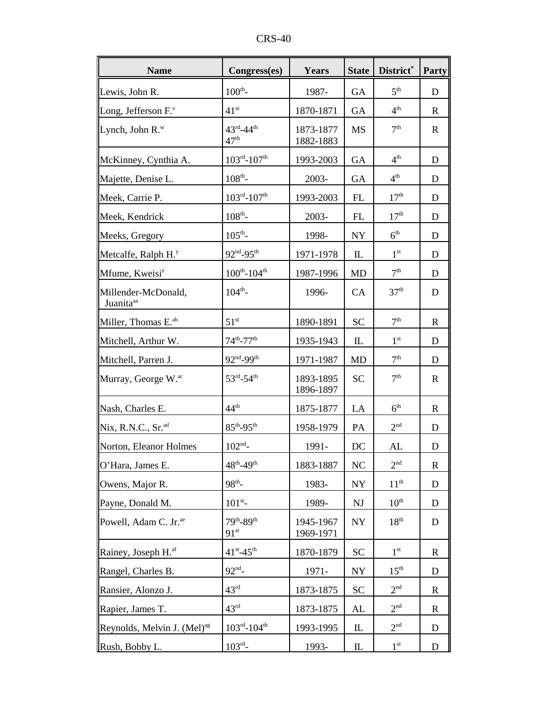| <b>Name</b>                                  | Congress(es)                                        | Years                  | <b>State</b>                      | District*        | Party        |
|----------------------------------------------|-----------------------------------------------------|------------------------|-----------------------------------|------------------|--------------|
| Lewis, John R.                               | $100^{th}$ -                                        | 1987-                  | <b>GA</b>                         | 5 <sup>th</sup>  | D            |
| Long, Jefferson F.                           | 41 <sup>st</sup>                                    | 1870-1871              | <b>GA</b>                         | 4 <sup>th</sup>  | $\mathbf R$  |
| Lynch, John $R^w$                            | $43^{\rm rd}$ -44 <sup>th</sup><br>47 <sup>th</sup> | 1873-1877<br>1882-1883 | <b>MS</b>                         | 7 <sup>th</sup>  | $\mathbf R$  |
| McKinney, Cynthia A.                         | $103^{rd} - 107^{th}$                               | 1993-2003              | <b>GA</b>                         | 4 <sup>th</sup>  | D            |
| Majette, Denise L.                           | $108^{th}$ -                                        | 2003-                  | <b>GA</b>                         | 4 <sup>th</sup>  | D            |
| Meek, Carrie P.                              | $103^{rd} - 107^{th}$                               | 1993-2003              | FL                                | 17 <sup>th</sup> | D            |
| Meek, Kendrick                               | $108^{th}$ -                                        | 2003-                  | FL                                | 17 <sup>th</sup> | D            |
| Meeks, Gregory                               | $105^{\text{th}}$ -                                 | 1998-                  | <b>NY</b>                         | 6 <sup>th</sup>  | D            |
| Metcalfe, Ralph H. <sup>y</sup>              | 92 <sup>nd</sup> -95 <sup>th</sup>                  | 1971-1978              | $\mathbb{L}$                      | 1 <sup>st</sup>  | D            |
| Mfume, Kweisi <sup>z</sup>                   | $100^{th}$ -104 <sup>th</sup>                       | 1987-1996              | <b>MD</b>                         | 7 <sup>th</sup>  | D            |
| Millender-McDonald,<br>Juanita <sup>aa</sup> | $104^{th}$ -                                        | 1996-                  | CA                                | 37 <sup>th</sup> | D            |
| Miller, Thomas E. <sup>ab</sup>              | 51 <sup>st</sup>                                    | 1890-1891              | <b>SC</b>                         | 7 <sup>th</sup>  | R            |
| Mitchell, Arthur W.                          | $74^{th}$ -77 <sup>th</sup>                         | 1935-1943              | $\mathbbm{L}$                     | 1 <sup>st</sup>  | D            |
| Mitchell, Parren J.                          | 92nd_99th                                           | 1971-1987              | <b>MD</b>                         | 7 <sup>th</sup>  | D            |
| Murray, George W. <sup>ac</sup>              | $53^{rd} - 54^{th}$                                 | 1893-1895<br>1896-1897 | <b>SC</b>                         | 7 <sup>th</sup>  | $\mathbf R$  |
| Nash, Charles E.                             | 44 <sup>th</sup>                                    | 1875-1877              | LA                                | 6 <sup>th</sup>  | R            |
| $Nix$ , R.N.C., Sr. $^{ad}$                  | $85^{\text{th}}$ -95 <sup>th</sup>                  | 1958-1979              | PA                                | 2 <sup>nd</sup>  | D            |
| Norton, Eleanor Holmes                       | $102^{\text{nd}}$ -                                 | 1991-                  | DC                                | AL               | D            |
| O'Hara, James E.                             | $48^{th} - 49^{th}$                                 | 1883-1887              | NC                                | 2 <sup>nd</sup>  | $\mathbb{R}$ |
| Owens, Major R.                              | $98^{th}$ -                                         | 1983-                  | NY                                | 11 <sup>th</sup> | D            |
| Payne, Donald M.                             | $101^{st}$ -                                        | 1989-                  | NJ                                | $10^{\text{th}}$ | D            |
| Powell, Adam C. Jr. <sup>ae</sup>            | 79th-89th<br>91 <sup>st</sup>                       | 1945-1967<br>1969-1971 | ${\rm NY}$                        | 18 <sup>th</sup> | D            |
| Rainey, Joseph H. <sup>af</sup>              | $41^{\rm st} - 45^{\rm th}$                         | 1870-1879              | <b>SC</b>                         | $1^{\rm st}$     | $\mathbf R$  |
| Rangel, Charles B.                           | $92^{nd}$ -                                         | 1971-                  | ${\rm NY}$                        | $15^{\text{th}}$ | D            |
| Ransier, Alonzo J.                           | 43 <sup>rd</sup>                                    | 1873-1875              | <b>SC</b>                         | 2 <sup>nd</sup>  | $\mathbf R$  |
| Rapier, James T.                             | 43 <sup>rd</sup>                                    | 1873-1875              | AL                                | 2 <sup>nd</sup>  | $\mathbf R$  |
| Reynolds, Melvin J. (Mel) <sup>ag</sup>      | $103^{rd} - 104^{th}$                               | 1993-1995              | $\mathbb L$                       | 2 <sup>nd</sup>  | D            |
| Rush, Bobby L.                               | $103^{rd}$ -                                        | 1993-                  | $\mathop{\mathrm{I\!L}}\nolimits$ | $1^{\rm st}$     | D            |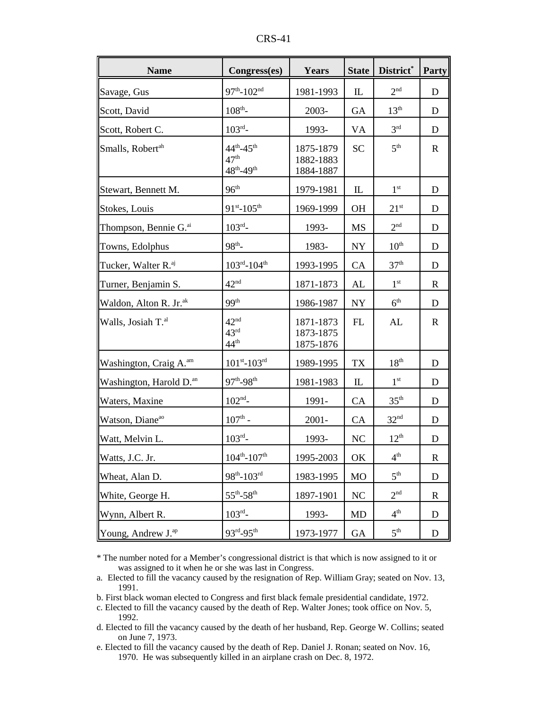| <b>Name</b>                         | Congress(es)                                                   | Years                               | <b>State</b>   | District*        | Party       |
|-------------------------------------|----------------------------------------------------------------|-------------------------------------|----------------|------------------|-------------|
| Savage, Gus                         | $97^{th}$ -102 <sup>nd</sup>                                   | 1981-1993                           | $\mathbf{L}$   | 2 <sub>nd</sub>  | D           |
| Scott, David                        | $108^{th}$ -                                                   | 2003-                               | <b>GA</b>      | $13^{\text{th}}$ | D           |
| Scott, Robert C.                    | $103^{rd}$ -                                                   | 1993-                               | VA             | 3 <sup>rd</sup>  | D           |
| Smalls, Robert <sup>ah</sup>        | $44^{th} - 45^{th}$<br>47 <sup>th</sup><br>$48^{th} - 49^{th}$ | 1875-1879<br>1882-1883<br>1884-1887 | <b>SC</b>      | 5 <sup>th</sup>  | $\mathbf R$ |
| Stewart, Bennett M.                 | 96 <sup>th</sup>                                               | 1979-1981                           | $\mathbb{L}$   | 1 <sup>st</sup>  | D           |
| Stokes, Louis                       | $91^{st} - 105^{th}$                                           | 1969-1999                           | <b>OH</b>      | $21^{st}$        | D           |
| Thompson, Bennie G. <sup>ai</sup>   | $103^{rd}$ -                                                   | 1993-                               | MS             | 2 <sup>nd</sup>  | D           |
| Towns, Edolphus                     | $98^{th}$ -                                                    | 1983-                               | <b>NY</b>      | 10 <sup>th</sup> | D           |
| Tucker, Walter R. <sup>aj</sup>     | $103^{rd} - 104^{th}$                                          | 1993-1995                           | CA             | 37 <sup>th</sup> | D           |
| Turner, Benjamin S.                 | 42 <sup>nd</sup>                                               | 1871-1873                           | AL             | 1 <sup>st</sup>  | $\mathbf R$ |
| Waldon, Alton R. Jr. <sup>ak</sup>  | 99 <sup>th</sup>                                               | 1986-1987                           | <b>NY</b>      | 6 <sup>th</sup>  | D           |
| Walls, Josiah T. <sup>al</sup>      | 42 <sup>nd</sup><br>43 <sup>rd</sup><br>44 <sup>th</sup>       | 1871-1873<br>1873-1875<br>1875-1876 | FL             | AL               | $\mathbf R$ |
| Washington, Craig A. <sup>am</sup>  | $101^{st} - 103^{rd}$                                          | 1989-1995                           | <b>TX</b>      | 18 <sup>th</sup> | D           |
| Washington, Harold D. <sup>an</sup> | $97^{th} - 98^{th}$                                            | 1981-1983                           | $\mathbb{L}$   | 1 <sup>st</sup>  | D           |
| Waters, Maxine                      | $102^{\text{nd}}$ -                                            | 1991-                               | CA             | $35^{\text{th}}$ | D           |
| Watson, Diane <sup>ao</sup>         | $107^{\text{th}}$ -                                            | $2001 -$                            | CA             | 32 <sup>nd</sup> | D           |
| Watt, Melvin L.                     | $103^{rd}$ -                                                   | 1993-                               | N <sub>C</sub> | $12^{th}$        | D           |
| Watts, J.C. Jr.                     | $104^{\text{th}} - 107^{\text{th}}$                            | 1995-2003                           | OK             | 4 <sup>th</sup>  | $\mathbf R$ |
| Wheat, Alan D.                      | $98^{\rm th}\text{-}103^{\rm rd}$                              | 1983-1995                           | <b>MO</b>      | 5 <sup>th</sup>  | D           |
| White, George H.                    | $55^{\text{th}}$ - $58^{\text{th}}$                            | 1897-1901                           | NC             | 2 <sup>nd</sup>  | $\mathbf R$ |
| Wynn, Albert R.                     | $103^{rd}$ -                                                   | 1993-                               | MD             | 4 <sup>th</sup>  | D           |
| Young, Andrew J. <sup>ap</sup>      | 93rd-95th                                                      | 1973-1977                           | GA             | 5 <sup>th</sup>  | D           |

CRS-41

\* The number noted for a Member's congressional district is that which is now assigned to it or was assigned to it when he or she was last in Congress.

b. First black woman elected to Congress and first black female presidential candidate, 1972.

c. Elected to fill the vacancy caused by the death of Rep. Walter Jones; took office on Nov. 5, 1992.

d. Elected to fill the vacancy caused by the death of her husband, Rep. George W. Collins; seated on June 7, 1973.

e. Elected to fill the vacancy caused by the death of Rep. Daniel J. Ronan; seated on Nov. 16, 1970. He was subsequently killed in an airplane crash on Dec. 8, 1972.

a. Elected to fill the vacancy caused by the resignation of Rep. William Gray; seated on Nov. 13, 1991.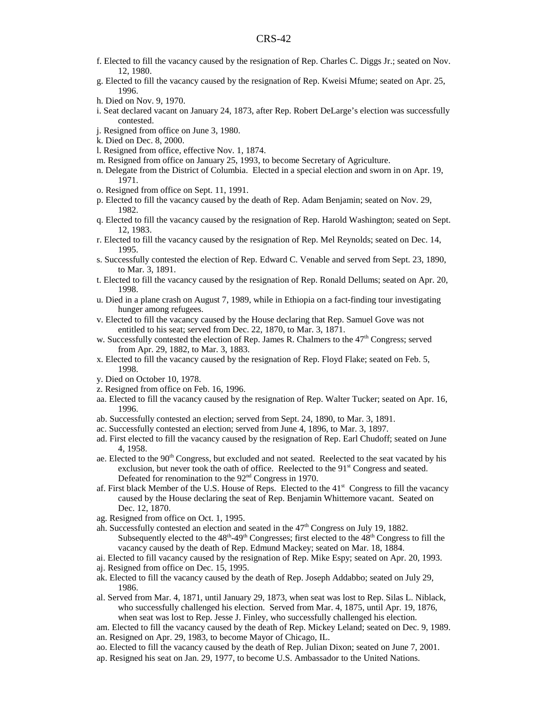- f. Elected to fill the vacancy caused by the resignation of Rep. Charles C. Diggs Jr.; seated on Nov. 12, 1980.
- g. Elected to fill the vacancy caused by the resignation of Rep. Kweisi Mfume; seated on Apr. 25, 1996.
- h. Died on Nov. 9, 1970.
- i. Seat declared vacant on January 24, 1873, after Rep. Robert DeLarge's election was successfully contested.
- j. Resigned from office on June 3, 1980.
- k. Died on Dec. 8, 2000.
- l. Resigned from office, effective Nov. 1, 1874.
- m. Resigned from office on January 25, 1993, to become Secretary of Agriculture.
- n. Delegate from the District of Columbia. Elected in a special election and sworn in on Apr. 19, 1971.
- o. Resigned from office on Sept. 11, 1991.
- p. Elected to fill the vacancy caused by the death of Rep. Adam Benjamin; seated on Nov. 29, 1982.
- q. Elected to fill the vacancy caused by the resignation of Rep. Harold Washington; seated on Sept. 12, 1983.
- r. Elected to fill the vacancy caused by the resignation of Rep. Mel Reynolds; seated on Dec. 14, 1995.
- s. Successfully contested the election of Rep. Edward C. Venable and served from Sept. 23, 1890, to Mar. 3, 1891.
- t. Elected to fill the vacancy caused by the resignation of Rep. Ronald Dellums; seated on Apr. 20, 1998.
- u. Died in a plane crash on August 7, 1989, while in Ethiopia on a fact-finding tour investigating hunger among refugees.
- v. Elected to fill the vacancy caused by the House declaring that Rep. Samuel Gove was not entitled to his seat; served from Dec. 22, 1870, to Mar. 3, 1871.
- w. Successfully contested the election of Rep. James R. Chalmers to the  $47<sup>th</sup>$  Congress; served from Apr. 29, 1882, to Mar. 3, 1883.
- x. Elected to fill the vacancy caused by the resignation of Rep. Floyd Flake; seated on Feb. 5, 1998.
- y. Died on October 10, 1978.
- z. Resigned from office on Feb. 16, 1996.
- aa. Elected to fill the vacancy caused by the resignation of Rep. Walter Tucker; seated on Apr. 16, 1996.
- ab. Successfully contested an election; served from Sept. 24, 1890, to Mar. 3, 1891.
- ac. Successfully contested an election; served from June 4, 1896, to Mar. 3, 1897.
- ad. First elected to fill the vacancy caused by the resignation of Rep. Earl Chudoff; seated on June 4, 1958.
- ae. Elected to the 90<sup>th</sup> Congress, but excluded and not seated. Reelected to the seat vacated by his exclusion, but never took the oath of office. Reelected to the 91<sup>st</sup> Congress and seated. Defeated for renomination to the 92<sup>nd</sup> Congress in 1970.
- af. First black Member of the U.S. House of Reps. Elected to the  $41<sup>st</sup>$  Congress to fill the vacancy caused by the House declaring the seat of Rep. Benjamin Whittemore vacant. Seated on Dec. 12, 1870.
- ag. Resigned from office on Oct. 1, 1995.
- ah. Successfully contested an election and seated in the 47th Congress on July 19, 1882. Subsequently elected to the  $48<sup>th</sup>-49<sup>th</sup>$  Congresses; first elected to the  $48<sup>th</sup>$  Congress to fill the vacancy caused by the death of Rep. Edmund Mackey; seated on Mar. 18, 1884.
- ai. Elected to fill vacancy caused by the resignation of Rep. Mike Espy; seated on Apr. 20, 1993.
- aj. Resigned from office on Dec. 15, 1995.
- ak. Elected to fill the vacancy caused by the death of Rep. Joseph Addabbo; seated on July 29, 1986.
- al. Served from Mar. 4, 1871, until January 29, 1873, when seat was lost to Rep. Silas L. Niblack, who successfully challenged his election. Served from Mar. 4, 1875, until Apr. 19, 1876, when seat was lost to Rep. Jesse J. Finley, who successfully challenged his election.
- am. Elected to fill the vacancy caused by the death of Rep. Mickey Leland; seated on Dec. 9, 1989. an. Resigned on Apr. 29, 1983, to become Mayor of Chicago, IL.
- ao. Elected to fill the vacancy caused by the death of Rep. Julian Dixon; seated on June 7, 2001.
- ap. Resigned his seat on Jan. 29, 1977, to become U.S. Ambassador to the United Nations.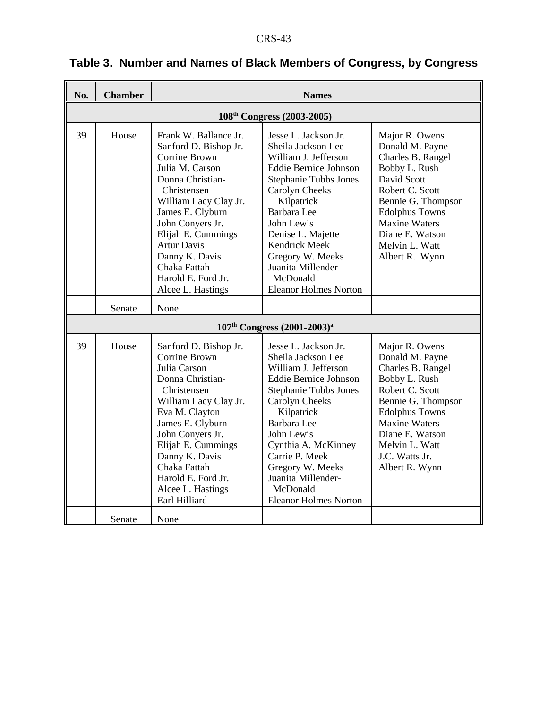| No. | <b>Chamber</b>                         | <b>Names</b>                                                                                                                                                                                                                                                                                                    |                                                                                                                                                                                                                                                                                                                                |                                                                                                                                                                                                                                            |  |  |
|-----|----------------------------------------|-----------------------------------------------------------------------------------------------------------------------------------------------------------------------------------------------------------------------------------------------------------------------------------------------------------------|--------------------------------------------------------------------------------------------------------------------------------------------------------------------------------------------------------------------------------------------------------------------------------------------------------------------------------|--------------------------------------------------------------------------------------------------------------------------------------------------------------------------------------------------------------------------------------------|--|--|
|     | 108 <sup>th</sup> Congress (2003-2005) |                                                                                                                                                                                                                                                                                                                 |                                                                                                                                                                                                                                                                                                                                |                                                                                                                                                                                                                                            |  |  |
| 39  | House                                  | Frank W. Ballance Jr.<br>Sanford D. Bishop Jr.<br>Corrine Brown<br>Julia M. Carson<br>Donna Christian-<br>Christensen<br>William Lacy Clay Jr.<br>James E. Clyburn<br>John Conyers Jr.<br>Elijah E. Cummings<br><b>Artur Davis</b><br>Danny K. Davis<br>Chaka Fattah<br>Harold E. Ford Jr.<br>Alcee L. Hastings | Jesse L. Jackson Jr.<br>Sheila Jackson Lee<br>William J. Jefferson<br><b>Eddie Bernice Johnson</b><br><b>Stephanie Tubbs Jones</b><br>Carolyn Cheeks<br>Kilpatrick<br>Barbara Lee<br>John Lewis<br>Denise L. Majette<br>Kendrick Meek<br>Gregory W. Meeks<br>Juanita Millender-<br>McDonald<br><b>Eleanor Holmes Norton</b>    | Major R. Owens<br>Donald M. Payne<br>Charles B. Rangel<br>Bobby L. Rush<br>David Scott<br>Robert C. Scott<br>Bennie G. Thompson<br><b>Edolphus Towns</b><br><b>Maxine Waters</b><br>Diane E. Watson<br>Melvin L. Watt<br>Albert R. Wynn    |  |  |
|     | Senate                                 | None                                                                                                                                                                                                                                                                                                            |                                                                                                                                                                                                                                                                                                                                |                                                                                                                                                                                                                                            |  |  |
|     |                                        |                                                                                                                                                                                                                                                                                                                 | $107th Congress (2001-2003)a$                                                                                                                                                                                                                                                                                                  |                                                                                                                                                                                                                                            |  |  |
| 39  | House                                  | Sanford D. Bishop Jr.<br><b>Corrine Brown</b><br>Julia Carson<br>Donna Christian-<br>Christensen<br>William Lacy Clay Jr.<br>Eva M. Clayton<br>James E. Clyburn<br>John Conyers Jr.<br>Elijah E. Cummings<br>Danny K. Davis<br>Chaka Fattah<br>Harold E. Ford Jr.<br>Alcee L. Hastings<br>Earl Hilliard         | Jesse L. Jackson Jr.<br>Sheila Jackson Lee<br>William J. Jefferson<br><b>Eddie Bernice Johnson</b><br><b>Stephanie Tubbs Jones</b><br>Carolyn Cheeks<br>Kilpatrick<br>Barbara Lee<br>John Lewis<br>Cynthia A. McKinney<br>Carrie P. Meek<br>Gregory W. Meeks<br>Juanita Millender-<br>McDonald<br><b>Eleanor Holmes Norton</b> | Major R. Owens<br>Donald M. Payne<br>Charles B. Rangel<br>Bobby L. Rush<br>Robert C. Scott<br>Bennie G. Thompson<br><b>Edolphus Towns</b><br><b>Maxine Waters</b><br>Diane E. Watson<br>Melvin L. Watt<br>J.C. Watts Jr.<br>Albert R. Wynn |  |  |
|     | Senate                                 | None                                                                                                                                                                                                                                                                                                            |                                                                                                                                                                                                                                                                                                                                |                                                                                                                                                                                                                                            |  |  |

# **Table 3. Number and Names of Black Members of Congress, by Congress**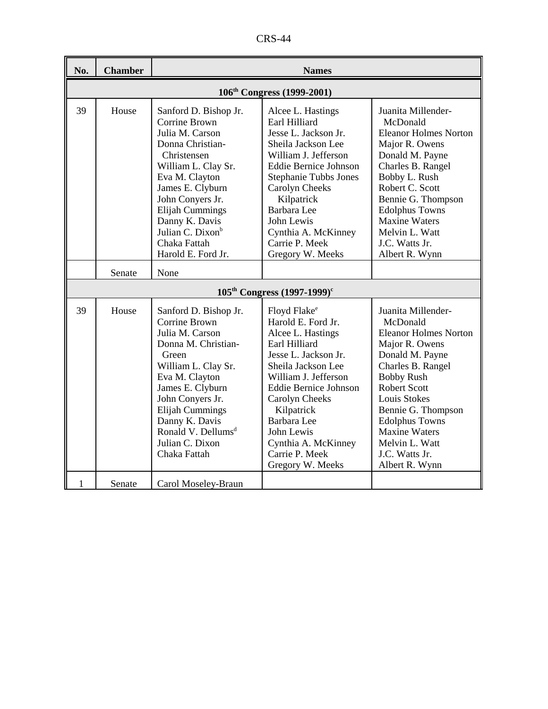CRS-44

| No. | <b>Chamber</b> | <b>Names</b>                                                                                                                                                                                                                                                                             |                                                                                                                                                                                                                                                                                                                      |                                                                                                                                                                                                                                                                                                                   |  |  |
|-----|----------------|------------------------------------------------------------------------------------------------------------------------------------------------------------------------------------------------------------------------------------------------------------------------------------------|----------------------------------------------------------------------------------------------------------------------------------------------------------------------------------------------------------------------------------------------------------------------------------------------------------------------|-------------------------------------------------------------------------------------------------------------------------------------------------------------------------------------------------------------------------------------------------------------------------------------------------------------------|--|--|
|     |                |                                                                                                                                                                                                                                                                                          | 106 <sup>th</sup> Congress (1999-2001)                                                                                                                                                                                                                                                                               |                                                                                                                                                                                                                                                                                                                   |  |  |
| 39  | House          | Sanford D. Bishop Jr.<br>Corrine Brown<br>Julia M. Carson<br>Donna Christian-<br>Christensen<br>William L. Clay Sr.<br>Eva M. Clayton<br>James E. Clyburn<br>John Conyers Jr.<br>Elijah Cummings<br>Danny K. Davis<br>Julian C. Dixon <sup>b</sup><br>Chaka Fattah<br>Harold E. Ford Jr. | Alcee L. Hastings<br>Earl Hilliard<br>Jesse L. Jackson Jr.<br>Sheila Jackson Lee<br>William J. Jefferson<br><b>Eddie Bernice Johnson</b><br><b>Stephanie Tubbs Jones</b><br>Carolyn Cheeks<br>Kilpatrick<br>Barbara Lee<br>John Lewis<br>Cynthia A. McKinney<br>Carrie P. Meek<br>Gregory W. Meeks                   | Juanita Millender-<br>McDonald<br><b>Eleanor Holmes Norton</b><br>Major R. Owens<br>Donald M. Payne<br>Charles B. Rangel<br>Bobby L. Rush<br>Robert C. Scott<br>Bennie G. Thompson<br><b>Edolphus Towns</b><br><b>Maxine Waters</b><br>Melvin L. Watt<br>J.C. Watts Jr.<br>Albert R. Wynn                         |  |  |
|     | Senate         | None                                                                                                                                                                                                                                                                                     |                                                                                                                                                                                                                                                                                                                      |                                                                                                                                                                                                                                                                                                                   |  |  |
|     |                |                                                                                                                                                                                                                                                                                          | $105^{th}$ Congress $(1997-1999)^{c}$                                                                                                                                                                                                                                                                                |                                                                                                                                                                                                                                                                                                                   |  |  |
| 39  | House          | Sanford D. Bishop Jr.<br>Corrine Brown<br>Julia M. Carson<br>Donna M. Christian-<br>Green<br>William L. Clay Sr.<br>Eva M. Clayton<br>James E. Clyburn<br>John Conyers Jr.<br>Elijah Cummings<br>Danny K. Davis<br>Ronald V. Dellums <sup>d</sup><br>Julian C. Dixon<br>Chaka Fattah     | Floyd Flake <sup>e</sup><br>Harold E. Ford Jr.<br>Alcee L. Hastings<br>Earl Hilliard<br>Jesse L. Jackson Jr.<br>Sheila Jackson Lee<br>William J. Jefferson<br><b>Eddie Bernice Johnson</b><br>Carolyn Cheeks<br>Kilpatrick<br>Barbara Lee<br>John Lewis<br>Cynthia A. McKinney<br>Carrie P. Meek<br>Gregory W. Meeks | Juanita Millender-<br>McDonald<br><b>Eleanor Holmes Norton</b><br>Major R. Owens<br>Donald M. Payne<br>Charles B. Rangel<br><b>Bobby Rush</b><br><b>Robert Scott</b><br>Louis Stokes<br>Bennie G. Thompson<br><b>Edolphus Towns</b><br><b>Maxine Waters</b><br>Melvin L. Watt<br>J.C. Watts Jr.<br>Albert R. Wynn |  |  |
| 1   | Senate         | Carol Moseley-Braun                                                                                                                                                                                                                                                                      |                                                                                                                                                                                                                                                                                                                      |                                                                                                                                                                                                                                                                                                                   |  |  |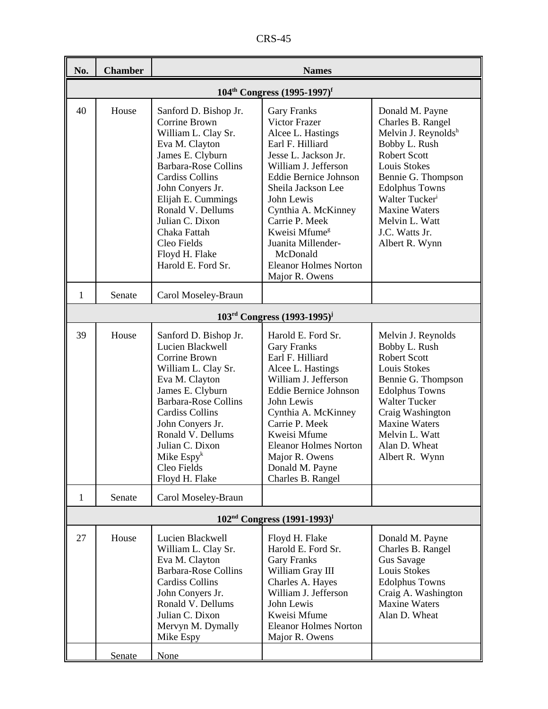CRS-45

| No. | <b>Chamber</b>                                      | <b>Names</b>                                                                                                                                                                                                                                                                                                          |                                                                                                                                                                                                                                                                                                                                                            |                                                                                                                                                                                                                                                                                |  |  |
|-----|-----------------------------------------------------|-----------------------------------------------------------------------------------------------------------------------------------------------------------------------------------------------------------------------------------------------------------------------------------------------------------------------|------------------------------------------------------------------------------------------------------------------------------------------------------------------------------------------------------------------------------------------------------------------------------------------------------------------------------------------------------------|--------------------------------------------------------------------------------------------------------------------------------------------------------------------------------------------------------------------------------------------------------------------------------|--|--|
|     | $104^{\text{th}}$ Congress $(1995-1997)^{\text{f}}$ |                                                                                                                                                                                                                                                                                                                       |                                                                                                                                                                                                                                                                                                                                                            |                                                                                                                                                                                                                                                                                |  |  |
| 40  | House                                               | Sanford D. Bishop Jr.<br>Corrine Brown<br>William L. Clay Sr.<br>Eva M. Clayton<br>James E. Clyburn<br><b>Barbara-Rose Collins</b><br><b>Cardiss Collins</b><br>John Conyers Jr.<br>Elijah E. Cummings<br>Ronald V. Dellums<br>Julian C. Dixon<br>Chaka Fattah<br>Cleo Fields<br>Floyd H. Flake<br>Harold E. Ford Sr. | <b>Gary Franks</b><br>Victor Frazer<br>Alcee L. Hastings<br>Earl F. Hilliard<br>Jesse L. Jackson Jr.<br>William J. Jefferson<br><b>Eddie Bernice Johnson</b><br>Sheila Jackson Lee<br>John Lewis<br>Cynthia A. McKinney<br>Carrie P. Meek<br>Kweisi Mfume <sup>g</sup><br>Juanita Millender-<br>McDonald<br><b>Eleanor Holmes Norton</b><br>Major R. Owens | Donald M. Payne<br>Charles B. Rangel<br>Melvin J. Reynoldsh<br>Bobby L. Rush<br><b>Robert Scott</b><br>Louis Stokes<br>Bennie G. Thompson<br><b>Edolphus Towns</b><br>Walter Tucker <sup>i</sup><br><b>Maxine Waters</b><br>Melvin L. Watt<br>J.C. Watts Jr.<br>Albert R. Wynn |  |  |
| 1   | Senate                                              | Carol Moseley-Braun                                                                                                                                                                                                                                                                                                   |                                                                                                                                                                                                                                                                                                                                                            |                                                                                                                                                                                                                                                                                |  |  |
|     |                                                     |                                                                                                                                                                                                                                                                                                                       | $103rd Congress (1993-1995)j$                                                                                                                                                                                                                                                                                                                              |                                                                                                                                                                                                                                                                                |  |  |
| 39  | House                                               | Sanford D. Bishop Jr.<br>Lucien Blackwell<br>Corrine Brown<br>William L. Clay Sr.<br>Eva M. Clayton<br>James E. Clyburn<br><b>Barbara-Rose Collins</b><br><b>Cardiss Collins</b><br>John Conyers Jr.<br>Ronald V. Dellums<br>Julian C. Dixon<br>Mike $Espyk$<br>Cleo Fields<br>Floyd H. Flake                         | Harold E. Ford Sr.<br><b>Gary Franks</b><br>Earl F. Hilliard<br>Alcee L. Hastings<br>William J. Jefferson<br>Eddie Bernice Johnson<br>John Lewis<br>Cynthia A. McKinney<br>Carrie P. Meek<br>Kweisi Mfume<br><b>Eleanor Holmes Norton</b><br>Major R. Owens<br>Donald M. Payne<br>Charles B. Rangel                                                        | Melvin J. Reynolds<br>Bobby L. Rush<br><b>Robert Scott</b><br>Louis Stokes<br>Bennie G. Thompson<br><b>Edolphus Towns</b><br><b>Walter Tucker</b><br>Craig Washington<br><b>Maxine Waters</b><br>Melvin L. Watt<br>Alan D. Wheat<br>Albert R. Wynn                             |  |  |
| 1   | Senate                                              | Carol Moseley-Braun                                                                                                                                                                                                                                                                                                   |                                                                                                                                                                                                                                                                                                                                                            |                                                                                                                                                                                                                                                                                |  |  |
|     |                                                     |                                                                                                                                                                                                                                                                                                                       | $102nd Congress (1991-1993)1$                                                                                                                                                                                                                                                                                                                              |                                                                                                                                                                                                                                                                                |  |  |
| 27  | House                                               | Lucien Blackwell<br>William L. Clay Sr.<br>Eva M. Clayton<br><b>Barbara-Rose Collins</b><br><b>Cardiss Collins</b><br>John Conyers Jr.<br>Ronald V. Dellums<br>Julian C. Dixon<br>Mervyn M. Dymally<br>Mike Espy                                                                                                      | Floyd H. Flake<br>Harold E. Ford Sr.<br><b>Gary Franks</b><br>William Gray III<br>Charles A. Hayes<br>William J. Jefferson<br>John Lewis<br>Kweisi Mfume<br><b>Eleanor Holmes Norton</b><br>Major R. Owens                                                                                                                                                 | Donald M. Payne<br>Charles B. Rangel<br>Gus Savage<br>Louis Stokes<br><b>Edolphus Towns</b><br>Craig A. Washington<br><b>Maxine Waters</b><br>Alan D. Wheat                                                                                                                    |  |  |
|     | Senate                                              | <b>None</b>                                                                                                                                                                                                                                                                                                           |                                                                                                                                                                                                                                                                                                                                                            |                                                                                                                                                                                                                                                                                |  |  |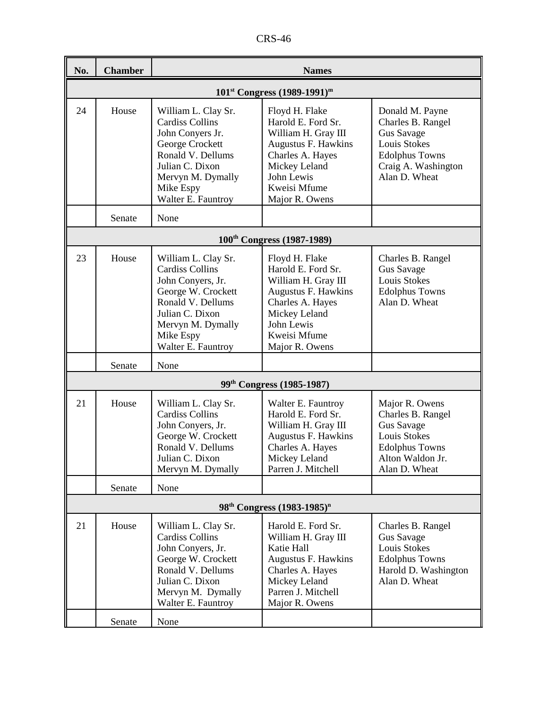| No. | <b>Chamber</b>                | <b>Names</b>                                                                                                                                                                             |                                                                                                                                                                         |                                                                                                                                               |  |  |  |
|-----|-------------------------------|------------------------------------------------------------------------------------------------------------------------------------------------------------------------------------------|-------------------------------------------------------------------------------------------------------------------------------------------------------------------------|-----------------------------------------------------------------------------------------------------------------------------------------------|--|--|--|
|     | $101st Congress (1989-1991)m$ |                                                                                                                                                                                          |                                                                                                                                                                         |                                                                                                                                               |  |  |  |
| 24  | House                         | William L. Clay Sr.<br><b>Cardiss Collins</b><br>John Conyers Jr.<br>George Crockett<br>Ronald V. Dellums<br>Julian C. Dixon<br>Mervyn M. Dymally<br>Mike Espy<br>Walter E. Fauntroy     | Floyd H. Flake<br>Harold E. Ford Sr.<br>William H. Gray III<br>Augustus F. Hawkins<br>Charles A. Hayes<br>Mickey Leland<br>John Lewis<br>Kweisi Mfume<br>Major R. Owens | Donald M. Payne<br>Charles B. Rangel<br>Gus Savage<br>Louis Stokes<br><b>Edolphus Towns</b><br>Craig A. Washington<br>Alan D. Wheat           |  |  |  |
|     | Senate                        | None                                                                                                                                                                                     |                                                                                                                                                                         |                                                                                                                                               |  |  |  |
|     |                               |                                                                                                                                                                                          | 100 <sup>th</sup> Congress (1987-1989)                                                                                                                                  |                                                                                                                                               |  |  |  |
| 23  | House                         | William L. Clay Sr.<br><b>Cardiss Collins</b><br>John Conyers, Jr.<br>George W. Crockett<br>Ronald V. Dellums<br>Julian C. Dixon<br>Mervyn M. Dymally<br>Mike Espy<br>Walter E. Fauntroy | Floyd H. Flake<br>Harold E. Ford Sr.<br>William H. Gray III<br>Augustus F. Hawkins<br>Charles A. Hayes<br>Mickey Leland<br>John Lewis<br>Kweisi Mfume<br>Major R. Owens | Charles B. Rangel<br>Gus Savage<br><b>Louis Stokes</b><br><b>Edolphus Towns</b><br>Alan D. Wheat                                              |  |  |  |
|     | Senate                        | None                                                                                                                                                                                     |                                                                                                                                                                         |                                                                                                                                               |  |  |  |
|     |                               |                                                                                                                                                                                          | 99 <sup>th</sup> Congress (1985-1987)                                                                                                                                   |                                                                                                                                               |  |  |  |
| 21  | House                         | William L. Clay Sr.<br><b>Cardiss Collins</b><br>John Conyers, Jr.<br>George W. Crockett<br>Ronald V. Dellums<br>Julian C. Dixon<br>Mervyn M. Dymally                                    | Walter E. Fauntroy<br>Harold E. Ford Sr.<br>William H. Gray III<br>Augustus F. Hawkins<br>Charles A. Hayes<br>Mickey Leland<br>Parren J. Mitchell                       | Major R. Owens<br>Charles B. Rangel<br><b>Gus Savage</b><br><b>Louis Stokes</b><br><b>Edolphus Towns</b><br>Alton Waldon Jr.<br>Alan D. Wheat |  |  |  |
|     | Senate                        | None                                                                                                                                                                                     |                                                                                                                                                                         |                                                                                                                                               |  |  |  |
|     |                               |                                                                                                                                                                                          | 98 <sup>th</sup> Congress (1983-1985) <sup>n</sup>                                                                                                                      |                                                                                                                                               |  |  |  |
| 21  | House                         | William L. Clay Sr.<br><b>Cardiss Collins</b><br>John Conyers, Jr.<br>George W. Crockett<br>Ronald V. Dellums<br>Julian C. Dixon<br>Mervyn M. Dymally<br>Walter E. Fauntroy              | Harold E. Ford Sr.<br>William H. Gray III<br>Katie Hall<br>Augustus F. Hawkins<br>Charles A. Hayes<br>Mickey Leland<br>Parren J. Mitchell<br>Major R. Owens             | Charles B. Rangel<br>Gus Savage<br>Louis Stokes<br><b>Edolphus Towns</b><br>Harold D. Washington<br>Alan D. Wheat                             |  |  |  |
|     | Senate                        | None                                                                                                                                                                                     |                                                                                                                                                                         |                                                                                                                                               |  |  |  |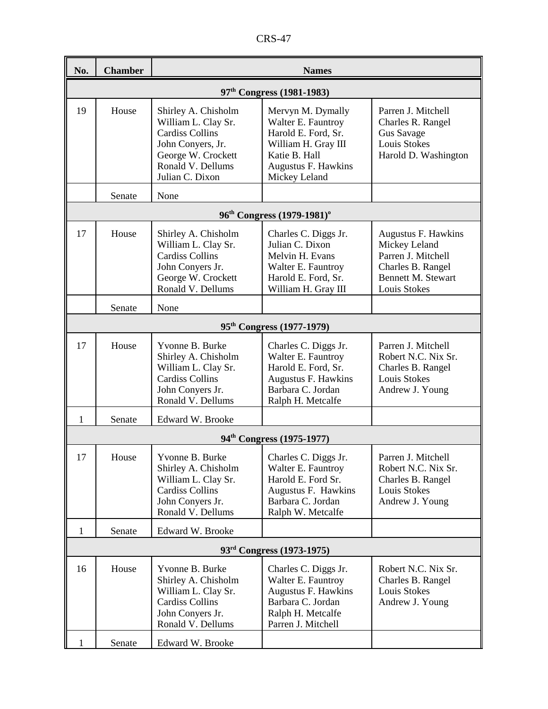CRS-47

| No.          | <b>Chamber</b>                        | <b>Names</b>                                                                                                                                            |                                                                                                                                                |                                                                                                                              |  |  |
|--------------|---------------------------------------|---------------------------------------------------------------------------------------------------------------------------------------------------------|------------------------------------------------------------------------------------------------------------------------------------------------|------------------------------------------------------------------------------------------------------------------------------|--|--|
|              | 97 <sup>th</sup> Congress (1981-1983) |                                                                                                                                                         |                                                                                                                                                |                                                                                                                              |  |  |
| 19           | House                                 | Shirley A. Chisholm<br>William L. Clay Sr.<br><b>Cardiss Collins</b><br>John Conyers, Jr.<br>George W. Crockett<br>Ronald V. Dellums<br>Julian C. Dixon | Mervyn M. Dymally<br>Walter E. Fauntroy<br>Harold E. Ford, Sr.<br>William H. Gray III<br>Katie B. Hall<br>Augustus F. Hawkins<br>Mickey Leland | Parren J. Mitchell<br>Charles R. Rangel<br>Gus Savage<br>Louis Stokes<br>Harold D. Washington                                |  |  |
|              | Senate                                | None                                                                                                                                                    |                                                                                                                                                |                                                                                                                              |  |  |
|              |                                       |                                                                                                                                                         | 96 <sup>th</sup> Congress (1979-1981) <sup>o</sup>                                                                                             |                                                                                                                              |  |  |
| 17           | House                                 | Shirley A. Chisholm<br>William L. Clay Sr.<br><b>Cardiss Collins</b><br>John Conyers Jr.<br>George W. Crockett<br>Ronald V. Dellums                     | Charles C. Diggs Jr.<br>Julian C. Dixon<br>Melvin H. Evans<br>Walter E. Fauntroy<br>Harold E. Ford, Sr.<br>William H. Gray III                 | Augustus F. Hawkins<br>Mickey Leland<br>Parren J. Mitchell<br>Charles B. Rangel<br><b>Bennett M. Stewart</b><br>Louis Stokes |  |  |
|              | Senate                                | None                                                                                                                                                    |                                                                                                                                                |                                                                                                                              |  |  |
|              |                                       |                                                                                                                                                         | 95 <sup>th</sup> Congress (1977-1979)                                                                                                          |                                                                                                                              |  |  |
| 17           | House                                 | Yvonne B. Burke<br>Shirley A. Chisholm<br>William L. Clay Sr.<br><b>Cardiss Collins</b><br>John Conyers Jr.<br>Ronald V. Dellums                        | Charles C. Diggs Jr.<br>Walter E. Fauntroy<br>Harold E. Ford, Sr.<br><b>Augustus F. Hawkins</b><br>Barbara C. Jordan<br>Ralph H. Metcalfe      | Parren J. Mitchell<br>Robert N.C. Nix Sr.<br>Charles B. Rangel<br>Louis Stokes<br>Andrew J. Young                            |  |  |
| 1            | Senate                                | Edward W. Brooke                                                                                                                                        |                                                                                                                                                |                                                                                                                              |  |  |
|              |                                       |                                                                                                                                                         | 94 <sup>th</sup> Congress (1975-1977)                                                                                                          |                                                                                                                              |  |  |
| 17           | House                                 | Yvonne B. Burke<br>Shirley A. Chisholm<br>William L. Clay Sr.<br><b>Cardiss Collins</b><br>John Conyers Jr.<br>Ronald V. Dellums                        | Charles C. Diggs Jr.<br>Walter E. Fauntroy<br>Harold E. Ford Sr.<br>Augustus F. Hawkins<br>Barbara C. Jordan<br>Ralph W. Metcalfe              | Parren J. Mitchell<br>Robert N.C. Nix Sr.<br>Charles B. Rangel<br>Louis Stokes<br>Andrew J. Young                            |  |  |
| $\mathbf{1}$ | Senate                                | Edward W. Brooke                                                                                                                                        |                                                                                                                                                |                                                                                                                              |  |  |
|              |                                       |                                                                                                                                                         | 93 <sup>rd</sup> Congress (1973-1975)                                                                                                          |                                                                                                                              |  |  |
| 16           | House                                 | Yvonne B. Burke<br>Shirley A. Chisholm<br>William L. Clay Sr.<br><b>Cardiss Collins</b><br>John Conyers Jr.<br>Ronald V. Dellums                        | Charles C. Diggs Jr.<br>Walter E. Fauntroy<br>Augustus F. Hawkins<br>Barbara C. Jordan<br>Ralph H. Metcalfe<br>Parren J. Mitchell              | Robert N.C. Nix Sr.<br>Charles B. Rangel<br>Louis Stokes<br>Andrew J. Young                                                  |  |  |
| 1            | Senate                                | Edward W. Brooke                                                                                                                                        |                                                                                                                                                |                                                                                                                              |  |  |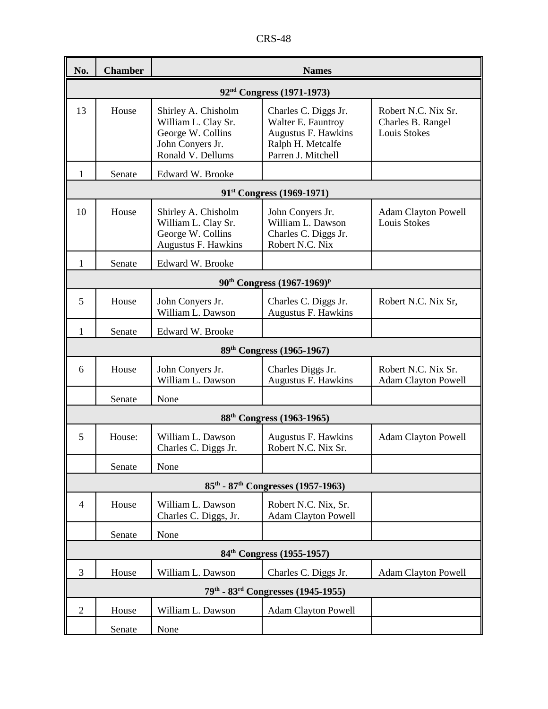| No.            | <b>Chamber</b>                        | <b>Names</b>                                                                                             |                                                                                                              |                                                                 |  |  |  |
|----------------|---------------------------------------|----------------------------------------------------------------------------------------------------------|--------------------------------------------------------------------------------------------------------------|-----------------------------------------------------------------|--|--|--|
|                | 92 <sup>nd</sup> Congress (1971-1973) |                                                                                                          |                                                                                                              |                                                                 |  |  |  |
| 13             | House                                 | Shirley A. Chisholm<br>William L. Clay Sr.<br>George W. Collins<br>John Conyers Jr.<br>Ronald V. Dellums | Charles C. Diggs Jr.<br>Walter E. Fauntroy<br>Augustus F. Hawkins<br>Ralph H. Metcalfe<br>Parren J. Mitchell | Robert N.C. Nix Sr.<br>Charles B. Rangel<br><b>Louis Stokes</b> |  |  |  |
| 1              | Senate                                | Edward W. Brooke                                                                                         |                                                                                                              |                                                                 |  |  |  |
|                |                                       |                                                                                                          | 91 <sup>st</sup> Congress (1969-1971)                                                                        |                                                                 |  |  |  |
| 10             | House                                 | Shirley A. Chisholm<br>William L. Clay Sr.<br>George W. Collins<br><b>Augustus F. Hawkins</b>            | John Conyers Jr.<br>William L. Dawson<br>Charles C. Diggs Jr.<br>Robert N.C. Nix                             | <b>Adam Clayton Powell</b><br><b>Louis Stokes</b>               |  |  |  |
| 1              | Senate                                | Edward W. Brooke                                                                                         |                                                                                                              |                                                                 |  |  |  |
|                |                                       |                                                                                                          | $90^{th}$ Congress $(1967-1969)^p$                                                                           |                                                                 |  |  |  |
| 5              | House                                 | John Conyers Jr.<br>William L. Dawson                                                                    | Charles C. Diggs Jr.<br>Augustus F. Hawkins                                                                  | Robert N.C. Nix Sr,                                             |  |  |  |
| 1              | Senate                                | Edward W. Brooke                                                                                         |                                                                                                              |                                                                 |  |  |  |
|                |                                       |                                                                                                          | 89 <sup>th</sup> Congress (1965-1967)                                                                        |                                                                 |  |  |  |
| 6              | House                                 | John Conyers Jr.<br>William L. Dawson                                                                    | Charles Diggs Jr.<br>Augustus F. Hawkins                                                                     | Robert N.C. Nix Sr.<br><b>Adam Clayton Powell</b>               |  |  |  |
|                | Senate                                | None                                                                                                     |                                                                                                              |                                                                 |  |  |  |
|                |                                       |                                                                                                          | 88 <sup>th</sup> Congress (1963-1965)                                                                        |                                                                 |  |  |  |
| 5              | House:                                | William L. Dawson<br>Charles C. Diggs Jr.                                                                | Augustus F. Hawkins<br>Robert N.C. Nix Sr.                                                                   | <b>Adam Clayton Powell</b>                                      |  |  |  |
|                | Senate                                | None                                                                                                     |                                                                                                              |                                                                 |  |  |  |
|                |                                       |                                                                                                          | $85^{\text{th}}$ - $87^{\text{th}}$ Congresses (1957-1963)                                                   |                                                                 |  |  |  |
| $\overline{4}$ | House                                 | William L. Dawson<br>Charles C. Diggs, Jr.                                                               | Robert N.C. Nix, Sr.<br><b>Adam Clayton Powell</b>                                                           |                                                                 |  |  |  |
|                | Senate                                | None                                                                                                     |                                                                                                              |                                                                 |  |  |  |
|                |                                       |                                                                                                          | 84 <sup>th</sup> Congress (1955-1957)                                                                        |                                                                 |  |  |  |
| 3              | House                                 | William L. Dawson                                                                                        | Charles C. Diggs Jr.                                                                                         | <b>Adam Clayton Powell</b>                                      |  |  |  |
|                |                                       |                                                                                                          | 79th - 83 <sup>rd</sup> Congresses (1945-1955)                                                               |                                                                 |  |  |  |
| $\overline{2}$ | House                                 | William L. Dawson                                                                                        | <b>Adam Clayton Powell</b>                                                                                   |                                                                 |  |  |  |
|                | Senate                                | None                                                                                                     |                                                                                                              |                                                                 |  |  |  |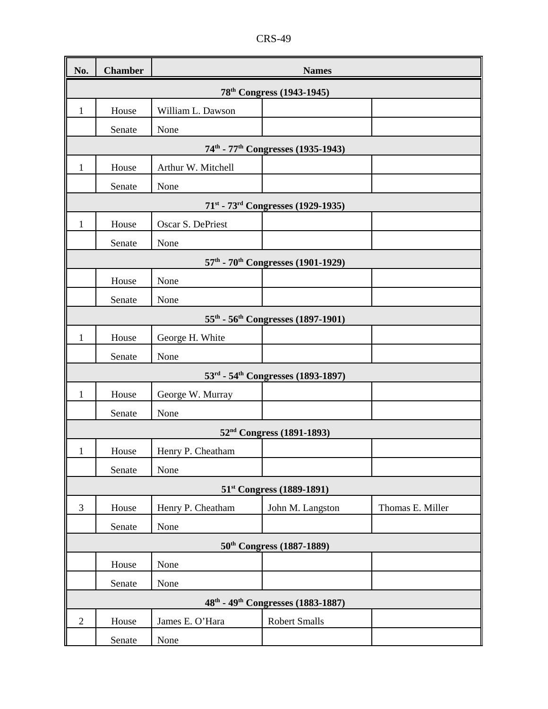| CRS-<br>$-49$ |
|---------------|
|---------------|

| No.                                   | <b>Chamber</b> | <b>Names</b>       |                                                            |                  |  |  |
|---------------------------------------|----------------|--------------------|------------------------------------------------------------|------------------|--|--|
| 78 <sup>th</sup> Congress (1943-1945) |                |                    |                                                            |                  |  |  |
| 1                                     | House          | William L. Dawson  |                                                            |                  |  |  |
|                                       | Senate         | None               |                                                            |                  |  |  |
|                                       |                |                    | 74 <sup>th</sup> - 77 <sup>th</sup> Congresses (1935-1943) |                  |  |  |
| $\mathbf{1}$                          | House          | Arthur W. Mitchell |                                                            |                  |  |  |
|                                       | Senate         | None               |                                                            |                  |  |  |
|                                       |                |                    | 71 <sup>st</sup> - 73 <sup>rd</sup> Congresses (1929-1935) |                  |  |  |
| 1                                     | House          | Oscar S. DePriest  |                                                            |                  |  |  |
|                                       | Senate         | None               |                                                            |                  |  |  |
|                                       |                |                    | 57 <sup>th</sup> - 70 <sup>th</sup> Congresses (1901-1929) |                  |  |  |
|                                       | House          | None               |                                                            |                  |  |  |
|                                       | Senate         | None               |                                                            |                  |  |  |
|                                       |                |                    | 55 <sup>th</sup> - 56 <sup>th</sup> Congresses (1897-1901) |                  |  |  |
| 1                                     | House          | George H. White    |                                                            |                  |  |  |
|                                       | Senate         | None               |                                                            |                  |  |  |
|                                       |                |                    | 53rd - 54th Congresses (1893-1897)                         |                  |  |  |
| 1                                     | House          | George W. Murray   |                                                            |                  |  |  |
|                                       | Senate         | None               |                                                            |                  |  |  |
|                                       |                |                    | 52 <sup>nd</sup> Congress (1891-1893)                      |                  |  |  |
| $\mathbf{1}$                          | House          | Henry P. Cheatham  |                                                            |                  |  |  |
|                                       | Senate         | None               |                                                            |                  |  |  |
|                                       |                |                    | 51 <sup>st</sup> Congress (1889-1891)                      |                  |  |  |
| 3                                     | House          | Henry P. Cheatham  | John M. Langston                                           | Thomas E. Miller |  |  |
|                                       | Senate         | None               |                                                            |                  |  |  |
|                                       |                |                    | 50 <sup>th</sup> Congress (1887-1889)                      |                  |  |  |
|                                       | House          | None               |                                                            |                  |  |  |
|                                       | Senate         | None               |                                                            |                  |  |  |
|                                       |                |                    | 48th - 49th Congresses (1883-1887)                         |                  |  |  |
| $\overline{2}$                        | House          | James E. O'Hara    | <b>Robert Smalls</b>                                       |                  |  |  |
|                                       | Senate         | None               |                                                            |                  |  |  |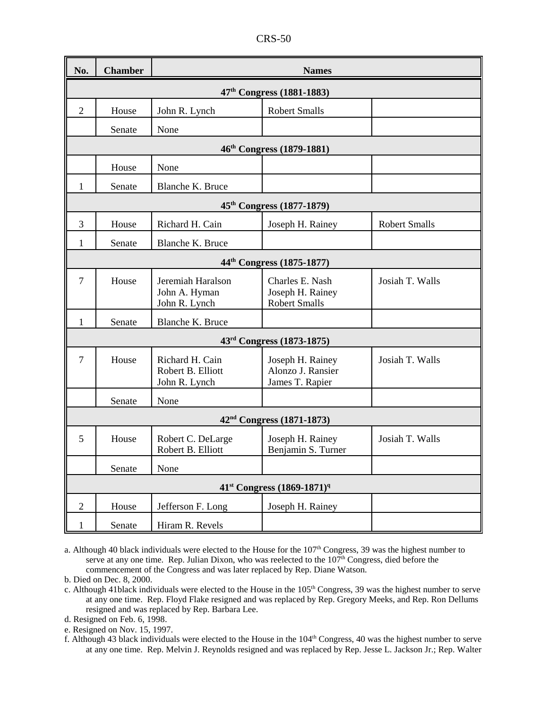| No.            | <b>Chamber</b>                        | <b>Names</b>                                          |                                                             |                      |  |  |  |
|----------------|---------------------------------------|-------------------------------------------------------|-------------------------------------------------------------|----------------------|--|--|--|
|                | 47 <sup>th</sup> Congress (1881-1883) |                                                       |                                                             |                      |  |  |  |
| $\mathfrak{2}$ | House                                 | John R. Lynch                                         | <b>Robert Smalls</b>                                        |                      |  |  |  |
|                | Senate                                | None                                                  |                                                             |                      |  |  |  |
|                |                                       |                                                       | 46 <sup>th</sup> Congress (1879-1881)                       |                      |  |  |  |
|                | House                                 | None                                                  |                                                             |                      |  |  |  |
| $\mathbf{1}$   | Senate                                | Blanche K. Bruce                                      |                                                             |                      |  |  |  |
|                |                                       |                                                       | 45 <sup>th</sup> Congress (1877-1879)                       |                      |  |  |  |
| 3              | House                                 | Richard H. Cain                                       | Joseph H. Rainey                                            | <b>Robert Smalls</b> |  |  |  |
| 1              | Senate                                | Blanche K. Bruce                                      |                                                             |                      |  |  |  |
|                |                                       |                                                       | 44 <sup>th</sup> Congress (1875-1877)                       |                      |  |  |  |
| $\overline{7}$ | House                                 | Jeremiah Haralson<br>John A. Hyman<br>John R. Lynch   | Charles E. Nash<br>Joseph H. Rainey<br><b>Robert Smalls</b> | Josiah T. Walls      |  |  |  |
| 1              | Senate                                | Blanche K. Bruce                                      |                                                             |                      |  |  |  |
|                |                                       |                                                       | 43rd Congress (1873-1875)                                   |                      |  |  |  |
| $\overline{7}$ | House                                 | Richard H. Cain<br>Robert B. Elliott<br>John R. Lynch | Joseph H. Rainey<br>Alonzo J. Ransier<br>James T. Rapier    | Josiah T. Walls      |  |  |  |
|                | Senate                                | None                                                  |                                                             |                      |  |  |  |
|                |                                       |                                                       | 42 <sup>nd</sup> Congress (1871-1873)                       |                      |  |  |  |
| 5              | House                                 | Robert C. DeLarge<br>Robert B. Elliott                | Joseph H. Rainey<br>Benjamin S. Turner                      | Josiah T. Walls      |  |  |  |
|                | Senate                                | None                                                  |                                                             |                      |  |  |  |
|                |                                       |                                                       | 41 <sup>st</sup> Congress (1869-1871) <sup>q</sup>          |                      |  |  |  |
| $\mathfrak{2}$ | House                                 | Jefferson F. Long                                     | Joseph H. Rainey                                            |                      |  |  |  |
| 1              | Senate                                | Hiram R. Revels                                       |                                                             |                      |  |  |  |

a. Although 40 black individuals were elected to the House for the 107<sup>th</sup> Congress, 39 was the highest number to serve at any one time. Rep. Julian Dixon, who was reelected to the  $107<sup>th</sup>$  Congress, died before the commencement of the Congress and was later replaced by Rep. Diane Watson.

b. Died on Dec. 8, 2000.

c. Although 41black individuals were elected to the House in the 105<sup>th</sup> Congress, 39 was the highest number to serve at any one time. Rep. Floyd Flake resigned and was replaced by Rep. Gregory Meeks, and Rep. Ron Dellums resigned and was replaced by Rep. Barbara Lee.

d. Resigned on Feb. 6, 1998.

e. Resigned on Nov. 15, 1997.

f. Although 43 black individuals were elected to the House in the 104th Congress, 40 was the highest number to serve at any one time. Rep. Melvin J. Reynolds resigned and was replaced by Rep. Jesse L. Jackson Jr.; Rep. Walter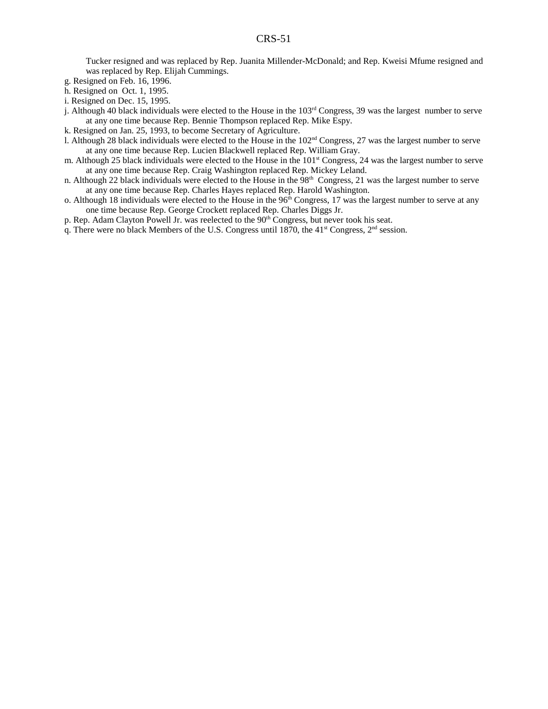Tucker resigned and was replaced by Rep. Juanita Millender-McDonald; and Rep. Kweisi Mfume resigned and was replaced by Rep. Elijah Cummings.

g. Resigned on Feb. 16, 1996.

- h. Resigned on Oct. 1, 1995.
- i. Resigned on Dec. 15, 1995.
- j. Although 40 black individuals were elected to the House in the  $103<sup>rd</sup>$  Congress, 39 was the largest number to serve at any one time because Rep. Bennie Thompson replaced Rep. Mike Espy.
- k. Resigned on Jan. 25, 1993, to become Secretary of Agriculture.
- l. Although 28 black individuals were elected to the House in the  $102<sup>nd</sup>$  Congress, 27 was the largest number to serve at any one time because Rep. Lucien Blackwell replaced Rep. William Gray.
- m. Although 25 black individuals were elected to the House in the 101<sup>st</sup> Congress, 24 was the largest number to serve at any one time because Rep. Craig Washington replaced Rep. Mickey Leland.
- n. Although 22 black individuals were elected to the House in the  $98<sup>th</sup>$  Congress, 21 was the largest number to serve at any one time because Rep. Charles Hayes replaced Rep. Harold Washington.
- o. Although 18 individuals were elected to the House in the  $96<sup>th</sup> Congress$ , 17 was the largest number to serve at any one time because Rep. George Crockett replaced Rep. Charles Diggs Jr.
- p. Rep. Adam Clayton Powell Jr. was reelected to the 90<sup>th</sup> Congress, but never took his seat.
- q. There were no black Members of the U.S. Congress until 1870, the  $41<sup>st</sup>$  Congress,  $2<sup>nd</sup>$  session.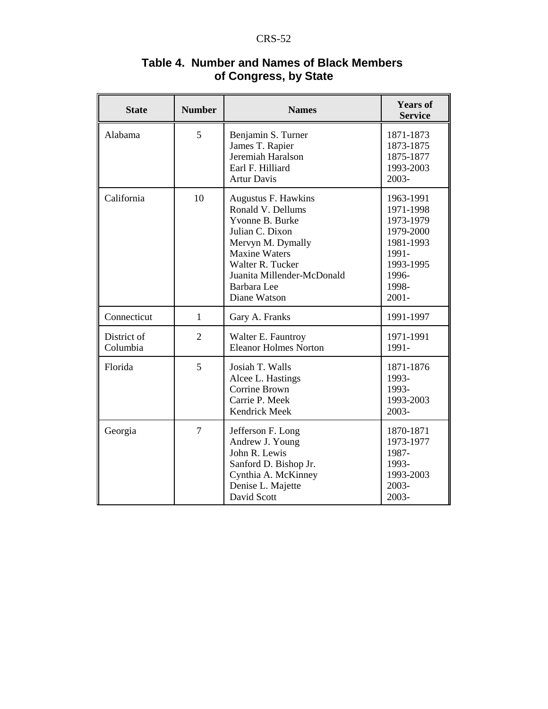| <b>State</b>            | <b>Number</b>  | <b>Names</b>                                                                                                                                                                                                 | <b>Years of</b><br><b>Service</b>                                                                                 |
|-------------------------|----------------|--------------------------------------------------------------------------------------------------------------------------------------------------------------------------------------------------------------|-------------------------------------------------------------------------------------------------------------------|
| Alabama                 | 5              | Benjamin S. Turner<br>James T. Rapier<br>Jeremiah Haralson<br>Earl F. Hilliard<br><b>Artur Davis</b>                                                                                                         | 1871-1873<br>1873-1875<br>1875-1877<br>1993-2003<br>2003-                                                         |
| California              | 10             | Augustus F. Hawkins<br>Ronald V. Dellums<br>Yvonne B. Burke<br>Julian C. Dixon<br>Mervyn M. Dymally<br><b>Maxine Waters</b><br>Walter R. Tucker<br>Juanita Millender-McDonald<br>Barbara Lee<br>Diane Watson | 1963-1991<br>1971-1998<br>1973-1979<br>1979-2000<br>1981-1993<br>1991-<br>1993-1995<br>1996-<br>1998-<br>$2001 -$ |
| Connecticut             | $\mathbf{1}$   | Gary A. Franks                                                                                                                                                                                               | 1991-1997                                                                                                         |
| District of<br>Columbia | $\overline{2}$ | Walter E. Fauntroy<br><b>Eleanor Holmes Norton</b>                                                                                                                                                           | 1971-1991<br>1991-                                                                                                |
| Florida                 | 5              | Josiah T. Walls<br>Alcee L. Hastings<br>Corrine Brown<br>Carrie P. Meek<br>Kendrick Meek                                                                                                                     | 1871-1876<br>1993-<br>1993-<br>1993-2003<br>2003-                                                                 |
| Georgia                 | $\overline{7}$ | Jefferson F. Long<br>Andrew J. Young<br>John R. Lewis<br>Sanford D. Bishop Jr.<br>Cynthia A. McKinney<br>Denise L. Majette<br>David Scott                                                                    | 1870-1871<br>1973-1977<br>1987-<br>1993-<br>1993-2003<br>2003-<br>2003-                                           |

# **Table 4. Number and Names of Black Members of Congress, by State**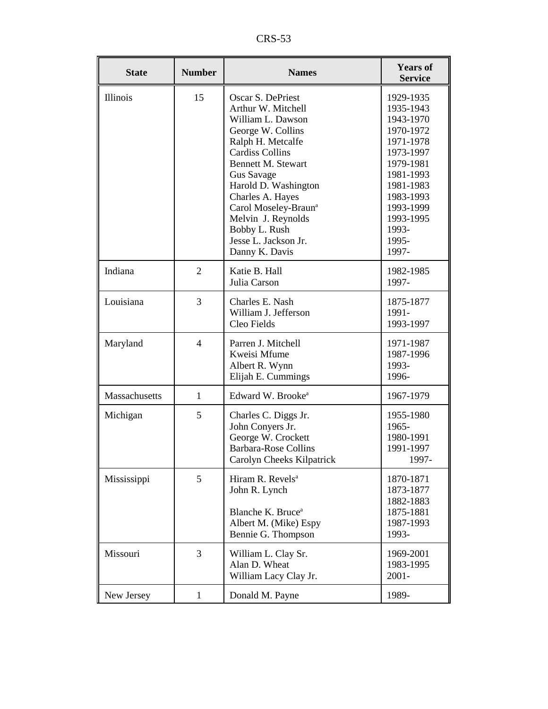CRS-53

| <b>State</b>  | <b>Number</b>  | <b>Names</b>                                                                                                                                                                                                                                                                                                                                        | <b>Years of</b><br><b>Service</b>                                                                                                                                                   |
|---------------|----------------|-----------------------------------------------------------------------------------------------------------------------------------------------------------------------------------------------------------------------------------------------------------------------------------------------------------------------------------------------------|-------------------------------------------------------------------------------------------------------------------------------------------------------------------------------------|
| Illinois      | 15             | Oscar S. DePriest<br>Arthur W. Mitchell<br>William L. Dawson<br>George W. Collins<br>Ralph H. Metcalfe<br><b>Cardiss Collins</b><br><b>Bennett M. Stewart</b><br><b>Gus Savage</b><br>Harold D. Washington<br>Charles A. Hayes<br>Carol Moseley-Braun <sup>a</sup><br>Melvin J. Reynolds<br>Bobby L. Rush<br>Jesse L. Jackson Jr.<br>Danny K. Davis | 1929-1935<br>1935-1943<br>1943-1970<br>1970-1972<br>1971-1978<br>1973-1997<br>1979-1981<br>1981-1993<br>1981-1983<br>1983-1993<br>1993-1999<br>1993-1995<br>1993-<br>1995-<br>1997- |
| Indiana       | $\overline{2}$ | Katie B. Hall<br>Julia Carson                                                                                                                                                                                                                                                                                                                       | 1982-1985<br>1997-                                                                                                                                                                  |
| Louisiana     | 3              | Charles E. Nash<br>William J. Jefferson<br>Cleo Fields                                                                                                                                                                                                                                                                                              | 1875-1877<br>1991-<br>1993-1997                                                                                                                                                     |
| Maryland      | $\overline{4}$ | Parren J. Mitchell<br>Kweisi Mfume<br>Albert R. Wynn<br>Elijah E. Cummings                                                                                                                                                                                                                                                                          | 1971-1987<br>1987-1996<br>1993-<br>1996-                                                                                                                                            |
| Massachusetts | $\mathbf{1}$   | Edward W. Brooke <sup>a</sup>                                                                                                                                                                                                                                                                                                                       | 1967-1979                                                                                                                                                                           |
| Michigan      | 5              | Charles C. Diggs Jr.<br>John Conyers Jr.<br>George W. Crockett<br><b>Barbara-Rose Collins</b><br>Carolyn Cheeks Kilpatrick                                                                                                                                                                                                                          | 1955-1980<br>1965-<br>1980-1991<br>1991-1997<br>1997-                                                                                                                               |
| Mississippi   | 5              | Hiram R. Revels <sup>a</sup><br>John R. Lynch<br>Blanche K. Bruce <sup>a</sup><br>Albert M. (Mike) Espy<br>Bennie G. Thompson                                                                                                                                                                                                                       | 1870-1871<br>1873-1877<br>1882-1883<br>1875-1881<br>1987-1993<br>1993-                                                                                                              |
| Missouri      | 3              | William L. Clay Sr.<br>Alan D. Wheat<br>William Lacy Clay Jr.                                                                                                                                                                                                                                                                                       | 1969-2001<br>1983-1995<br>$2001 -$                                                                                                                                                  |
| New Jersey    | $\mathbf{1}$   | Donald M. Payne                                                                                                                                                                                                                                                                                                                                     | 1989-                                                                                                                                                                               |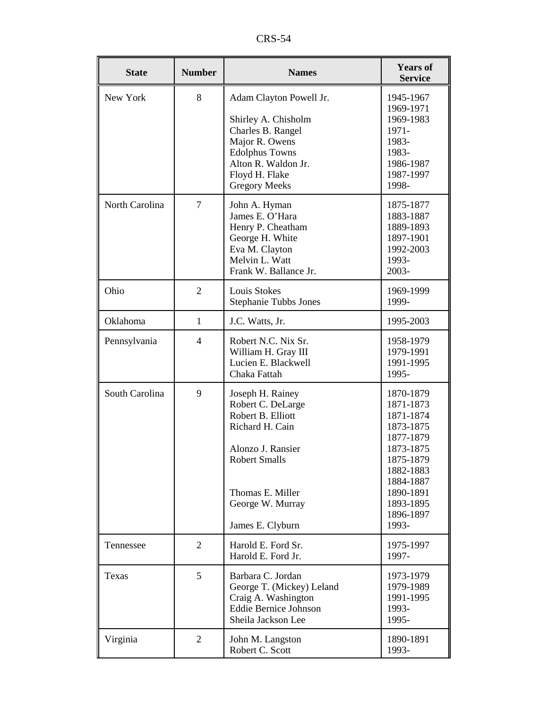CRS-54

| <b>State</b>   | <b>Number</b>  | <b>Names</b>                                                                                                                                                                           | <b>Years of</b><br><b>Service</b>                                                                                                                                 |
|----------------|----------------|----------------------------------------------------------------------------------------------------------------------------------------------------------------------------------------|-------------------------------------------------------------------------------------------------------------------------------------------------------------------|
| New York       | 8              | Adam Clayton Powell Jr.<br>Shirley A. Chisholm<br>Charles B. Rangel<br>Major R. Owens<br><b>Edolphus Towns</b><br>Alton R. Waldon Jr.<br>Floyd H. Flake<br><b>Gregory Meeks</b>        | 1945-1967<br>1969-1971<br>1969-1983<br>1971-<br>1983-<br>1983-<br>1986-1987<br>1987-1997<br>1998-                                                                 |
| North Carolina | $\overline{7}$ | John A. Hyman<br>James E. O'Hara<br>Henry P. Cheatham<br>George H. White<br>Eva M. Clayton<br>Melvin L. Watt<br>Frank W. Ballance Jr.                                                  | 1875-1877<br>1883-1887<br>1889-1893<br>1897-1901<br>1992-2003<br>1993-<br>2003-                                                                                   |
| Ohio           | $\overline{2}$ | <b>Louis Stokes</b><br><b>Stephanie Tubbs Jones</b>                                                                                                                                    | 1969-1999<br>1999-                                                                                                                                                |
| Oklahoma       | $\mathbf{1}$   | J.C. Watts, Jr.                                                                                                                                                                        | 1995-2003                                                                                                                                                         |
| Pennsylvania   | $\overline{4}$ | Robert N.C. Nix Sr.<br>William H. Gray III<br>Lucien E. Blackwell<br>Chaka Fattah                                                                                                      | 1958-1979<br>1979-1991<br>1991-1995<br>1995-                                                                                                                      |
| South Carolina | 9              | Joseph H. Rainey<br>Robert C. DeLarge<br>Robert B. Elliott<br>Richard H. Cain<br>Alonzo J. Ransier<br><b>Robert Smalls</b><br>Thomas E. Miller<br>George W. Murray<br>James E. Clyburn | 1870-1879<br>1871-1873<br>1871-1874<br>1873-1875<br>1877-1879<br>1873-1875<br>1875-1879<br>1882-1883<br>1884-1887<br>1890-1891<br>1893-1895<br>1896-1897<br>1993- |
| Tennessee      | $\overline{2}$ | Harold E. Ford Sr.<br>Harold E. Ford Jr.                                                                                                                                               | 1975-1997<br>1997-                                                                                                                                                |
| Texas          | 5              | Barbara C. Jordan<br>George T. (Mickey) Leland<br>Craig A. Washington<br><b>Eddie Bernice Johnson</b><br>Sheila Jackson Lee                                                            | 1973-1979<br>1979-1989<br>1991-1995<br>1993-<br>1995-                                                                                                             |
| Virginia       | $\overline{2}$ | John M. Langston<br>Robert C. Scott                                                                                                                                                    | 1890-1891<br>1993-                                                                                                                                                |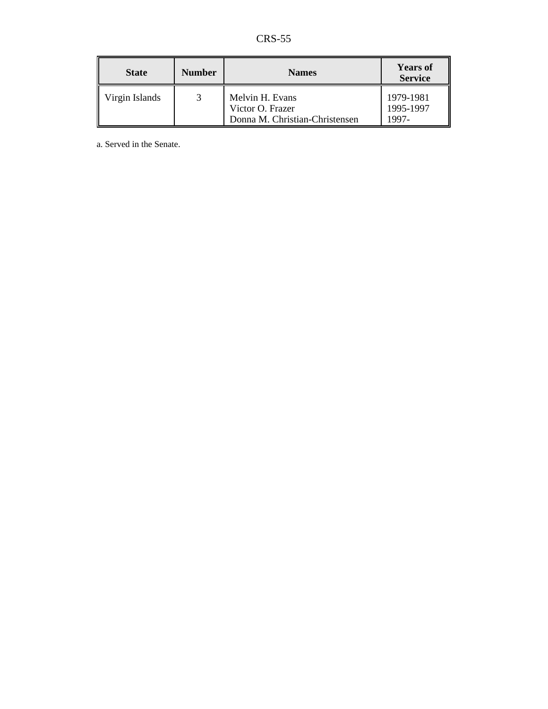CRS-55

| <b>State</b>   | <b>Number</b> | <b>Names</b>                                                          | <b>Years of</b><br><b>Service</b> |
|----------------|---------------|-----------------------------------------------------------------------|-----------------------------------|
| Virgin Islands |               | Melvin H. Evans<br>Victor O. Frazer<br>Donna M. Christian-Christensen | 1979-1981<br>1995-1997<br>1997-   |

a. Served in the Senate.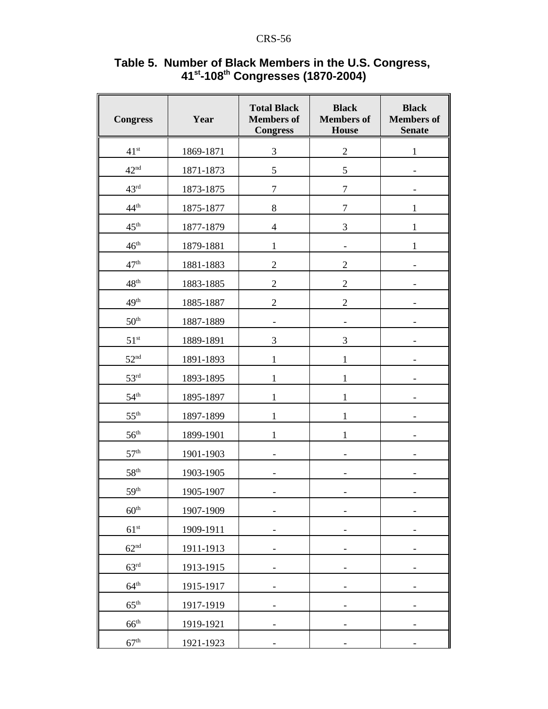| <b>Congress</b>  | Year      | <b>Total Black</b><br><b>Members</b> of<br><b>Congress</b> | <b>Black</b><br><b>Members</b> of<br><b>House</b> | <b>Black</b><br><b>Members</b> of<br><b>Senate</b> |
|------------------|-----------|------------------------------------------------------------|---------------------------------------------------|----------------------------------------------------|
| 41 <sup>st</sup> | 1869-1871 | 3                                                          | $\overline{c}$                                    | 1                                                  |
| 42 <sup>nd</sup> | 1871-1873 | 5                                                          | 5                                                 |                                                    |
| 43 <sup>rd</sup> | 1873-1875 | $\overline{7}$                                             | $\overline{7}$                                    |                                                    |
| 44 <sup>th</sup> | 1875-1877 | $8\,$                                                      | $\overline{7}$                                    | $\mathbf{1}$                                       |
| 45 <sup>th</sup> | 1877-1879 | $\overline{\mathbf{4}}$                                    | 3                                                 | $\mathbf{1}$                                       |
| 46 <sup>th</sup> | 1879-1881 | $\mathbf 1$                                                |                                                   | $\mathbf{1}$                                       |
| 47 <sup>th</sup> | 1881-1883 | $\sqrt{2}$                                                 | $\overline{c}$                                    |                                                    |
| 48 <sup>th</sup> | 1883-1885 | $\sqrt{2}$                                                 | $\overline{c}$                                    |                                                    |
| 49 <sup>th</sup> | 1885-1887 | $\overline{2}$                                             | $\overline{c}$                                    |                                                    |
| 50 <sup>th</sup> | 1887-1889 |                                                            |                                                   |                                                    |
| 51 <sup>st</sup> | 1889-1891 | 3                                                          | 3                                                 |                                                    |
| 52 <sup>nd</sup> | 1891-1893 | $\mathbf{1}$                                               | $\mathbf{1}$                                      |                                                    |
| 53 <sup>rd</sup> | 1893-1895 | $\mathbf{1}$                                               | $\mathbf{1}$                                      |                                                    |
| 54 <sup>th</sup> | 1895-1897 | $\mathbf{1}$                                               | $\mathbf{1}$                                      |                                                    |
| 55 <sup>th</sup> | 1897-1899 | 1                                                          | 1                                                 |                                                    |
| 56 <sup>th</sup> | 1899-1901 | 1                                                          | 1                                                 |                                                    |
| 57 <sup>th</sup> | 1901-1903 |                                                            |                                                   |                                                    |
| 58 <sup>th</sup> | 1903-1905 |                                                            |                                                   |                                                    |
| 59 <sup>th</sup> | 1905-1907 |                                                            |                                                   |                                                    |
| $60^{\rm th}$    | 1907-1909 | -                                                          | -                                                 |                                                    |
| 61 <sup>st</sup> | 1909-1911 |                                                            |                                                   |                                                    |
| 62 <sup>nd</sup> | 1911-1913 | -                                                          |                                                   |                                                    |
| $63^{\text{rd}}$ | 1913-1915 |                                                            |                                                   |                                                    |
| $64^{\text{th}}$ | 1915-1917 | $\qquad \qquad \blacksquare$                               | $\overline{\phantom{a}}$                          | -                                                  |
| $65^{\text{th}}$ | 1917-1919 |                                                            |                                                   |                                                    |
| $66^{\text{th}}$ | 1919-1921 | -                                                          |                                                   |                                                    |
| 67 <sup>th</sup> | 1921-1923 |                                                            |                                                   |                                                    |

### **Table 5. Number of Black Members in the U.S. Congress, 41st-108th Congresses (1870-2004)**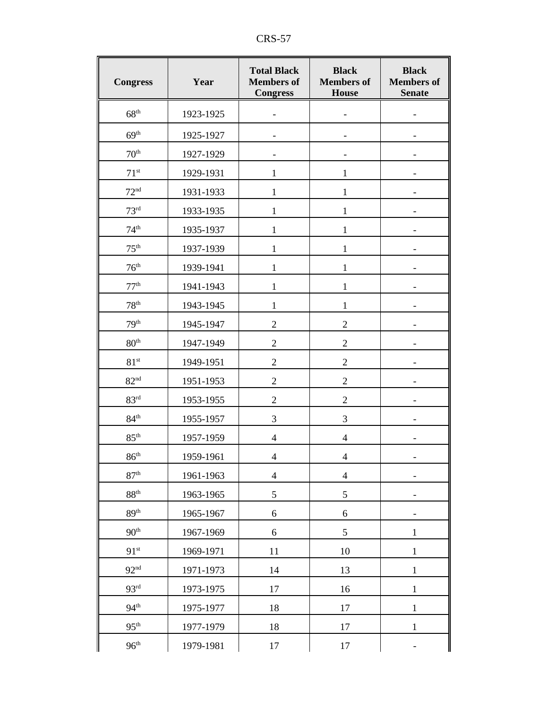| <b>Congress</b>  | Year      | <b>Total Black</b><br><b>Members</b> of<br><b>Congress</b> | <b>Black</b><br><b>Members</b> of<br><b>House</b> | <b>Black</b><br><b>Members</b> of<br><b>Senate</b> |
|------------------|-----------|------------------------------------------------------------|---------------------------------------------------|----------------------------------------------------|
| 68 <sup>th</sup> | 1923-1925 |                                                            |                                                   |                                                    |
| 69 <sup>th</sup> | 1925-1927 |                                                            |                                                   |                                                    |
| 70 <sup>th</sup> | 1927-1929 |                                                            |                                                   |                                                    |
| $71^{st}$        | 1929-1931 | 1                                                          | $\mathbf{1}$                                      |                                                    |
| 72 <sup>nd</sup> | 1931-1933 | 1                                                          | $\mathbf{1}$                                      |                                                    |
| 73 <sup>rd</sup> | 1933-1935 | $\mathbf{1}$                                               | $\mathbf{1}$                                      |                                                    |
| 74 <sup>th</sup> | 1935-1937 | $\mathbf{1}$                                               | $\mathbf{1}$                                      |                                                    |
| 75 <sup>th</sup> | 1937-1939 | 1                                                          | 1                                                 |                                                    |
| 76 <sup>th</sup> | 1939-1941 | 1                                                          | 1                                                 |                                                    |
| 77 <sup>th</sup> | 1941-1943 | 1                                                          | $\mathbf{1}$                                      |                                                    |
| 78 <sup>th</sup> | 1943-1945 | $\mathbf{1}$                                               | $\mathbf{1}$                                      |                                                    |
| 79 <sup>th</sup> | 1945-1947 | $\overline{c}$                                             | $\overline{2}$                                    |                                                    |
| 80 <sup>th</sup> | 1947-1949 | $\overline{2}$                                             | $\overline{2}$                                    |                                                    |
| 81 <sup>st</sup> | 1949-1951 | $\overline{2}$                                             | $\overline{2}$                                    |                                                    |
| 82 <sup>nd</sup> | 1951-1953 | $\overline{2}$                                             | $\overline{2}$                                    |                                                    |
| 83 <sup>rd</sup> | 1953-1955 | $\mathbf{2}$                                               | $\overline{c}$                                    |                                                    |
| 84 <sup>th</sup> | 1955-1957 | 3                                                          | 3                                                 |                                                    |
| 85 <sup>th</sup> | 1957-1959 | $\overline{4}$                                             | $\overline{4}$                                    |                                                    |
| $86^{\rm th}$    | 1959-1961 | $\overline{4}$                                             | $\overline{4}$                                    |                                                    |
| 87 <sup>th</sup> | 1961-1963 | $\overline{4}$                                             | $\overline{4}$                                    |                                                    |
| 88 <sup>th</sup> | 1963-1965 | 5                                                          | 5                                                 |                                                    |
| 89 <sup>th</sup> | 1965-1967 | 6                                                          | 6                                                 |                                                    |
| 90 <sup>th</sup> | 1967-1969 | 6                                                          | 5                                                 | 1                                                  |
| 91 <sup>st</sup> | 1969-1971 | 11                                                         | 10                                                | 1                                                  |
| 92 <sup>nd</sup> | 1971-1973 | 14                                                         | 13                                                | $\mathbf{1}$                                       |
| 93 <sup>rd</sup> | 1973-1975 | 17                                                         | 16                                                | 1                                                  |
| 94 <sup>th</sup> | 1975-1977 | 18                                                         | 17                                                | $\mathbf{1}$                                       |
| 95 <sup>th</sup> | 1977-1979 | 18                                                         | 17                                                | $\mathbf{1}$                                       |
| 96 <sup>th</sup> | 1979-1981 | $17\,$                                                     | $17\,$                                            |                                                    |